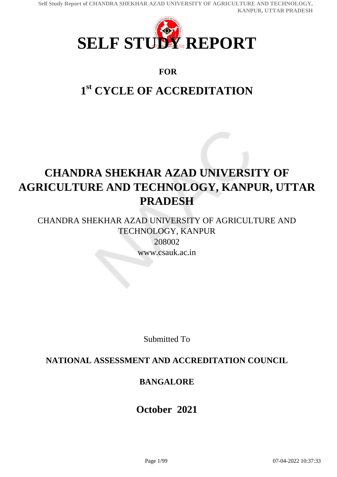

### **FOR**

# **1 st CYCLE OF ACCREDITATION**

# **CHANDRA SHEKHAR AZAD UNIVERSITY OF AGRICULTURE AND TECHNOLOGY, KANPUR, UTTAR PRADESH**

CHANDRA SHEKHAR AZAD UNIVERSITY OF AGRICULTURE AND TECHNOLOGY, KANPUR

208002 www.csauk.ac.in

Submitted To

## **NATIONAL ASSESSMENT AND ACCREDITATION COUNCIL**

## **BANGALORE**

## **October 2021**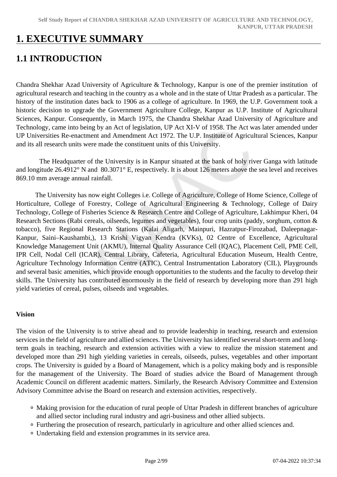## **1. EXECUTIVE SUMMARY**

## **1.1 INTRODUCTION**

Chandra Shekhar Azad University of Agriculture & Technology, Kanpur is one of the premier institution of agricultural research and teaching in the country as a whole and in the state of Uttar Pradesh as a particular. The history of the institution dates back to 1906 as a college of agriculture. In 1969, the U.P. Government took a historic decision to upgrade the Government Agriculture College, Kanpur as U.P. Institute of Agricultural Sciences, Kanpur. Consequently, in March 1975, the Chandra Shekhar Azad University of Agriculture and Technology, came into being by an Act of legislation, UP Act XI-V of 1958. The Act was later amended under UP Universities Re-enactment and Amendment Act 1972. The U.P. Institute of Agricultural Sciences, Kanpur and its all research units were made the constituent units of this University.

 The Headquarter of the University is in Kanpur situated at the bank of holy river Ganga with latitude and longitude 26.4912° N and 80.3071° E, respectively. It is about 126 meters above the sea level and receives 869.10 mm average annual rainfall.

 The University has now eight Colleges i.e. College of Agriculture, College of Home Science, College of Horticulture, College of Forestry, College of Agricultural Engineering & Technology, College of Dairy Technology, College of Fisheries Science & Research Centre and College of Agriculture, Lakhimpur Kheri, 04 Research Sections (Rabi cereals, oilseeds, legumes and vegetables), four crop units (paddy, sorghum, cotton & tobacco), five Regional Research Stations (Kalai Aligarh, Mainpuri, Hazratpur-Firozabad, Daleepnagar-Kanpur, Saini–Kaushambi,), 13 Krishi Vigyan Kendra (KVKs), 02 Centre of Excellence, Agricultural Knowledge Management Unit (AKMU), Internal Quality Assurance Cell (IQAC), Placement Cell, PME Cell, IPR Cell, Nodal Cell (ICAR), Central Library, Cafeteria, Agricultural Education Museum, Health Centre, Agriculture Technology Information Centre (ATIC), Central Instrumentation Laboratory (CIL), Playgrounds and several basic amenities, which provide enough opportunities to the students and the faculty to develop their skills. The University has contributed enormously in the field of research by developing more than 291 high yield varieties of cereal, pulses, oilseeds and vegetables.

### **Vision**

The vision of the University is to strive ahead and to provide leadership in teaching, research and extension services in the field of agriculture and allied sciences. The University has identified several short-term and longterm goals in teaching, research and extension activities with a view to realize the mission statement and developed more than 291 high yielding varieties in cereals, oilseeds, pulses, vegetables and other important crops. The University is guided by a Board of Management, which is a policy making body and is responsible for the management of the University. The Board of studies advice the Board of Management through Academic Council on different academic matters. Similarly, the Research Advisory Committee and Extension Advisory Committee advise the Board on research and extension activities, respectively.

- Making provision for the education of rural people of Uttar Pradesh in different branches of agriculture and allied sector including rural industry and agri-business and other allied subjects.
- Furthering the prosecution of research, particularly in agriculture and other allied sciences and.
- Undertaking field and extension programmes in its service area.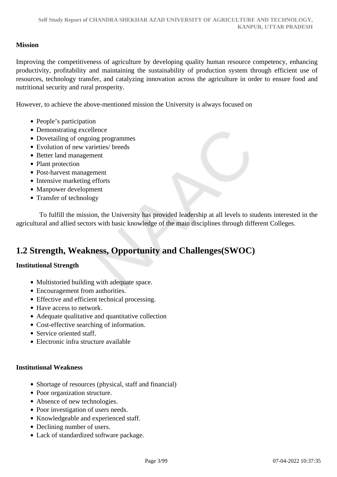### **Mission**

Improving the competitiveness of agriculture by developing quality human resource competency, enhancing productivity, profitability and maintaining the sustainability of production system through efficient use of resources, technology transfer, and catalyzing innovation across the agriculture in order to ensure food and nutritional security and rural prosperity.

However, to achieve the above-mentioned mission the University is always focused on

- People's participation
- Demonstrating excellence
- Dovetailing of ongoing programmes
- Evolution of new varieties/ breeds
- Better land management
- Plant protection
- Post-harvest management
- Intensive marketing efforts
- Manpower development
- Transfer of technology

 To fulfill the mission, the University has provided leadership at all levels to students interested in the agricultural and allied sectors with basic knowledge of the main disciplines through different Colleges.

## **1.2 Strength, Weakness, Opportunity and Challenges(SWOC)**

### **Institutional Strength**

- Multistoried building with adequate space.
- Encouragement from authorities.
- Effective and efficient technical processing.
- Have access to network.
- Adequate qualitative and quantitative collection
- Cost-effective searching of information.
- Service oriented staff.
- Electronic infra structure available

#### **Institutional Weakness**

- Shortage of resources (physical, staff and financial)
- Poor organization structure.
- Absence of new technologies.
- Poor investigation of users needs.
- Knowledgeable and experienced staff.
- Declining number of users.
- Lack of standardized software package.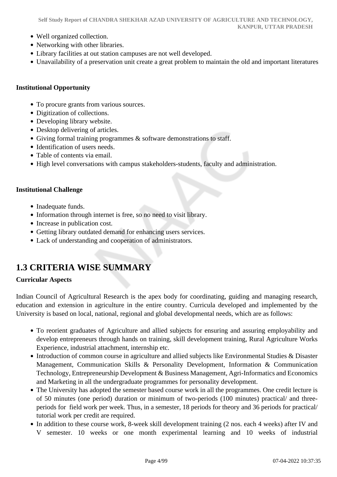- Well organized collection.
- Networking with other libraries.
- Library facilities at out station campuses are not well developed.
- Unavailability of a preservation unit create a great problem to maintain the old and important literatures

#### **Institutional Opportunity**

- To procure grants from various sources.
- Digitization of collections.
- Developing library website.
- Desktop delivering of articles.
- Giving formal training programmes & software demonstrations to staff.
- Identification of users needs.
- Table of contents via email.
- High level conversations with campus stakeholders-students, faculty and administration.

### **Institutional Challenge**

- Inadequate funds.
- Information through internet is free, so no need to visit library.
- Increase in publication cost.
- Getting library outdated demand for enhancing users services.
- Lack of understanding and cooperation of administrators.

## **1.3 CRITERIA WISE SUMMARY**

### **Curricular Aspects**

Indian Council of Agricultural Research is the apex body for coordinating, guiding and managing research, education and extension in agriculture in the entire country. Curricula developed and implemented by the University is based on local, national, regional and global developmental needs, which are as follows:

- To reorient graduates of Agriculture and allied subjects for ensuring and assuring employability and develop entrepreneurs through hands on training, skill development training, Rural Agriculture Works Experience, industrial attachment, internship etc.
- Introduction of common course in agriculture and allied subjects like Environmental Studies & Disaster Management, Communication Skills & Personality Development, Information & Communication Technology, Entrepreneurship Development & Business Management, Agri-Informatics and Economics and Marketing in all the undergraduate programmes for personality development.
- The University has adopted the semester based course work in all the programmes. One credit lecture is of 50 minutes (one period) duration or minimum of two-periods (100 minutes) practical/ and threeperiods for field work per week. Thus, in a semester, 18 periods for theory and 36 periods for practical/ tutorial work per credit are required.
- In addition to these course work, 8-week skill development training (2 nos. each 4 weeks) after IV and V semester. 10 weeks or one month experimental learning and 10 weeks of industrial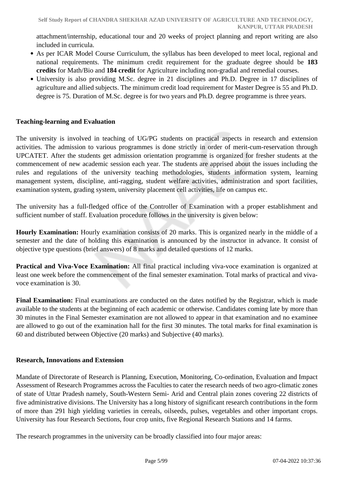attachment/internship, educational tour and 20 weeks of project planning and report writing are also included in curricula.

- As per ICAR Model Course Curriculum, the syllabus has been developed to meet local, regional and national requirements. The minimum credit requirement for the graduate degree should be **183 credits** for Math/Bio and **184 credit** for Agriculture including non-gradial and remedial courses.
- University is also providing M.Sc. degree in 21 disciplines and Ph.D. Degree in 17 disciplines of agriculture and allied subjects. The minimum credit load requirement for Master Degree is 55 and Ph.D. degree is 75. Duration of M.Sc. degree is for two years and Ph.D. degree programme is three years.

### **Teaching-learning and Evaluation**

The university is involved in teaching of UG/PG students on practical aspects in research and extension activities. The admission to various programmes is done strictly in order of merit-cum-reservation through UPCATET. After the students get admission orientation programme is organized for fresher students at the commencement of new academic session each year. The students are apprised about the issues including the rules and regulations of the university teaching methodologies, students information system, learning management system, discipline, anti-ragging, student welfare activities, administration and sport facilities, examination system, grading system, university placement cell activities, life on campus etc.

The university has a full-fledged office of the Controller of Examination with a proper establishment and sufficient number of staff. Evaluation procedure follows in the university is given below:

**Hourly Examination:** Hourly examination consists of 20 marks. This is organized nearly in the middle of a semester and the date of holding this examination is announced by the instructor in advance. It consist of objective type questions (brief answers) of 8 marks and detailed questions of 12 marks.

**Practical and Viva-Voce Examination:** All final practical including viva-voce examination is organized at least one week before the commencement of the final semester examination. Total marks of practical and vivavoce examination is 30.

Final Examination: Final examinations are conducted on the dates notified by the Registrar, which is made available to the students at the beginning of each academic or otherwise. Candidates coming late by more than 30 minutes in the Final Semester examination are not allowed to appear in that examination and no examinee are allowed to go out of the examination hall for the first 30 minutes. The total marks for final examination is 60 and distributed between Objective (20 marks) and Subjective (40 marks).

### **Research, Innovations and Extension**

Mandate of Directorate of Research is Planning, Execution, Monitoring, Co-ordination, Evaluation and Impact Assessment of Research Programmes across the Faculties to cater the research needs of two agro-climatic zones of state of Uttar Pradesh namely, South-Western Semi- Arid and Central plain zones covering 22 districts of five administrative divisions. The University has a long history of significant research contributions in the form of more than 291 high yielding varieties in cereals, oilseeds, pulses, vegetables and other important crops. University has four Research Sections, four crop units, five Regional Research Stations and 14 farms.

The research programmes in the university can be broadly classified into four major areas: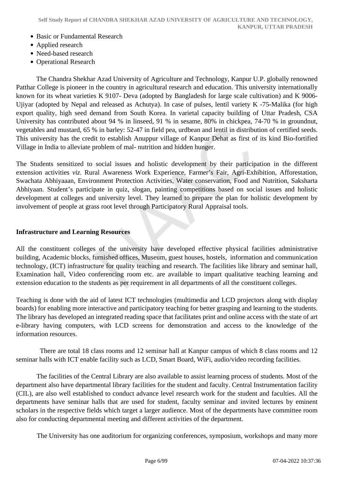- Basic or Fundamental Research
- Applied research
- Need-based research
- Operational Research

 The Chandra Shekhar Azad University of Agriculture and Technology, Kanpur U.P. globally renowned Patthar College is pioneer in the country in agricultural research and education. This university internationally known for its wheat varieties K 9107- Deva (adopted by Bangladesh for large scale cultivation) and K 9006- Ujiyar (adopted by Nepal and released as Achutya). In case of pulses, lentil variety K -75-Malika (for high export quality, high seed demand from South Korea. In varietal capacity building of Uttar Pradesh, CSA University has contributed about 94 % in linseed, 91 % in sesame, 80% in chickpea, 74-70 % in groundnut, vegetables and mustard, 65 % in barley: 52-47 in field pea, urdbean and lentil in distribution of certified seeds. This university has the credit to establish Anuppur village of Kanpur Dehat as first of its kind Bio-fortified Village in India to alleviate problem of mal- nutrition and hidden hunger.

The Students sensitized to social issues and holistic development by their participation in the different extension activities *viz*. Rural Awareness Work Experience, Farmer's Fair, Agri-Exhibition, Afforestation, Swachata Abhiyaaan, Environment Protection Activities, Water conservation, Food and Nutrition, Saksharta Abhiyaan. Student's participate in quiz, slogan, painting competitions based on social issues and holistic development at colleges and university level. They learned to prepare the plan for holistic development by involvement of people at grass root level through Participatory Rural Appraisal tools.

#### **Infrastructure and Learning Resources**

All the constituent colleges of the university have developed effective physical facilities administrative building, Academic blocks, furnished offices, Museum, guest houses, hostels, information and communication technology, (ICT) infrastructure for quality teaching and research. The facilities like library and seminar hall, Examination hall, Video conferencing room etc. are available to impart qualitative teaching learning and extension education to the students as per requirement in all departments of all the constituent colleges.

Teaching is done with the aid of latest ICT technologies (multimedia and LCD projectors along with display boards) for enabling more interactive and participatory teaching for better grasping and learning to the students. The library has developed an integrated reading space that facilitates print and online access with the state of art e-library having computers, with LCD screens for demonstration and access to the knowledge of the information resources.

 There are total 18 class rooms and 12 seminar hall at Kanpur campus of which 8 class rooms and 12 seminar halls with ICT enable facility such as LCD, Smart Board, WiFi, audio/video recording facilities.

 The facilities of the Central Library are also available to assist learning process of students. Most of the department also have departmental library facilities for the student and faculty. Central Instrumentation facility (CIL), are also well established to conduct advance level research work for the student and faculties. All the departments have seminar halls that are used for student, faculty seminar and invited lectures by eminent scholars in the respective fields which target a larger audience. Most of the departments have committee room also for conducting departmental meeting and different activities of the department.

The University has one auditorium for organizing conferences, symposium, workshops and many more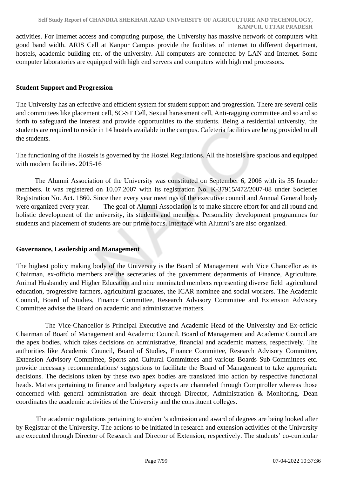activities. For Internet access and computing purpose, the University has massive network of computers with good band width. ARIS Cell at Kanpur Campus provide the facilities of internet to different department, hostels, academic building etc. of the university. All computers are connected by LAN and Internet. Some computer laboratories are equipped with high end servers and computers with high end processors.

### **Student Support and Progression**

The University has an effective and efficient system for student support and progression. There are several cells and committees like placement cell, SC-ST Cell, Sexual harassment cell, Anti-ragging committee and so and so forth to safeguard the interest and provide opportunities to the students. Being a residential university, the students are required to reside in 14 hostels available in the campus. Cafeteria facilities are being provided to all the students.

The functioning of the Hostels is governed by the Hostel Regulations. All the hostels are spacious and equipped with modern facilities. 2015-16

 The Alumni Association of the University was constituted on September 6, 2006 with its 35 founder members. It was registered on 10.07.2007 with its registration No. K-37915/472/2007-08 under Societies Registration No. Act. 1860. Since then every year meetings of the executive council and Annual General body were organized every year. The goal of Alumni Association is to make sincere effort for and all round and holistic development of the university, its students and members. Personality development programmes for students and placement of students are our prime focus. Interface with Alumni's are also organized.

### **Governance, Leadership and Management**

The highest policy making body of the University is the Board of Management with Vice Chancellor as its Chairman, ex-officio members are the secretaries of the government departments of Finance, Agriculture, Animal Husbandry and Higher Education and nine nominated members representing diverse field agricultural education, progressive farmers, agricultural graduates, the ICAR nominee and social workers. The Academic Council, Board of Studies, Finance Committee, Research Advisory Committee and Extension Advisory Committee advise the Board on academic and administrative matters.

 The Vice-Chancellor is Principal Executive and Academic Head of the University and Ex-officio Chairman of Board of Management and Academic Council. Board of Management and Academic Council are the apex bodies, which takes decisions on administrative, financial and academic matters, respectively. The authorities like Academic Council, Board of Studies, Finance Committee, Research Advisory Committee, Extension Advisory Committee, Sports and Cultural Committees and various Boards Sub-Committees etc. provide necessary recommendations/ suggestions to facilitate the Board of Management to take appropriate decisions. The decisions taken by these two apex bodies are translated into action by respective functional heads. Matters pertaining to finance and budgetary aspects are channeled through Comptroller whereas those concerned with general administration are dealt through Director, Administration & Monitoring. Dean coordinates the academic activities of the University and the constituent colleges.

 The academic regulations pertaining to student's admission and award of degrees are being looked after by Registrar of the University. The actions to be initiated in research and extension activities of the University are executed through Director of Research and Director of Extension, respectively. The students' co-curricular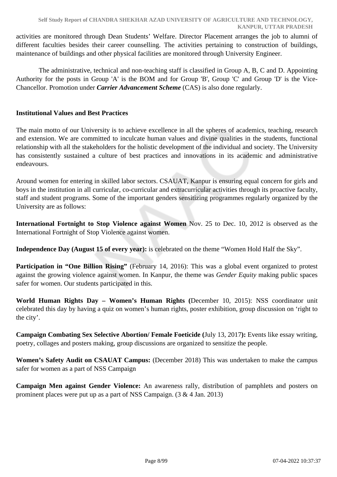activities are monitored through Dean Students' Welfare. Director Placement arranges the job to alumni of different faculties besides their career counselling. The activities pertaining to construction of buildings, maintenance of buildings and other physical facilities are monitored through University Engineer.

 The administrative, technical and non-teaching staff is classified in Group A, B, C and D. Appointing Authority for the posts in Group 'A' is the BOM and for Group 'B', Group 'C' and Group 'D' is the Vice-Chancellor. Promotion under *Carrier Advancement Scheme* (CAS) is also done regularly.

### **Institutional Values and Best Practices**

The main motto of our University is to achieve excellence in all the spheres of academics, teaching, research and extension. We are committed to inculcate human values and divine qualities in the students, functional relationship with all the stakeholders for the holistic development of the individual and society. The University has consistently sustained a culture of best practices and innovations in its academic and administrative endeavours.

Around women for entering in skilled labor sectors. CSAUAT, Kanpur is ensuring equal concern for girls and boys in the institution in all curricular, co-curricular and extracurricular activities through its proactive faculty, staff and student programs. Some of the important genders sensitizing programmes regularly organized by the University are as follows:

**International Fortnight to Stop Violence against Women** Nov. 25 to Dec. 10, 2012 is observed as the International Fortnight of Stop Violence against women.

**Independence Day (August 15 of every year):** is celebrated on the theme "Women Hold Half the Sky".

**Participation in "One Billion Rising"** (February 14, 2016): This was a global event organized to protest against the growing violence against women. In Kanpur, the theme was *Gender Equity* making public spaces safer for women. Our students participated in this.

**World Human Rights Day – Women's Human Rights (**December 10, 2015): NSS coordinator unit celebrated this day by having a quiz on women's human rights, poster exhibition, group discussion on 'right to the city'.

**Campaign Combating Sex Selective Abortion/ Female Foeticide (**July 13, 2017**):** Events like essay writing, poetry, collages and posters making, group discussions are organized to sensitize the people.

**Women's Safety Audit on CSAUAT Campus:** (December 2018) This was undertaken to make the campus safer for women as a part of NSS Campaign

**Campaign Men against Gender Violence:** An awareness rally, distribution of pamphlets and posters on prominent places were put up as a part of NSS Campaign. (3 & 4 Jan. 2013)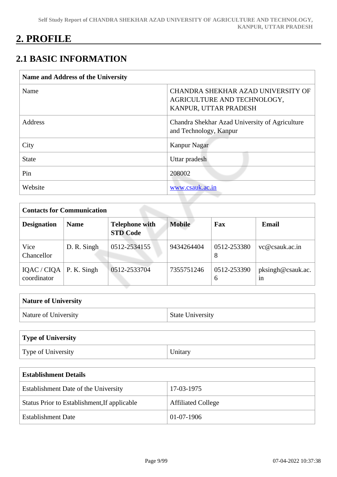## **2. PROFILE**

## **2.1 BASIC INFORMATION**

| <b>Name and Address of the University</b> |                                                                                            |
|-------------------------------------------|--------------------------------------------------------------------------------------------|
| Name                                      | CHANDRA SHEKHAR AZAD UNIVERSITY OF<br>AGRICULTURE AND TECHNOLOGY,<br>KANPUR, UTTAR PRADESH |
| Address                                   | Chandra Shekhar Azad University of Agriculture<br>and Technology, Kanpur                   |
| City                                      | Kanpur Nagar                                                                               |
| <b>State</b>                              | Uttar pradesh                                                                              |
| Pin                                       | 208002                                                                                     |
| Website                                   | www.csauk.ac.in                                                                            |

| <b>Contacts for Communication</b> |             |                                          |               |                  |                         |
|-----------------------------------|-------------|------------------------------------------|---------------|------------------|-------------------------|
| <b>Designation</b>                | <b>Name</b> | <b>Telephone with</b><br><b>STD Code</b> | <b>Mobile</b> | Fax              | Email                   |
| Vice<br>Chancellor                | D. R. Singh | 0512-2534155                             | 9434264404    | 0512-253380<br>8 | vc@csauk.ac.in          |
| IQAC / CIQA<br>coordinator        | P. K. Singh | 0512-2533704                             | 7355751246    | 0512-253390<br>6 | pksingh@csauk.ac.<br>1n |

| <b>Nature of University</b> |                         |
|-----------------------------|-------------------------|
| Nature of University        | <b>State University</b> |

| Type of University |         |
|--------------------|---------|
| Type of University | Unitary |

| <b>Establishment Details</b>                 |                           |
|----------------------------------------------|---------------------------|
| Establishment Date of the University         | 17-03-1975                |
| Status Prior to Establishment, If applicable | <b>Affiliated College</b> |
| <b>Establishment Date</b>                    | $01-07-1906$              |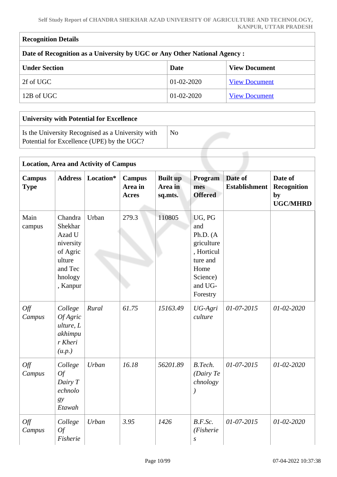| <b>Recognition Details</b>                                                |                  |                      |
|---------------------------------------------------------------------------|------------------|----------------------|
| Date of Recognition as a University by UGC or Any Other National Agency : |                  |                      |
| <b>Under Section</b>                                                      | Date             | <b>View Document</b> |
| 2f of UGC                                                                 | $01-02-2020$     | <b>View Document</b> |
| 12B of UGC                                                                | $01 - 02 - 2020$ | <b>View Document</b> |

 $\overline{1}$ 

| <b>University with Potential for Excellence</b>                                                 |    |
|-------------------------------------------------------------------------------------------------|----|
| Is the University Recognised as a University with<br>Potential for Excellence (UPE) by the UGC? | No |
|                                                                                                 |    |

|                              |                                                                                                   | <b>Location, Area and Activity of Campus</b> |                                          |                                       |                                                                                                                 |                                 |                                                        |
|------------------------------|---------------------------------------------------------------------------------------------------|----------------------------------------------|------------------------------------------|---------------------------------------|-----------------------------------------------------------------------------------------------------------------|---------------------------------|--------------------------------------------------------|
| <b>Campus</b><br><b>Type</b> | <b>Address</b>                                                                                    | Location*                                    | <b>Campus</b><br>Area in<br><b>Acres</b> | <b>Built up</b><br>Area in<br>sq.mts. | Program<br>mes<br><b>Offered</b>                                                                                | Date of<br><b>Establishment</b> | Date of<br><b>Recognition</b><br>by<br><b>UGC/MHRD</b> |
| Main<br>campus               | Chandra<br>Shekhar<br>Azad U<br>niversity<br>of Agric<br>ulture<br>and Tec<br>hnology<br>, Kanpur | Urban                                        | 279.3                                    | 110805                                | UG, PG<br>and<br>Ph.D. $(A)$<br>griculture<br>, Horticul<br>ture and<br>Home<br>Science)<br>and UG-<br>Forestry |                                 |                                                        |
| Off<br>Campus                | College<br><b>Of Agric</b><br>ulture, L<br>akhimpu<br>r Kheri<br>(u.p.)                           | Rural                                        | 61.75                                    | 15163.49                              | UG-Agri<br>culture                                                                                              | 01-07-2015                      | 01-02-2020                                             |
| Off<br>Campus                | College<br>Of<br>Dairy T<br>echnolo<br>gy<br>Etawah                                               | Urban                                        | 16.18                                    | 56201.89                              | B.Tech.<br>(Dair) Te<br>chnology                                                                                | $01-07-2015$                    | $01 - 02 - 2020$                                       |
| Off<br>Campus                | College<br>Of<br>Fisherie                                                                         | Urban                                        | 3.95                                     | 1426                                  | B.F.Sc.<br>(Fisherie<br>$\boldsymbol{S}$                                                                        | $01 - 07 - 2015$                | $01 - 02 - 2020$                                       |

Ī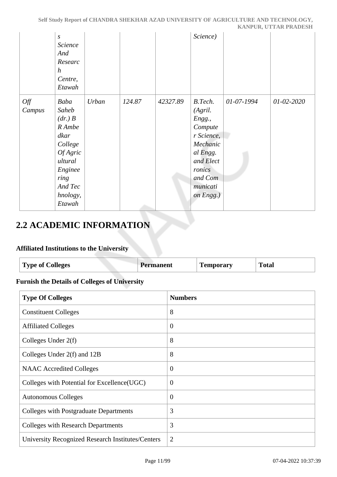|               |                                                                                                                                        |       |        |          |                                                                                                                                          |            | <u>hulu vinj vitilin i numbioni</u> |
|---------------|----------------------------------------------------------------------------------------------------------------------------------------|-------|--------|----------|------------------------------------------------------------------------------------------------------------------------------------------|------------|-------------------------------------|
|               | $\boldsymbol{S}$<br>Science<br>And<br>Researc<br>$\boldsymbol{h}$<br>Centre,<br>Etawah                                                 |       |        |          | Science)                                                                                                                                 |            |                                     |
| Off<br>Campus | Baba<br>Saheb<br>(dr, B<br>R Ambe<br>dkar<br>College<br><i>Of Agric</i><br>ultural<br>Enginee<br>ring<br>And Tec<br>hnology,<br>Etawah | Urban | 124.87 | 42327.89 | B.Tech.<br>(Agril.<br>Engg.,<br>Compute<br>r Science,<br>Mechanic<br>al Engg.<br>and Elect<br>ronics<br>and Com<br>municati<br>on Engg.) | 01-07-1994 | 01-02-2020                          |

## **2.2 ACADEMIC INFORMATION**

### **Affiliated Institutions to the University**

| <b>Type of Colleges</b> | manent | -<br><b>Temporary</b> | `otal<br>. |
|-------------------------|--------|-----------------------|------------|
|                         |        |                       |            |

### **Furnish the Details of Colleges of University**

| <b>Type Of Colleges</b>                           | <b>Numbers</b> |
|---------------------------------------------------|----------------|
| <b>Constituent Colleges</b>                       | 8              |
| <b>Affiliated Colleges</b>                        | $\theta$       |
| Colleges Under $2(f)$                             | 8              |
| Colleges Under 2(f) and 12B                       | 8              |
| <b>NAAC</b> Accredited Colleges                   | $\overline{0}$ |
| Colleges with Potential for Excellence (UGC)      | $\theta$       |
| <b>Autonomous Colleges</b>                        | $\theta$       |
| Colleges with Postgraduate Departments            | 3              |
| <b>Colleges with Research Departments</b>         | 3              |
| University Recognized Research Institutes/Centers | $\overline{2}$ |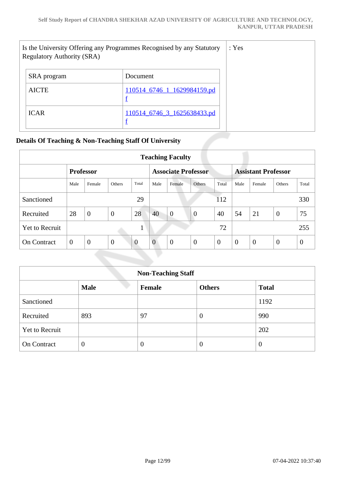| Is the University Offering any Programmes Recognised by any Statutory<br><b>Regulatory Authority (SRA)</b> |                             |  |
|------------------------------------------------------------------------------------------------------------|-----------------------------|--|
| SRA program                                                                                                | Document                    |  |
| <b>AICTE</b>                                                                                               | 110514_6746_1_1629984159.pd |  |
| <b>ICAR</b>                                                                                                | 110514 6746 3 1625638433.pd |  |

### **Details Of Teaching & Non-Teaching Staff Of University**

| <b>Teaching Faculty</b> |          |                  |                |          |                            |                |                |                            |          |                |                  |          |
|-------------------------|----------|------------------|----------------|----------|----------------------------|----------------|----------------|----------------------------|----------|----------------|------------------|----------|
|                         |          | <b>Professor</b> |                |          | <b>Associate Professor</b> |                |                | <b>Assistant Professor</b> |          |                |                  |          |
|                         | Male     | Female           | <b>Others</b>  | Total    | Male                       | Female         | Others         | Total                      | Male     | Female         | Others           | Total    |
| Sanctioned              |          |                  |                | 29       |                            |                |                | 112                        |          |                |                  | 330      |
| Recruited               | 28       | $\mathbf{0}$     | $\overline{0}$ | 28       | 40                         | $\overline{0}$ | $\overline{0}$ | 40                         | 54       | 21             | $\boldsymbol{0}$ | 75       |
| <b>Yet to Recruit</b>   |          |                  |                |          |                            |                |                | 72                         |          |                |                  | 255      |
| <b>On Contract</b>      | $\theta$ | $\theta$         | $\overline{0}$ | $\theta$ | $\overline{0}$             | $\overline{0}$ | $\theta$       | $\theta$                   | $\theta$ | $\overline{0}$ | $\theta$         | $\theta$ |

| <b>Non-Teaching Staff</b>                              |                |    |                  |      |  |  |
|--------------------------------------------------------|----------------|----|------------------|------|--|--|
| <b>Male</b><br>Female<br><b>Others</b><br><b>Total</b> |                |    |                  |      |  |  |
| Sanctioned                                             |                |    |                  | 1192 |  |  |
| Recruited                                              | 893            | 97 | $\boldsymbol{0}$ | 990  |  |  |
| <b>Yet to Recruit</b>                                  |                |    |                  | 202  |  |  |
| On Contract                                            | $\overline{0}$ |    | $\overline{0}$   | 0    |  |  |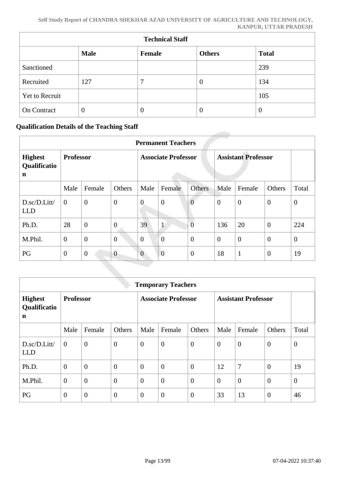| <b>Technical Staff</b> |             |                  |               |              |  |  |
|------------------------|-------------|------------------|---------------|--------------|--|--|
|                        | <b>Male</b> | Female           | <b>Others</b> | <b>Total</b> |  |  |
| Sanctioned             |             |                  |               | 239          |  |  |
| Recruited              | 127         | 7                | $\theta$      | 134          |  |  |
| Yet to Recruit         |             |                  |               | 105          |  |  |
| On Contract            | $\theta$    | $\boldsymbol{0}$ | $\theta$      | $\theta$     |  |  |

### **Qualification Details of the Teaching Staff**

|                                           | <b>Permanent Teachers</b> |                |                            |                |                            |                  |                |                  |                |              |
|-------------------------------------------|---------------------------|----------------|----------------------------|----------------|----------------------------|------------------|----------------|------------------|----------------|--------------|
| <b>Highest</b><br>Qualificatio<br>n       | <b>Professor</b>          |                | <b>Associate Professor</b> |                | <b>Assistant Professor</b> |                  |                |                  |                |              |
|                                           | Male                      | Female         | Others                     | Male           | Female                     | Others           | Male           | Female           | Others         | Total        |
| $D.\text{sc}/D.\text{Litt}$<br><b>LLD</b> | $\overline{0}$            | $\overline{0}$ | $\boldsymbol{0}$           | $\overline{0}$ | $\overline{0}$             | $\overline{0}$   | $\overline{0}$ | $\overline{0}$   | $\mathbf{0}$   | $\mathbf{0}$ |
| Ph.D.                                     | 28                        | $\overline{0}$ | $\overline{0}$             | 39             | $\mathbf{1}$               | $\overline{0}$   | 136            | 20               | $\theta$       | 224          |
| M.Phil.                                   | $\mathbf{0}$              | $\overline{0}$ | $\boldsymbol{0}$           | $\overline{0}$ | $\overline{0}$             | $\overline{0}$   | $\overline{0}$ | $\boldsymbol{0}$ | $\overline{0}$ | $\mathbf{0}$ |
| PG                                        | $\theta$                  | $\mathbf{0}$   | $\overline{0}$             | $\overline{0}$ | $\mathbf{0}$               | $\boldsymbol{0}$ | 18             | $\mathbf{1}$     | $\overline{0}$ | 19           |

|                                     | <b>Temporary Teachers</b> |                |                            |                |                            |                |                |                |                |                |
|-------------------------------------|---------------------------|----------------|----------------------------|----------------|----------------------------|----------------|----------------|----------------|----------------|----------------|
| <b>Highest</b><br>Qualificatio<br>n | <b>Professor</b>          |                | <b>Associate Professor</b> |                | <b>Assistant Professor</b> |                |                |                |                |                |
|                                     | Male                      | Female         | Others                     | Male           | Female                     | Others         | Male           | Female         | Others         | Total          |
| D.sc/D.Litt/<br><b>LLD</b>          | $\overline{0}$            | $\overline{0}$ | $\boldsymbol{0}$           | $\overline{0}$ | $\boldsymbol{0}$           | $\theta$       | $\overline{0}$ | $\overline{0}$ | $\mathbf{0}$   | $\overline{0}$ |
| Ph.D.                               | $\theta$                  | $\overline{0}$ | $\overline{0}$             | $\overline{0}$ | $\overline{0}$             | $\theta$       | 12             | 7              | $\overline{0}$ | 19             |
| M.Phil.                             | $\mathbf{0}$              | $\overline{0}$ | $\boldsymbol{0}$           | $\overline{0}$ | $\overline{0}$             | $\theta$       | $\overline{0}$ | $\overline{0}$ | $\mathbf{0}$   | $\overline{0}$ |
| PG                                  | $\overline{0}$            | $\overline{0}$ | $\overline{0}$             | $\overline{0}$ | $\overline{0}$             | $\overline{0}$ | 33             | 13             | $\overline{0}$ | 46             |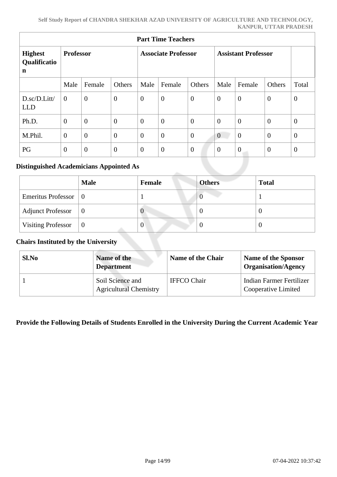| <b>Part Time Teachers</b>                     |                  |                |                            |                |                            |                  |                  |                |                |                |
|-----------------------------------------------|------------------|----------------|----------------------------|----------------|----------------------------|------------------|------------------|----------------|----------------|----------------|
| <b>Highest</b><br>Qualificatio<br>$\mathbf n$ | <b>Professor</b> |                | <b>Associate Professor</b> |                | <b>Assistant Professor</b> |                  |                  |                |                |                |
|                                               | Male             | Female         | Others                     | Male           | Female                     | Others           | Male             | Female         | Others         | Total          |
| D.sc/D.Litt/<br><b>LLD</b>                    | $\overline{0}$   | $\mathbf{0}$   | $\boldsymbol{0}$           | $\overline{0}$ | $\boldsymbol{0}$           | $\boldsymbol{0}$ | $\boldsymbol{0}$ | $\overline{0}$ | $\overline{0}$ | $\overline{0}$ |
| Ph.D.                                         | $\overline{0}$   | $\theta$       | $\boldsymbol{0}$           | $\overline{0}$ | $\overline{0}$             | $\overline{0}$   | $\overline{0}$   | $\overline{0}$ | $\theta$       | $\theta$       |
| M.Phil.                                       | $\overline{0}$   | $\theta$       | $\overline{0}$             | $\overline{0}$ | $\overline{0}$             | $\overline{0}$   | $\boldsymbol{0}$ | $\overline{0}$ | $\overline{0}$ | $\overline{0}$ |
| PG                                            | $\overline{0}$   | $\overline{0}$ | $\boldsymbol{0}$           | $\overline{0}$ | $\mathbf{0}$               | $\overline{0}$   | $\overline{0}$   | $\overline{0}$ | $\overline{0}$ | $\overline{0}$ |

### **Distinguished Academicians Appointed As**

|                                    | <b>Male</b> | Female         | <b>Others</b> | <b>Total</b> |
|------------------------------------|-------------|----------------|---------------|--------------|
| Emeritus Professor $\vert 0 \vert$ |             |                | U             |              |
| <b>Adjunct Professor</b>           | $\perp 0$   | v              | 0             |              |
| <b>Visiting Professor</b>          | $\mid 0$    | $\overline{0}$ | 0             |              |

### **Chairs Instituted by the University**

| Sl.No | Name of the<br><b>Department</b>                  | <b>Name of the Chair</b> | Name of the Sponsor<br><b>Organisation/Agency</b> |
|-------|---------------------------------------------------|--------------------------|---------------------------------------------------|
|       | Soil Science and<br><b>Agricultural Chemistry</b> | <b>IFFCO Chair</b>       | Indian Farmer Fertilizer<br>Cooperative Limited   |

### **Provide the Following Details of Students Enrolled in the University During the Current Academic Year**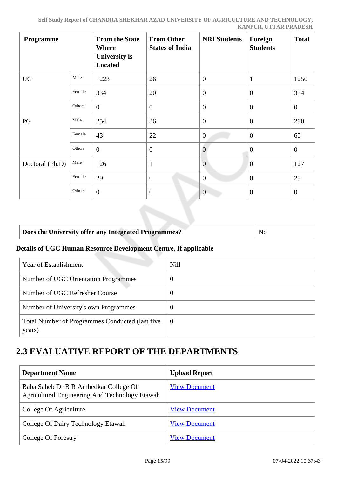| <b>Programme</b> |        | <b>From the State</b><br><b>Where</b><br>University is<br><b>Located</b> | <b>From Other</b><br><b>States of India</b> | <b>NRI Students</b> | Foreign<br><b>Students</b> | <b>Total</b>     |
|------------------|--------|--------------------------------------------------------------------------|---------------------------------------------|---------------------|----------------------------|------------------|
| <b>UG</b>        | Male   | 1223                                                                     | 26                                          | $\overline{0}$      | $\mathbf{1}$               | 1250             |
|                  | Female | 334                                                                      | 20                                          | $\overline{0}$      | $\overline{0}$             | 354              |
|                  | Others | $\overline{0}$                                                           | $\overline{0}$                              | $\overline{0}$      | $\overline{0}$             | $\overline{0}$   |
| PG               | Male   | 254                                                                      | 36                                          | $\overline{0}$      | $\overline{0}$             | 290              |
|                  | Female | 43                                                                       | 22                                          | $\overline{0}$      | $\mathbf{0}$               | 65               |
|                  | Others | $\overline{0}$                                                           | $\boldsymbol{0}$                            | $\overline{0}$      | $\theta$                   | $\boldsymbol{0}$ |
| Doctoral (Ph.D)  | Male   | 126                                                                      | $\mathbf{1}$                                | $\overline{0}$      | $\overline{0}$             | 127              |
|                  | Female | 29                                                                       | $\overline{0}$                              | $\overline{0}$      | $\overline{0}$             | 29               |
|                  | Others | $\overline{0}$                                                           | $\overline{0}$                              | $\theta$            | $\mathbf{0}$               | $\boldsymbol{0}$ |

### **Does the University offer any Integrated Programmes?** No

### **Details of UGC Human Resource Development Centre, If applicable**

| Year of Establishment                                     | <b>Nill</b> |
|-----------------------------------------------------------|-------------|
| Number of UGC Orientation Programmes                      | $\theta$    |
| Number of UGC Refresher Course                            | 0           |
| Number of University's own Programmes                     | O           |
| Total Number of Programmes Conducted (last five<br>years) | - ()        |

## **2.3 EVALUATIVE REPORT OF THE DEPARTMENTS**

| <b>Department Name</b>                                                                  | <b>Upload Report</b> |
|-----------------------------------------------------------------------------------------|----------------------|
| Baba Saheb Dr B R Ambedkar College Of<br>Agricultural Engineering And Technology Etawah | <b>View Document</b> |
| College Of Agriculture                                                                  | <b>View Document</b> |
| College Of Dairy Technology Etawah                                                      | <b>View Document</b> |
| College Of Forestry                                                                     | <b>View Document</b> |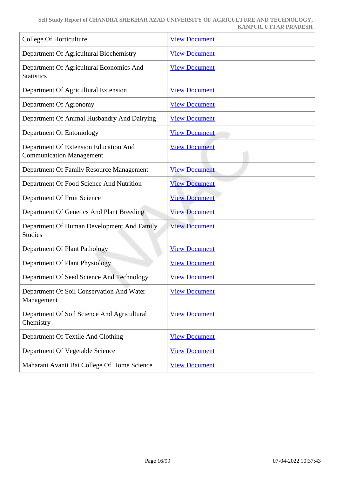| College Of Horticulture                                                  | <b>View Document</b> |
|--------------------------------------------------------------------------|----------------------|
| Department Of Agricultural Biochemistry                                  | <b>View Document</b> |
| Department Of Agricultural Economics And<br><b>Statistics</b>            | <b>View Document</b> |
| Department Of Agricultural Extension                                     | <b>View Document</b> |
| Department Of Agronomy                                                   | <b>View Document</b> |
| Department Of Animal Husbandry And Dairying                              | <b>View Document</b> |
| Department Of Entomology                                                 | <b>View Document</b> |
| Department Of Extension Education And<br><b>Communication Management</b> | <b>View Document</b> |
| Department Of Family Resource Management                                 | <b>View Document</b> |
| Department Of Food Science And Nutrition                                 | <b>View Document</b> |
| Department Of Fruit Science                                              | <b>View Document</b> |
| Department Of Genetics And Plant Breeding                                | <b>View Document</b> |
| Department Of Human Development And Family<br><b>Studies</b>             | <b>View Document</b> |
| Department Of Plant Pathology                                            | <b>View Document</b> |
| Department Of Plant Physiology                                           | <b>View Document</b> |
| Department Of Seed Science And Technology                                | <b>View Document</b> |
| Department Of Soil Conservation And Water<br>Management                  | <b>View Document</b> |
| Department Of Soil Science And Agricultural<br>Chemistry                 | <b>View Document</b> |
| Department Of Textile And Clothing                                       | <b>View Document</b> |
| Department Of Vegetable Science                                          | <b>View Document</b> |
| Maharani Avanti Bai College Of Home Science                              | <b>View Document</b> |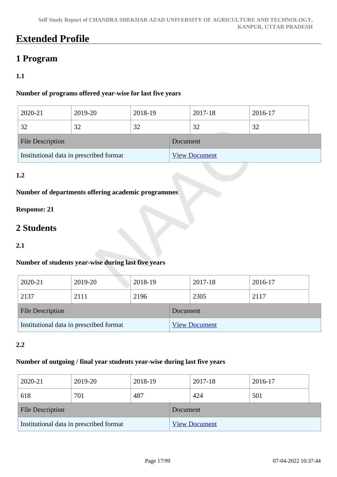## **Extended Profile**

## **1 Program**

### **1.1**

### **Number of programs offered year-wise for last five years**

| 2020-21                                 | 2019-20 | 2018-19 |          | 2017-18              | 2016-17 |
|-----------------------------------------|---------|---------|----------|----------------------|---------|
| 32                                      | 32      | 32      |          | 32                   | 32      |
| <b>File Description</b>                 |         |         | Document |                      |         |
| Institutional data in prescribed format |         |         |          | <b>View Document</b> |         |

### **1.2**

### **Number of departments offering academic programmes**

### **Response: 21**

## **2 Students**

### **2.1**

### **Number of students year-wise during last five years**

| 2020-21                                 | 2019-20 | 2018-19 |          | 2017-18              | 2016-17 |
|-----------------------------------------|---------|---------|----------|----------------------|---------|
| 2137                                    | 2111    | 2196    |          | 2305                 | 2117    |
| <b>File Description</b>                 |         |         | Document |                      |         |
| Institutional data in prescribed format |         |         |          | <b>View Document</b> |         |

### **2.2**

### **Number of outgoing / final year students year-wise during last five years**

| 2020-21                                 | 2019-20 | 2018-19 |          | 2017-18              | 2016-17 |  |
|-----------------------------------------|---------|---------|----------|----------------------|---------|--|
| 618                                     | 701     | 487     |          | 424                  | 501     |  |
| <b>File Description</b>                 |         |         | Document |                      |         |  |
| Institutional data in prescribed format |         |         |          | <b>View Document</b> |         |  |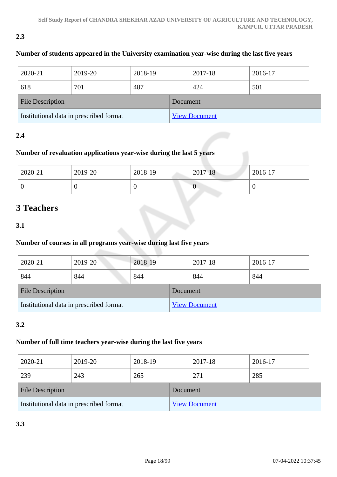### **2.3**

### **Number of students appeared in the University examination year-wise during the last five years**

| 2020-21                                 | 2019-20 | 2018-19 |          | 2017-18              | 2016-17 |  |
|-----------------------------------------|---------|---------|----------|----------------------|---------|--|
| 618                                     | 701     | 487     |          | 424                  | 501     |  |
| <b>File Description</b>                 |         |         | Document |                      |         |  |
| Institutional data in prescribed format |         |         |          | <b>View Document</b> |         |  |

### **2.4**

### **Number of revaluation applications year-wise during the last 5 years**

| 2020-21 | 2019-20 | 2018-19 | 2017-18 | 2016-17 |
|---------|---------|---------|---------|---------|
| v       |         |         | ν       |         |

### **3 Teachers**

### **3.1**

### **Number of courses in all programs year-wise during last five years**

| 2020-21                                 | 2019-20 | 2018-19 |          | 2017-18              | 2016-17 |
|-----------------------------------------|---------|---------|----------|----------------------|---------|
| 844                                     | 844     | 844     |          | 844                  | 844     |
| <b>File Description</b>                 |         |         | Document |                      |         |
| Institutional data in prescribed format |         |         |          | <b>View Document</b> |         |

### **3.2**

### **Number of full time teachers year-wise during the last five years**

| 2020-21                                 | 2019-20 | 2018-19 |          | 2017-18              | 2016-17 |
|-----------------------------------------|---------|---------|----------|----------------------|---------|
| 239                                     | 243     | 265     |          | 271                  | 285     |
| <b>File Description</b>                 |         |         | Document |                      |         |
| Institutional data in prescribed format |         |         |          | <b>View Document</b> |         |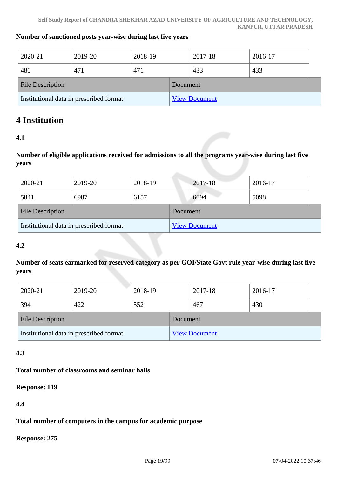#### **Number of sanctioned posts year-wise during last five years**

| 2020-21                                 | 2019-20 | 2018-19 |          | 2017-18              | 2016-17 |  |
|-----------------------------------------|---------|---------|----------|----------------------|---------|--|
| 480                                     | 471     | 471     |          | 433                  | 433     |  |
| <b>File Description</b>                 |         |         | Document |                      |         |  |
| Institutional data in prescribed format |         |         |          | <b>View Document</b> |         |  |

### **4 Institution**

### **4.1**

**Number of eligible applications received for admissions to all the programs year-wise during last five years**

| 2020-21                                 | 2019-20 | 2018-19 |          | 2017-18              | 2016-17 |
|-----------------------------------------|---------|---------|----------|----------------------|---------|
| 5841                                    | 6987    | 6157    |          | 6094                 | 5098    |
| <b>File Description</b>                 |         |         | Document |                      |         |
| Institutional data in prescribed format |         |         |          | <b>View Document</b> |         |

### **4.2**

**Number of seats earmarked for reserved category as per GOI/State Govt rule year-wise during last five years**

| 2020-21                                 | 2019-20 | 2018-19 |          | 2017-18              | 2016-17 |  |
|-----------------------------------------|---------|---------|----------|----------------------|---------|--|
| 394                                     | 422     | 552     |          | 467                  | 430     |  |
| <b>File Description</b>                 |         |         | Document |                      |         |  |
| Institutional data in prescribed format |         |         |          | <b>View Document</b> |         |  |

### **4.3**

### **Total number of classrooms and seminar halls**

#### **Response: 119**

### **4.4**

**Total number of computers in the campus for academic purpose**

**Response: 275**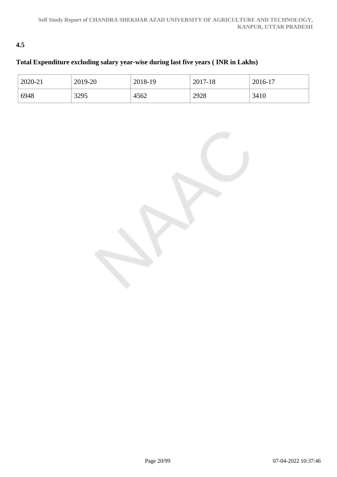### **4.5**

### **Total Expenditure excluding salary year-wise during last five years ( INR in Lakhs)**

| 2020-21 | 2019-20 | 2018-19 | 2017-18 | 2016-17 |
|---------|---------|---------|---------|---------|
| 6948    | 3295    | 4562    | 2928    | 3410    |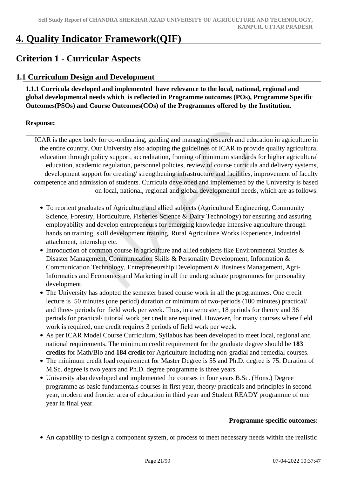## **4. Quality Indicator Framework(QIF)**

## **Criterion 1 - Curricular Aspects**

### **1.1 Curriculum Design and Development**

 **1.1.1 Curricula developed and implemented have relevance to the local, national, regional and global developmental needs which is reflected in Programme outcomes (POs), Programme Specific Outcomes(PSOs) and Course Outcomes(COs) of the Programmes offered by the Institution.**

### **Response:**

ICAR is the apex body for co-ordinating, guiding and managing research and education in agriculture in the entire country. Our University also adopting the guidelines of ICAR to provide quality agricultural education through policy support, accreditation, framing of minimum standards for higher agricultural education, academic regulation, personnel policies, review of course curricula and delivery systems, development support for creating/ strengthening infrastructure and facilities, improvement of faculty competence and admission of students. Curricula developed and implemented by the University is based on local, national, regional and global developmental needs, which are as follows:

- To reorient graduates of Agriculture and allied subjects (Agricultural Engineering, Community Science, Forestry, Horticulture, Fisheries Science & Dairy Technology) for ensuring and assuring employability and develop entrepreneurs for emerging knowledge intensive agriculture through hands on training, skill development training, Rural Agriculture Works Experience, industrial attachment, internship etc.
- Introduction of common course in agriculture and allied subjects like Environmental Studies & Disaster Management, Communication Skills & Personality Development, Information & Communication Technology, Entrepreneurship Development & Business Management, Agri-Informatics and Economics and Marketing in all the undergraduate programmes for personality development.
- The University has adopted the semester based course work in all the programmes. One credit lecture is 50 minutes (one period) duration or minimum of two-periods (100 minutes) practical/ and three- periods for field work per week. Thus, in a semester, 18 periods for theory and 36 periods for practical/ tutorial work per credit are required. However, for many courses where field work is required, one credit requires 3 periods of field work per week.
- As per ICAR Model Course Curriculum, Syllabus has been developed to meet local, regional and national requirements. The minimum credit requirement for the graduate degree should be **183 credits** for Math/Bio and **184 credit** for Agriculture including non-gradial and remedial courses.
- The minimum credit load requirement for Master Degree is 55 and Ph.D. degree is 75. Duration of M.Sc. degree is two years and Ph.D. degree programme is three years.
- University also developed and implemented the courses in four years B.Sc. (Hons.) Degree programme as basic fundamentals courses in first year, theory/ practicals and principles in second year, modern and frontier area of education in third year and Student READY programme of one year in final year.

### **Programme specific outcomes:**

An capability to design a component system, or process to meet necessary needs within the realistic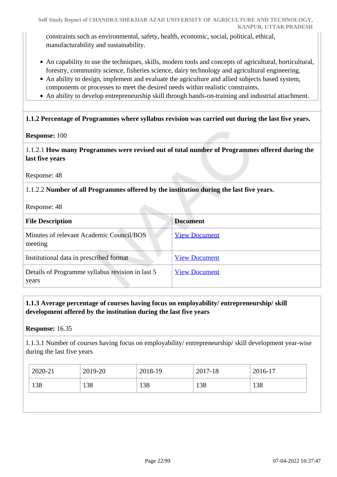constraints such as environmental, safety, health, economic, social, political, ethical, manufacturability and sustainability.

- An capability to use the techniques, skills, modern tools and concepts of agricultural, horticultural, forestry, community science, fisheries science, dairy technology and agricultural engineering.
- An ability to design, implement and evaluate the agriculture and allied subjects based system, components or processes to meet the desired needs within realistic constraints.
- An ability to develop entrepreneurship skill through hands-on-training and industrial attachment.

### **1.1.2 Percentage of Programmes where syllabus revision was carried out during the last five years.**

### **Response:** 100

1.1.2.1 **How many Programmes were revised out of total number of Programmes offered during the last five years**

Response: 48

### 1.1.2.2 **Number of all Programmes offered by the institution during the last five years.**

Response: 48

| <b>File Description</b>                                   | <b>Document</b>      |
|-----------------------------------------------------------|----------------------|
| Minutes of relevant Academic Council/BOS<br>meeting       | <b>View Document</b> |
| Institutional data in prescribed format                   | <b>View Document</b> |
| Details of Programme syllabus revision in last 5<br>years | <b>View Document</b> |

### **1.1.3 Average percentage of courses having focus on employability/ entrepreneurship/ skill development offered by the institution during the last five years**

**Response:** 16.35

1.1.3.1 Number of courses having focus on employability/ entrepreneurship/ skill development year-wise during the last five years

| 2020-21 | 2019-20 | 2018-19 | 2017-18 | 2016-17 |
|---------|---------|---------|---------|---------|
| 138     | 138     | 138     | 138     | 138     |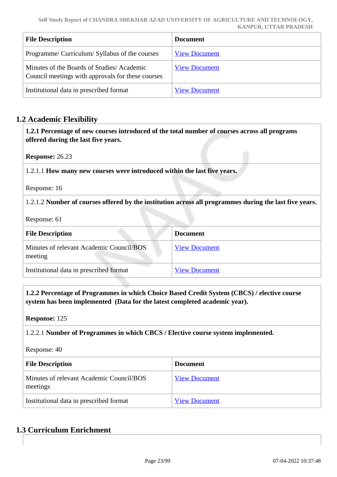| <b>File Description</b>                                                                        | Document             |
|------------------------------------------------------------------------------------------------|----------------------|
| Programme/ Curriculum/ Syllabus of the courses                                                 | <b>View Document</b> |
| Minutes of the Boards of Studies/Academic<br>Council meetings with approvals for these courses | <b>View Document</b> |
| Institutional data in prescribed format                                                        | <b>View Document</b> |

### **1.2 Academic Flexibility**

 **1.2.1 Percentage of new courses introduced of the total number of courses across all programs offered during the last five years.**

**Response:** 26.23

1.2.1.1 **How many new courses were introduced within the last five years.**

Response: 16

1.2.1.2 **Number of courses offered by the institution across all programmes during the last five years.**

Response: 61

| <b>File Description</b>                             | <b>Document</b>      |
|-----------------------------------------------------|----------------------|
| Minutes of relevant Academic Council/BOS<br>meeting | <b>View Document</b> |
| Institutional data in prescribed format             | <b>View Document</b> |

 **1.2.2 Percentage of Programmes in which Choice Based Credit System (CBCS) / elective course system has been implemented (Data for the latest completed academic year).**

**Response:** 125

1.2.2.1 **Number of Programmes in which CBCS / Elective course system implemented.**

Response: 40

| <b>File Description</b>                              | <b>Document</b>      |
|------------------------------------------------------|----------------------|
| Minutes of relevant Academic Council/BOS<br>meetings | <b>View Document</b> |
| Institutional data in prescribed format              | <b>View Document</b> |

### **1.3 Curriculum Enrichment**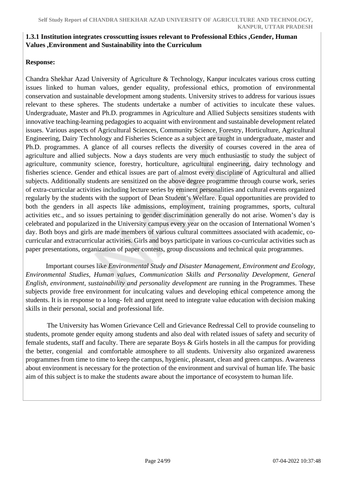### **1.3.1 Institution integrates crosscutting issues relevant to Professional Ethics ,Gender, Human Values ,Environment and Sustainability into the Curriculum**

### **Response:**

Chandra Shekhar Azad University of Agriculture & Technology, Kanpur inculcates various cross cutting issues linked to human values, gender equality, professional ethics, promotion of environmental conservation and sustainable development among students. University strives to address for various issues relevant to these spheres. The students undertake a number of activities to inculcate these values. Undergraduate, Master and Ph.D. programmes in Agriculture and Allied Subjects sensitizes students with innovative teaching-learning pedagogies to acquaint with environment and sustainable development related issues. Various aspects of Agricultural Sciences, Community Science, Forestry, Horticulture, Agricultural Engineering, Dairy Technology and Fisheries Science as a subject are taught in undergraduate, master and Ph.D. programmes. A glance of all courses reflects the diversity of courses covered in the area of agriculture and allied subjects. Now a days students are very much enthusiastic to study the subject of agriculture, community science, forestry, horticulture, agricultural engineering, dairy technology and fisheries science. Gender and ethical issues are part of almost every discipline of Agricultural and allied subjects. Additionally students are sensitized on the above degree programme through course work, series of extra-curricular activities including lecture series by eminent personalities and cultural events organized regularly by the students with the support of Dean Student's Welfare. Equal opportunities are provided to both the genders in all aspects like admissions, employment, training programmes, sports, cultural activities etc., and so issues pertaining to gender discrimination generally do not arise. Women's day is celebrated and popularized in the University campus every year on the occasion of International Women's day. Both boys and girls are made members of various cultural committees associated with academic, cocurricular and extracurricular activities. Girls and boys participate in various co-curricular activities such as paper presentations, organization of paper contests, group discussions and technical quiz programmes.

 Important courses like *Environmental Study and Disaster Management, Environment and Ecology, Environmental Studies, Human values, Communication Skills and Personality Development, General English, environment, sustainability and personality development* are running in the Programmes. These subjects provide free environment for inculcating values and developing ethical competence among the students. It is in response to a long- felt and urgent need to integrate value education with decision making skills in their personal, social and professional life.

 The University has Women Grievance Cell and Grievance Redressal Cell to provide counseling to students, promote gender equity among students and also deal with related issues of safety and security of female students, staff and faculty. There are separate Boys & Girls hostels in all the campus for providing the better, congenial and comfortable atmosphere to all students. University also organized awareness programmes from time to time to keep the campus, hygienic, pleasant, clean and green campus. Awareness about environment is necessary for the protection of the environment and survival of human life. The basic aim of this subject is to make the students aware about the importance of ecosystem to human life.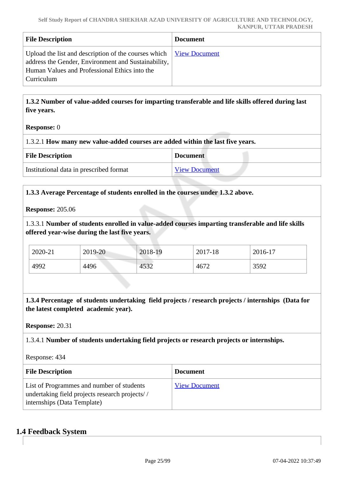| <b>File Description</b>                                                                                                                                                                                                     | <b>Document</b> |
|-----------------------------------------------------------------------------------------------------------------------------------------------------------------------------------------------------------------------------|-----------------|
| Upload the list and description of the courses which $\frac{V_{\text{icw}}}{V_{\text{icw}}}$ Document<br>address the Gender, Environment and Sustainability,<br>Human Values and Professional Ethics into the<br>Curriculum |                 |

 **1.3.2 Number of value-added courses for imparting transferable and life skills offered during last five years.**

### **Response:** 0

| 1.3.2.1 How many new value-added courses are added within the last five years. |
|--------------------------------------------------------------------------------|
|--------------------------------------------------------------------------------|

| <b>File Description</b>                 | <b>Document</b>      |
|-----------------------------------------|----------------------|
| Institutional data in prescribed format | <b>View Document</b> |

### **1.3.3 Average Percentage of students enrolled in the courses under 1.3.2 above.**

#### **Response:** 205.06

1.3.3.1 **Number of students enrolled in value-added courses imparting transferable and life skills offered year-wise during the last five years.**

| 2020-21 | 2019-20 | 2018-19 | 2017-18 | 2016-17 |
|---------|---------|---------|---------|---------|
| 4992    | 4496    | 4532    | 4672    | 3592    |

 **1.3.4 Percentage of students undertaking field projects / research projects / internships (Data for the latest completed academic year).**

### **Response:** 20.31

1.3.4.1 **Number of students undertaking field projects or research projects or internships.**

Response: 434

| <b>File Description</b>                                                                                                    | <b>Document</b>      |
|----------------------------------------------------------------------------------------------------------------------------|----------------------|
| List of Programmes and number of students<br>undertaking field projects research projects//<br>internships (Data Template) | <b>View Document</b> |

### **1.4 Feedback System**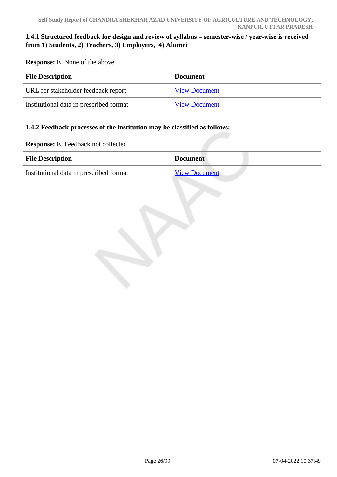### **1.4.1 Structured feedback for design and review of syllabus – semester-wise / year-wise is received from 1) Students, 2) Teachers, 3) Employers, 4) Alumni**

**Response:** E. None of the above

| <b>File Description</b>                 | <b>Document</b>      |
|-----------------------------------------|----------------------|
| URL for stakeholder feedback report     | <b>View Document</b> |
| Institutional data in prescribed format | <b>View Document</b> |

### **1.4.2 Feedback processes of the institution may be classified as follows:**

**Response:** E. Feedback not collected

| <b>File Description</b>                 | <b>Document</b>      |  |
|-----------------------------------------|----------------------|--|
| Institutional data in prescribed format | <b>View Document</b> |  |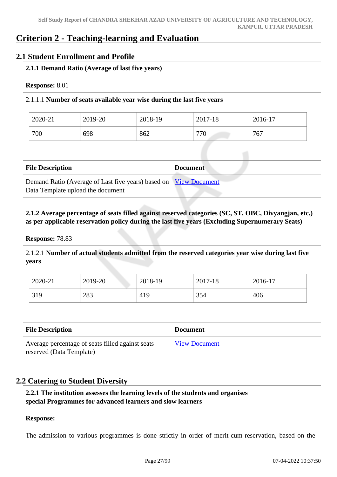### **Criterion 2 - Teaching-learning and Evaluation**

### **2.1 Student Enrollment and Profile**

### **2.1.1 Demand Ratio (Average of last five years)**

### **Response:** 8.01

### 2.1.1.1 **Number of seats available year wise during the last five years**

| 2020-21 | 2019-20 | 2018-19 | 2017-18 | 2016-17 |
|---------|---------|---------|---------|---------|
| 700     | 698     | 862     | 770     | 767     |

| <b>File Description</b>                                                                                      | <b>Document</b> |
|--------------------------------------------------------------------------------------------------------------|-----------------|
| Demand Ratio (Average of Last five years) based on <u>View Document</u><br>Data Template upload the document |                 |

### **2.1.2 Average percentage of seats filled against reserved categories (SC, ST, OBC, Divyangjan, etc.) as per applicable reservation policy during the last five years (Excluding Supernumerary Seats)**

### **Response:** 78.83

2.1.2.1 **Number of actual students admitted from the reserved categories year wise during last five years**

| 2020-21 | 2019-20 | 2018-19 | 2017-18 | 2016-17 |
|---------|---------|---------|---------|---------|
| 319     | 283     | 419     | 354     | 406     |

| <b>File Description</b>                                                      | <b>Document</b>      |
|------------------------------------------------------------------------------|----------------------|
| Average percentage of seats filled against seats<br>reserved (Data Template) | <b>View Document</b> |

### **2.2 Catering to Student Diversity**

 **2.2.1 The institution assesses the learning levels of the students and organises special Programmes for advanced learners and slow learners**

### **Response:**

The admission to various programmes is done strictly in order of merit-cum-reservation, based on the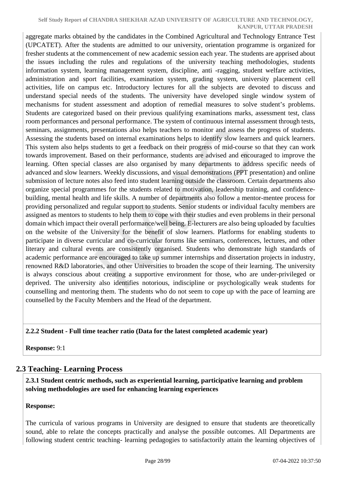aggregate marks obtained by the candidates in the Combined Agricultural and Technology Entrance Test (UPCATET). After the students are admitted to our university, orientation programme is organized for fresher students at the commencement of new academic session each year. The students are apprised about the issues including the rules and regulations of the university teaching methodologies, students information system, learning management system, discipline, anti -ragging, student welfare activities, administration and sport facilities, examination system, grading system, university placement cell activities, life on campus etc. Introductory lectures for all the subjects are devoted to discuss and understand special needs of the students. The university have developed single window system of mechanisms for student assessment and adoption of remedial measures to solve student's problems. Students are categorized based on their previous qualifying examinations marks, assessment test, class room performances and personal performance. The system of continuous internal assessment through tests, seminars, assignments, presentations also helps teachers to monitor and assess the progress of students. Assessing the students based on internal examinations helps to identify slow learners and quick learners. This system also helps students to get a feedback on their progress of mid-course so that they can work towards improvement. Based on their performance, students are advised and encouraged to improve the learning. Often special classes are also organised by many departments to address specific needs of advanced and slow learners. Weekly discussions, and visual demonstrations (PPT presentation) and online submission of lecture notes also feed into student learning outside the classroom. Certain departments also organize special programmes for the students related to motivation, leadership training, and confidencebuilding, mental health and life skills. A number of departments also follow a mentor-mentee process for providing personalized and regular support to students. Senior students or individual faculty members are assigned as mentors to students to help them to cope with their studies and even problems in their personal domain which impact their overall performance/well being. E-lecturers are also being uploaded by faculties on the website of the University for the benefit of slow learners. Platforms for enabling students to participate in diverse curricular and co-curricular forums like seminars, conferences, lectures, and other literary and cultural events are consistently organised. Students who demonstrate high standards of academic performance are encouraged to take up summer internships and dissertation projects in industry, renowned R&D laboratories, and other Universities to broaden the scope of their learning. The university is always conscious about creating a supportive environment for those, who are under-privileged or deprived. The university also identifies notorious, indiscipline or psychologically weak students for counselling and mentoring them. The students who do not seem to cope up with the pace of learning are counselled by the Faculty Members and the Head of the department.

### **2.2.2 Student - Full time teacher ratio (Data for the latest completed academic year)**

**Response:** 9:1

### **2.3 Teaching- Learning Process**

 **2.3.1 Student centric methods, such as experiential learning, participative learning and problem solving methodologies are used for enhancing learning experiences**

### **Response:**

The curricula of various programs in University are designed to ensure that students are theoretically sound, able to relate the concepts practically and analyse the possible outcomes. All Departments are following student centric teaching- learning pedagogies to satisfactorily attain the learning objectives of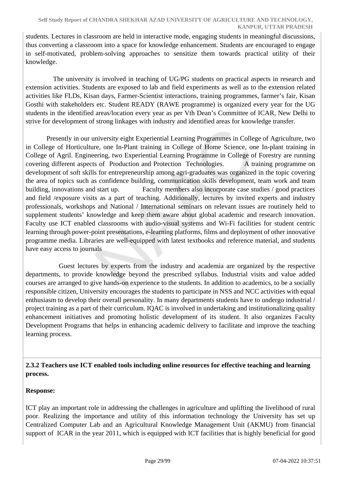students. Lectures in classroom are held in interactive mode, engaging students in meaningful discussions, thus converting a classroom into a space for knowledge enhancement. Students are encouraged to engage in self-motivated, problem-solving approaches to sensitize them towards practical utility of their knowledge.

 The university is involved in teaching of UG/PG students on practical aspects in research and extension activities. Students are exposed to lab and field experiments as well as to the extension related activities like FLDs, Kisan days, Farmer-Scientist interactions, training programmes, farmer's fair, Kisan Gosthi with stakeholders etc. Student READY (RAWE programme) is organized every year for the UG students in the identified areas/location every year as per Vth Dean's Committee of ICAR, New Delhi to strive for development of strong linkages with industry and identified areas for knowledge transfer.

 Presently in our university eight Experiential Learning Programmes in College of Agriculture, two in College of Horticulture, one In-Plant training in College of Home Science, one In-plant training in College of Agril. Engineering, two Experiential Learning Programme in College of Forestry are running covering different aspects of Production and Protection Technologies. A training programme on development of soft skills for entrepreneurship among agri-graduates was organized in the topic covering the area of topics such as confidence building, communication skills development, team work and team building, innovations and start up. Faculty members also incorporate case studies / good practices and field /exposure visits as a part of teaching. Additionally, lectures by invited experts and industry professionals, workshops and National / International seminars on relevant issues are routinely held to supplement students' knowledge and keep them aware about global academic and research innovation. Faculty use ICT enabled classrooms with audio-visual systems and Wi-Fi facilities for student centric learning through power-point presentations, e-learning platforms, films and deployment of other innovative programme media. Libraries are well-equipped with latest textbooks and reference material, and students have easy access to journals

 Guest lectures by experts from the industry and academia are organized by the respective departments, to provide knowledge beyond the prescribed syllabus. Industrial visits and value added courses are arranged to give hands-on experience to the students. In addition to academics, to be a socially responsible citizen, University encourages the students to participate in NSS and NCC activities with equal enthusiasm to develop their overall personality. In many departments students have to undergo industrial / project training as a part of their curriculum. IQAC is involved in undertaking and institutionalizing quality enhancement initiatives and promoting holistic development of its student. It also organizes Faculty Development Programs that helps in enhancing academic delivery to facilitate and improve the teaching learning process.

### **2.3.2 Teachers use ICT enabled tools including online resources for effective teaching and learning process.**

### **Response:**

ICT play an important role in addressing the challenges in agriculture and uplifting the livelihood of rural poor. Realizing the importance and utility of this information technology the University has set up Centralized Computer Lab and an Agricultural Knowledge Management Unit (AKMU) from financial support of ICAR in the year 2011, which is equipped with ICT facilities that is highly beneficial for good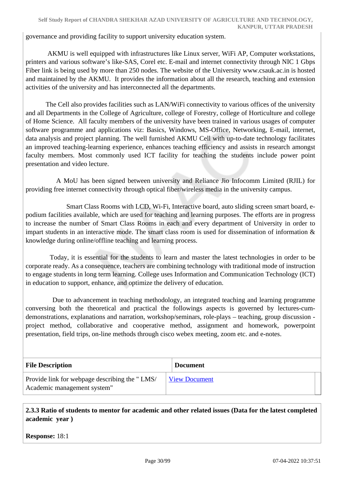governance and providing facility to support university education system.

 AKMU is well equipped with infrastructures like Linux server, WiFi AP, Computer workstations, printers and various software's like-SAS, Corel etc. E-mail and internet connectivity through NIC 1 Gbps Fiber link is being used by more than 250 nodes. The website of the University www.csauk.ac.in is hosted and maintained by the AKMU. It provides the information about all the research, teaching and extension activities of the university and has interconnected all the departments.

 The Cell also provides facilities such as LAN/WiFi connectivity to various offices of the university and all Departments in the College of Agriculture, college of Forestry, college of Horticulture and college of Home Science. All faculty members of the university have been trained in various usages of computer software programme and applications viz: Basics, Windows, MS-Office, Networking, E-mail, internet, data analysis and project planning. The well furnished AKMU Cell with up-to-date technology facilitates an improved teaching-learning experience, enhances teaching efficiency and assists in research amongst faculty members. Most commonly used ICT facility for teaching the students include power point presentation and video lecture.

 A MoU has been signed between university and Reliance Jio Infocomm Limited (RJIL) for providing free internet connectivity through optical fiber/wireless media in the university campus.

 Smart Class Rooms with LCD, Wi-Fi, Interactive board, auto sliding screen smart board, epodium facilities available, which are used for teaching and learning purposes. The efforts are in progress to increase the number of Smart Class Rooms in each and every department of University in order to impart students in an interactive mode. The smart class room is used for dissemination of information & knowledge during online/offline teaching and learning process.

 Today, it is essential for the students to learn and master the latest technologies in order to be corporate ready. As a consequence, teachers are combining technology with traditional mode of instruction to engage students in long term learning. College uses Information and Communication Technology (ICT) in education to support, enhance, and optimize the delivery of education.

 Due to advancement in teaching methodology, an integrated teaching and learning programme conversing both the theoretical and practical the followings aspects is governed by lectures-cumdemonstrations, explanations and narration, workshop/seminars, role-plays – teaching, group discussion project method, collaborative and cooperative method, assignment and homework, powerpoint presentation, field trips, on-line methods through cisco webex meeting, zoom etc. and e-notes.

| <b>File Description</b>                                                      | <b>Document</b>      |
|------------------------------------------------------------------------------|----------------------|
| Provide link for webpage describing the "LMS/<br>Academic management system" | <b>View Document</b> |

 **2.3.3 Ratio of students to mentor for academic and other related issues (Data for the latest completed academic year )**

**Response:** 18:1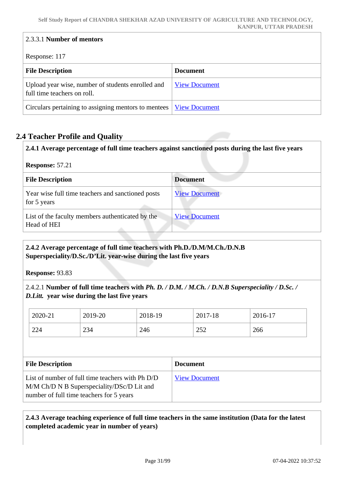| 2.3.3.1 Number of mentors                                                        |                      |
|----------------------------------------------------------------------------------|----------------------|
| Response: 117                                                                    |                      |
| <b>File Description</b>                                                          | <b>Document</b>      |
| Upload year wise, number of students enrolled and<br>full time teachers on roll. | <b>View Document</b> |
| Circulars pertaining to assigning mentors to mentees                             | <b>View Document</b> |

### **2.4 Teacher Profile and Quality**

**2.4.1 Average percentage of full time teachers against sanctioned posts during the last five years**

| Response: 57.21 |  |
|-----------------|--|
|                 |  |

| <b>File Description</b>                                          | <b>Document</b>      |
|------------------------------------------------------------------|----------------------|
| Year wise full time teachers and sanctioned posts<br>for 5 years | <b>View Document</b> |
| List of the faculty members authenticated by the<br>Head of HEI  | <b>View Document</b> |

### **2.4.2 Average percentage of full time teachers with Ph.D./D.M/M.Ch./D.N.B Superspeciality/D.Sc./D'Lit. year-wise during the last five years**

**Response:** 93.83

2.4.2.1 **Number of full time teachers with** *Ph. D. / D.M. / M.Ch. / D.N.B Superspeciality / D.Sc. / D.Litt.* **year wise during the last five years**

| 2020-21 | 2019-20 | 2018-19 | 2017-18 | 2016-17 |
|---------|---------|---------|---------|---------|
| 224     | 234     | 246     | 252     | 266     |

| <b>File Description</b>                                                                                                                    | <b>Document</b>      |
|--------------------------------------------------------------------------------------------------------------------------------------------|----------------------|
| List of number of full time teachers with Ph D/D<br>M/M Ch/D N B Superspeciality/DSc/D Lit and<br>number of full time teachers for 5 years | <b>View Document</b> |

### **2.4.3 Average teaching experience of full time teachers in the same institution (Data for the latest completed academic year in number of years)**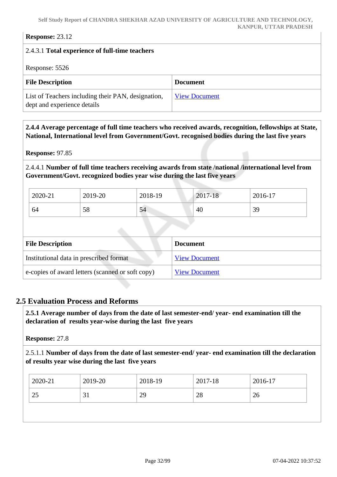#### **Self Study Report of CHANDRA SHEKHAR AZAD UNIVERSITY OF AGRICULTURE AND TECHNOLOGY, KANPUR, UTTAR PRADESH**

**Response:** 23.12

## 2.4.3.1 **Total experience of full-time teachers** Response: 5526 **File Description Document** List of Teachers including their PAN, designation, dept and experience details [View Document](https://assessmentonline.naac.gov.in/storage/app/hei/SSR/110514/2.4.3_1633783563_6746.xlsx)

 **2.4.4 Average percentage of full time teachers who received awards, recognition, fellowships at State, National, International level from Government/Govt. recognised bodies during the last five years**

**Response:** 97.85

2.4.4.1 **Number of full time teachers receiving awards from state /national /international level from Government/Govt. recognized bodies year wise during the last five years** 

| 2020-21 | 2019-20 | 2018-19 | 2017-18 | 2016-17 |
|---------|---------|---------|---------|---------|
| 64      | 58      | 54      | 40      | 39      |

| <b>File Description</b>                          | <b>Document</b>      |
|--------------------------------------------------|----------------------|
| Institutional data in prescribed format          | <b>View Document</b> |
| e-copies of award letters (scanned or soft copy) | <b>View Document</b> |

### **2.5 Evaluation Process and Reforms**

 **2.5.1 Average number of days from the date of last semester-end/ year- end examination till the declaration of results year-wise during the last five years**

**Response:** 27.8

2.5.1.1 **Number of days from the date of last semester-end/ year- end examination till the declaration of results year wise during the last five years** 

| 2019-20<br>2020-21 | 2018-19 | 2017-18 | 2016-17 |
|--------------------|---------|---------|---------|
| 25<br>31           | 29      | 28      | 26      |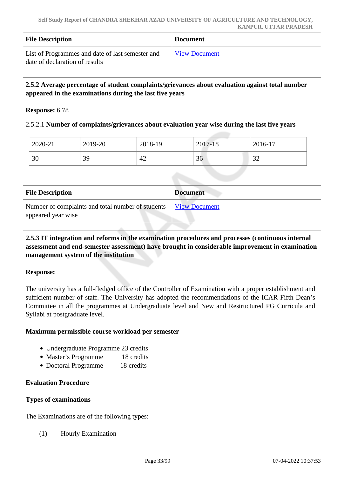| <b>File Description</b>                                                            | <b>Document</b>      |
|------------------------------------------------------------------------------------|----------------------|
| List of Programmes and date of last semester and<br>date of declaration of results | <b>View Document</b> |

### **2.5.2 Average percentage of student complaints/grievances about evaluation against total number appeared in the examinations during the last five years**

#### **Response:** 6.78

### 2.5.2.1 **Number of complaints/grievances about evaluation year wise during the last five years**

| 2020-21 | 2019-20   | 2018-19 | 2017-18 | $2016-17$     |
|---------|-----------|---------|---------|---------------|
| 30      | 39<br>ر ب | 42      | 36      | $\cap$<br>ىدر |

| <b>File Description</b>                                                 | <b>Document</b>      |
|-------------------------------------------------------------------------|----------------------|
| Number of complaints and total number of students<br>appeared year wise | <u>View Document</u> |

### **2.5.3 IT integration and reforms in the examination procedures and processes (continuous internal assessment and end-semester assessment) have brought in considerable improvement in examination management system of the institution**

### **Response:**

The university has a full-fledged office of the Controller of Examination with a proper establishment and sufficient number of staff. The University has adopted the recommendations of the ICAR Fifth Dean's Committee in all the programmes at Undergraduate level and New and Restructured PG Curricula and Syllabi at postgraduate level.

### **Maximum permissible course workload per semester**

- Undergraduate Programme 23 credits
- Master's Programme 18 credits
- Doctoral Programme 18 credits

### **Evaluation Procedure**

### **Types of examinations**

The Examinations are of the following types:

(1) Hourly Examination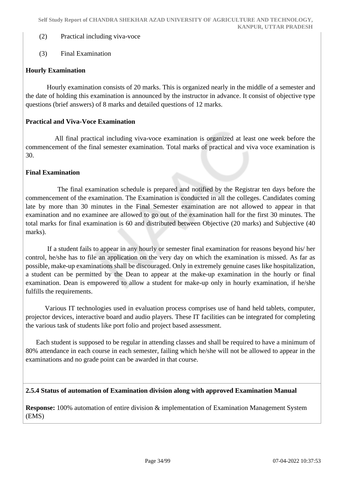- (2) Practical including viva-voce
- (3) Final Examination

### **Hourly Examination**

 Hourly examination consists of 20 marks. This is organized nearly in the middle of a semester and the date of holding this examination is announced by the instructor in advance. It consist of objective type questions (brief answers) of 8 marks and detailed questions of 12 marks.

### **Practical and Viva-Voce Examination**

 All final practical including viva-voce examination is organized at least one week before the commencement of the final semester examination. Total marks of practical and viva voce examination is 30.

### **Final Examination**

 The final examination schedule is prepared and notified by the Registrar ten days before the commencement of the examination. The Examination is conducted in all the colleges. Candidates coming late by more than 30 minutes in the Final Semester examination are not allowed to appear in that examination and no examinee are allowed to go out of the examination hall for the first 30 minutes. The total marks for final examination is 60 and distributed between Objective (20 marks) and Subjective (40 marks).

 If a student fails to appear in any hourly or semester final examination for reasons beyond his/ her control, he/she has to file an application on the very day on which the examination is missed. As far as possible, make-up examinations shall be discouraged. Only in extremely genuine cases like hospitalization, a student can be permitted by the Dean to appear at the make-up examination in the hourly or final examination. Dean is empowered to allow a student for make-up only in hourly examination, if he/she fulfills the requirements.

 Various IT technologies used in evaluation process comprises use of hand held tablets, computer, projector devices, interactive board and audio players. These IT facilities can be integrated for completing the various task of students like port folio and project based assessment.

 Each student is supposed to be regular in attending classes and shall be required to have a minimum of 80% attendance in each course in each semester, failing which he/she will not be allowed to appear in the examinations and no grade point can be awarded in that course.

### **2.5.4 Status of automation of Examination division along with approved Examination Manual**

**Response:** 100% automation of entire division & implementation of Examination Management System (EMS)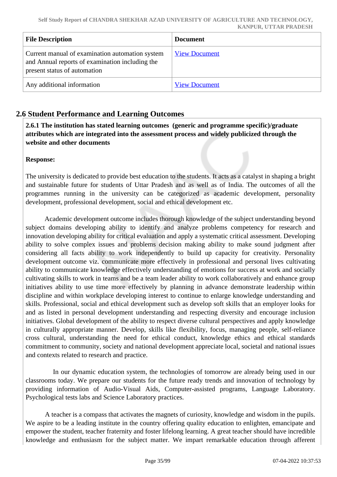| <b>File Description</b>                                                                                                            | <b>Document</b>      |
|------------------------------------------------------------------------------------------------------------------------------------|----------------------|
| Current manual of examination automation system<br>and Annual reports of examination including the<br>present status of automation | <b>View Document</b> |
| Any additional information                                                                                                         | <b>View Document</b> |

### **2.6 Student Performance and Learning Outcomes**

 **2.6.1 The institution has stated learning outcomes (generic and programme specific)/graduate attributes which are integrated into the assessment process and widely publicized through the website and other documents**

### **Response:**

The university is dedicated to provide best education to the students. It acts as a catalyst in shaping a bright and sustainable future for students of Uttar Pradesh and as well as of India. The outcomes of all the programmes running in the university can be categorized as academic development, personality development, professional development, social and ethical development etc.

 Academic development outcome includes thorough knowledge of the subject understanding beyond subject domains developing ability to identify and analyze problems competency for research and innovation developing ability for critical evaluation and apply a systematic critical assessment. Developing ability to solve complex issues and problems decision making ability to make sound judgment after considering all facts ability to work independently to build up capacity for creativity. Personality development outcome viz. communicate more effectively in professional and personal lives cultivating ability to communicate knowledge effectively understanding of emotions for success at work and socially cultivating skills to work in teams and be a team leader ability to work collaboratively and enhance group initiatives ability to use time more effectively by planning in advance demonstrate leadership within discipline and within workplace developing interest to continue to enlarge knowledge understanding and skills. Professional, social and ethical development such as develop soft skills that an employer looks for and as listed in personal development understanding and respecting diversity and encourage inclusion initiatives. Global development of the ability to respect diverse cultural perspectives and apply knowledge in culturally appropriate manner. Develop, skills like flexibility, focus, managing people, self-reliance cross cultural, understanding the need for ethical conduct, knowledge ethics and ethical standards commitment to community, society and national development appreciate local, societal and national issues and contexts related to research and practice.

 In our dynamic education system, the technologies of tomorrow are already being used in our classrooms today. We prepare our students for the future ready trends and innovation of technology by providing information of Audio-Visual Aids, Computer-assisted programs, Language Laboratory. Psychological tests labs and Science Laboratory practices.

 A teacher is a compass that activates the magnets of curiosity, knowledge and wisdom in the pupils. We aspire to be a leading institute in the country offering quality education to enlighten, emancipate and empower the student, teacher fraternity and foster lifelong learning. A great teacher should have incredible knowledge and enthusiasm for the subject matter. We impart remarkable education through afferent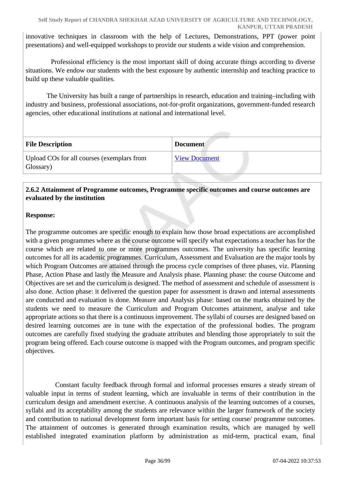innovative techniques in classroom with the help of Lectures, Demonstrations, PPT (power point presentations) and well-equipped workshops to provide our students a wide vision and comprehension.

 Professional efficiency is the most important skill of doing accurate things according to diverse situations. We endow our students with the best exposure by authentic internship and teaching practice to build up these valuable qualities.

 The University has built a range of partnerships in research, education and training–including with industry and business, professional associations, not-for-profit organizations, government-funded research agencies, other educational institutions at national and international level.

| <b>File Description</b>                                 | <b>Document</b>      |
|---------------------------------------------------------|----------------------|
| Upload COs for all courses (exemplars from<br>Glossary) | <b>View Document</b> |

### **2.6.2 Attainment of Programme outcomes, Programme specific outcomes and course outcomes are evaluated by the institution**

### **Response:**

The programme outcomes are specific enough to explain how those broad expectations are accomplished with a given programmes where as the course outcome will specify what expectations a teacher has for the course which are related to one or more programmes outcomes. The university has specific learning outcomes for all its academic programmes. Curriculum, Assessment and Evaluation are the major tools by which Program Outcomes are attained through the process cycle comprises of three phases, viz. Planning Phase, Action Phase and lastly the Measure and Analysis phase. Planning phase: the course Outcome and Objectives are set and the curriculum is designed. The method of assessment and schedule of assessment is also done. Action phase: it delivered the question paper for assessment is drawn and internal assessments are conducted and evaluation is done. Measure and Analysis phase: based on the marks obtained by the students we need to measure the Curriculum and Program Outcomes attainment, analyse and take appropriate actions so that there is a continuous improvement. The syllabi of courses are designed based on desired learning outcomes are in tune with the expectation of the professional bodies. The program outcomes are carefully fixed studying the graduate attributes and blending those appropriately to suit the program being offered. Each course outcome is mapped with the Program outcomes, and program specific objectives.

 Constant faculty feedback through formal and informal processes ensures a steady stream of valuable input in terms of student learning, which are invaluable in terms of their contribution in the curriculum design and amendment exercise. A continuous analysis of the learning outcomes of a courses, syllabi and its acceptability among the students are relevance within the larger framework of the society and contribution to national development form important basis for setting course/ programme outcomes. The attainment of outcomes is generated through examination results, which are managed by well established integrated examination platform by administration as mid-term, practical exam, final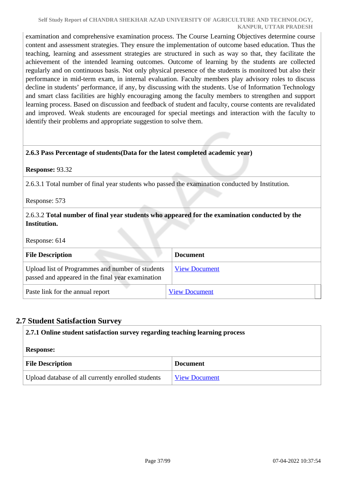examination and comprehensive examination process. The Course Learning Objectives determine course content and assessment strategies. They ensure the implementation of outcome based education. Thus the teaching, learning and assessment strategies are structured in such as way so that, they facilitate the achievement of the intended learning outcomes. Outcome of learning by the students are collected regularly and on continuous basis. Not only physical presence of the students is monitored but also their performance in mid-term exam, in internal evaluation. Faculty members play advisory roles to discuss decline in students' performance, if any, by discussing with the students. Use of Information Technology and smart class facilities are highly encouraging among the faculty members to strengthen and support learning process. Based on discussion and feedback of student and faculty, course contents are revalidated and improved. Weak students are encouraged for special meetings and interaction with the faculty to identify their problems and appropriate suggestion to solve them.

### **2.6.3 Pass Percentage of students(Data for the latest completed academic year)**

#### **Response:** 93.32

2.6.3.1 Total number of final year students who passed the examination conducted by Institution.

Response: 573

### 2.6.3.2 **Total number of final year students who appeared for the examination conducted by the Institution.**

Response: 614

| <b>File Description</b>                                                                               | <b>Document</b>      |
|-------------------------------------------------------------------------------------------------------|----------------------|
| Upload list of Programmes and number of students<br>passed and appeared in the final year examination | <b>View Document</b> |
| Paste link for the annual report                                                                      | <b>View Document</b> |

### **2.7 Student Satisfaction Survey**

| 2.7.1 Online student satisfaction survey regarding teaching learning process |                      |  |  |  |
|------------------------------------------------------------------------------|----------------------|--|--|--|
| <b>Response:</b>                                                             |                      |  |  |  |
| <b>File Description</b><br><b>Document</b>                                   |                      |  |  |  |
| Upload database of all currently enrolled students                           | <b>View Document</b> |  |  |  |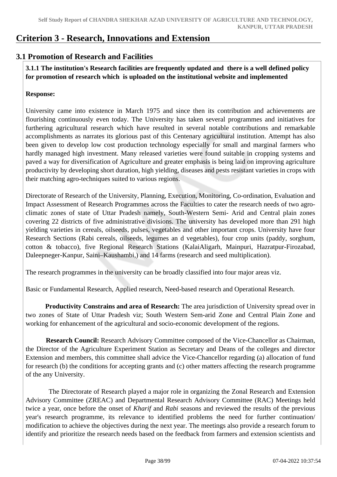# **Criterion 3 - Research, Innovations and Extension**

### **3.1 Promotion of Research and Facilities**

 **3.1.1 The institution's Research facilities are frequently updated and there is a well defined policy for promotion of research which is uploaded on the institutional website and implemented**

### **Response:**

University came into existence in March 1975 and since then its contribution and achievements are flourishing continuously even today. The University has taken several programmes and initiatives for furthering agricultural research which have resulted in several notable contributions and remarkable accomplishments as narrates its glorious past of this Centenary agricultural institution. Attempt has also been given to develop low cost production technology especially for small and marginal farmers who hardly managed high investment. Many released varieties were found suitable in cropping systems and paved a way for diversification of Agriculture and greater emphasis is being laid on improving agriculture productivity by developing short duration, high yielding, diseases and pests resistant varieties in crops with their matching agro-techniques suited to various regions.

Directorate of Research of the University, Planning, Execution, Monitoring, Co-ordination, Evaluation and Impact Assessment of Research Programmes across the Faculties to cater the research needs of two agroclimatic zones of state of Uttar Pradesh namely, South-Western Semi- Arid and Central plain zones covering 22 districts of five administrative divisions. The university has developed more than 291 high yielding varieties in cereals, oilseeds, pulses, vegetables and other important crops. University have four Research Sections (Rabi cereals, oilseeds, legumes an d vegetables), four crop units (paddy, sorghum, cotton & tobacco), five Regional Research Stations (KalaiAligarh, Mainpuri, Hazratpur-Firozabad, Daleepneger-Kanpur, Saini–Kaushambi,) and 14 farms (research and seed multiplication).

The research programmes in the university can be broadly classified into four major areas viz.

Basic or Fundamental Research, Applied research, Need-based research and Operational Research.

 **Productivity Constrains and area of Research:** The area jurisdiction of University spread over in two zones of State of Uttar Pradesh viz; South Western Sem-arid Zone and Central Plain Zone and working for enhancement of the agricultural and socio-economic development of the regions.

 **Research Council:** Research Advisory Committee composed of the Vice-Chancellor as Chairman, the Director of the Agriculture Experiment Station as Secretary and Deans of the colleges and director Extension and members, this committee shall advice the Vice-Chancellor regarding (a) allocation of fund for research (b) the conditions for accepting grants and (c) other matters affecting the research programme of the any University.

 The Directorate of Research played a major role in organizing the Zonal Research and Extension Advisory Committee (ZREAC) and Departmental Research Advisory Committee (RAC) Meetings held twice a year, once before the onset of *Kharif* and *Rabi* seasons and reviewed the results of the previous year's research programme, its relevance to identified problems the need for further continuation/ modification to achieve the objectives during the next year. The meetings also provide a research forum to identify and prioritize the research needs based on the feedback from farmers and extension scientists and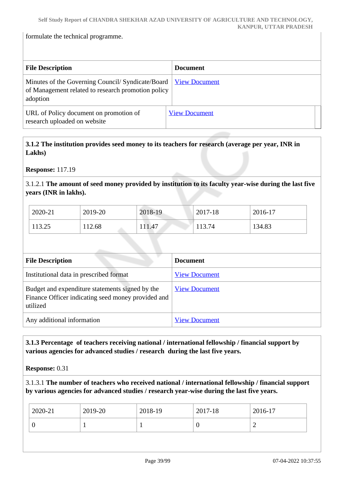formulate the technical programme.

| <b>File Description</b>                                                                                            | <b>Document</b>      |
|--------------------------------------------------------------------------------------------------------------------|----------------------|
| Minutes of the Governing Council/Syndicate/Board<br>of Management related to research promotion policy<br>adoption | <b>View Document</b> |
| URL of Policy document on promotion of<br>research uploaded on website                                             | <b>View Document</b> |

### **3.1.2 The institution provides seed money to its teachers for research (average per year, INR in Lakhs)**

**Response:** 117.19

3.1.2.1 **The amount of seed money provided by institution to its faculty year-wise during the last five years (INR in lakhs).**

| 2020-21 | 2019-20 | 2018-19 | 2017-18 | 2016-17 |
|---------|---------|---------|---------|---------|
| 113.25  | 12.68   | .11.47  | 13.74   | 134.83  |

| <b>File Description</b>                                                                                           | <b>Document</b>      |
|-------------------------------------------------------------------------------------------------------------------|----------------------|
| Institutional data in prescribed format                                                                           | <b>View Document</b> |
| Budget and expenditure statements signed by the<br>Finance Officer indicating seed money provided and<br>utilized | <b>View Document</b> |
| Any additional information                                                                                        | <b>View Document</b> |

 **3.1.3 Percentage of teachers receiving national / international fellowship / financial support by various agencies for advanced studies / research during the last five years.**

**Response:** 0.31

3.1.3.1 **The number of teachers who received national / international fellowship / financial support by various agencies for advanced studies / research year-wise during the last five years.**

| ∽ | $2020 - 21$ | 2019-20 | 2018-19 | 2017-18 | 2016-17 |
|---|-------------|---------|---------|---------|---------|
|   |             |         |         |         |         |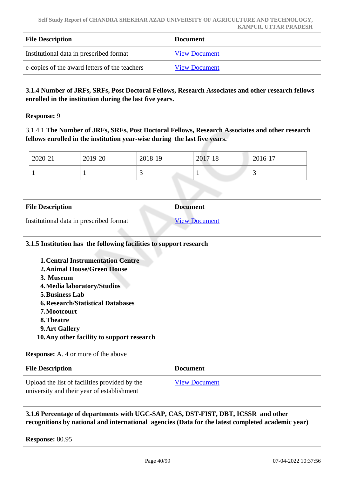| <b>File Description</b>                       | <b>Document</b>      |
|-----------------------------------------------|----------------------|
| Institutional data in prescribed format       | <b>View Document</b> |
| e-copies of the award letters of the teachers | <b>View Document</b> |

### **3.1.4 Number of JRFs, SRFs, Post Doctoral Fellows, Research Associates and other research fellows enrolled in the institution during the last five years.**

**Response:** 9

3.1.4.1 **The Number of JRFs, SRFs, Post Doctoral Fellows, Research Associates and other research fellows enrolled in the institution year-wise during the last five years.**

| 2020-21 | 2019-20 | 2018-19 | 2017-18 | 2016-17                  |
|---------|---------|---------|---------|--------------------------|
|         |         | ~       |         | $\overline{\phantom{0}}$ |

| <b>File Description</b>                 | <b>Document</b>      |
|-----------------------------------------|----------------------|
| Institutional data in prescribed format | <b>View Document</b> |

| 3.1.5 Institution has the following facilities to support research                                                                                                                                                                                                                                                                           |                      |
|----------------------------------------------------------------------------------------------------------------------------------------------------------------------------------------------------------------------------------------------------------------------------------------------------------------------------------------------|----------------------|
| <b>1. Central Instrumentation Centre</b><br><b>2. Animal House/Green House</b><br>3. Museum<br>4. Media laboratory/Studios<br><b>5. Business Lab</b><br><b>6. Research/Statistical Databases</b><br>7. Mootcourt<br>8. Theatre<br>9. Art Gallery<br>10. Any other facility to support research<br><b>Response:</b> A. 4 or more of the above |                      |
| <b>File Description</b>                                                                                                                                                                                                                                                                                                                      | <b>Document</b>      |
| Upload the list of facilities provided by the<br>university and their year of establishment                                                                                                                                                                                                                                                  | <b>View Document</b> |

 **3.1.6 Percentage of departments with UGC-SAP, CAS, DST-FIST, DBT, ICSSR and other recognitions by national and international agencies (Data for the latest completed academic year)**

**Response:** 80.95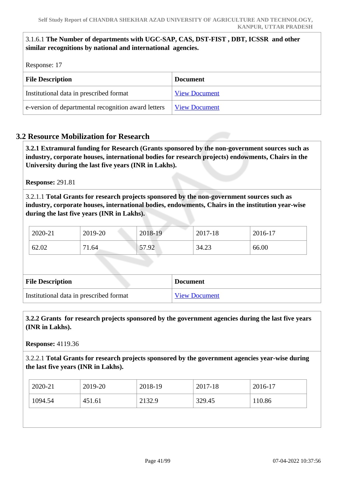### 3.1.6.1 **The Number of departments with UGC-SAP, CAS, DST-FIST , DBT, ICSSR and other similar recognitions by national and international agencies.**

Response: 17

| <b>File Description</b>                             | <b>Document</b>      |  |  |
|-----------------------------------------------------|----------------------|--|--|
| Institutional data in prescribed format             | <b>View Document</b> |  |  |
| e-version of departmental recognition award letters | <b>View Document</b> |  |  |

### **3.2 Resource Mobilization for Research**

 **3.2.1 Extramural funding for Research (Grants sponsored by the non-government sources such as industry, corporate houses, international bodies for research projects) endowments, Chairs in the University during the last five years (INR in Lakhs).**

**Response:** 291.81

3.2.1.1 **Total Grants for research projects sponsored by the non-government sources such as industry, corporate houses, international bodies, endowments, Chairs in the institution year-wise during the last five years (INR in Lakhs).**

| 2020-21 | 2019-20 | 2018-19 | 2017-18 | 2016-17 |
|---------|---------|---------|---------|---------|
| 62.02   | 71.64   | 57.92   | 34.23   | 66.00   |

| <b>File Description</b>                 | <b>Document</b>      |
|-----------------------------------------|----------------------|
| Institutional data in prescribed format | <b>View Document</b> |

 **3.2.2 Grants for research projects sponsored by the government agencies during the last five years (INR in Lakhs).**

**Response:** 4119.36

3.2.2.1 **Total Grants for research projects sponsored by the government agencies year-wise during the last five years (INR in Lakhs).**

| 1094.54<br>329.45<br>2132.9<br>110.86<br>451.61 | $2020 - 21$ | 2019-20 | 2018-19 | 2017-18 | 2016-17 |
|-------------------------------------------------|-------------|---------|---------|---------|---------|
|                                                 |             |         |         |         |         |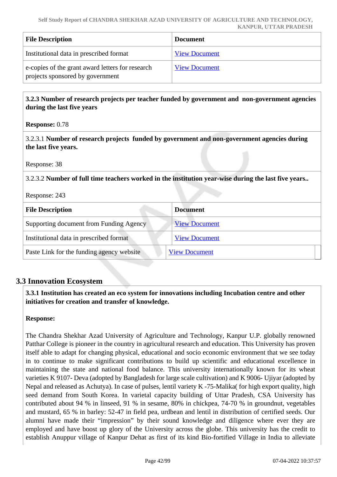| <b>File Description</b>                                                              | <b>Document</b>      |
|--------------------------------------------------------------------------------------|----------------------|
| Institutional data in prescribed format                                              | <b>View Document</b> |
| e-copies of the grant award letters for research<br>projects sponsored by government | <b>View Document</b> |

 **3.2.3 Number of research projects per teacher funded by government and non-government agencies during the last five years**

| <b>Response:</b> 0.78 |  |
|-----------------------|--|
|-----------------------|--|

3.2.3.1 **Number of research projects funded by government and non-government agencies during the last five years.**

Response: 38

3.2.3.2 **Number of full time teachers worked in the institution year-wise during the last five years..**

Response: 243

| <b>File Description</b>                   | <b>Document</b>      |
|-------------------------------------------|----------------------|
| Supporting document from Funding Agency   | <b>View Document</b> |
| Institutional data in prescribed format   | <b>View Document</b> |
| Paste Link for the funding agency website | <b>View Document</b> |

### **3.3 Innovation Ecosystem**

 **3.3.1 Institution has created an eco system for innovations including Incubation centre and other initiatives for creation and transfer of knowledge.**

### **Response:**

The Chandra Shekhar Azad University of Agriculture and Technology, Kanpur U.P. globally renowned Patthar College is pioneer in the country in agricultural research and education. This University has proven itself able to adapt for changing physical, educational and socio economic environment that we see today in to continue to make significant contributions to build up scientific and educational excellence in maintaining the state and national food balance. This university internationally known for its wheat varieties K 9107- Deva (adopted by Bangladesh for large scale cultivation) and K 9006- Ujiyar (adopted by Nepal and released as Achutya). In case of pulses, lentil variety K -75-Malika( for high export quality, high seed demand from South Korea. In varietal capacity building of Uttar Pradesh, CSA University has contributed about 94 % in linseed, 91 % in sesame, 80% in chickpea, 74-70 % in groundnut, vegetables and mustard, 65 % in barley: 52-47 in field pea, urdbean and lentil in distribution of certified seeds. Our alumni have made their "impression" by their sound knowledge and diligence where ever they are employed and have boost up glory of the University across the globe. This university has the credit to establish Anuppur village of Kanpur Dehat as first of its kind Bio-fortified Village in India to alleviate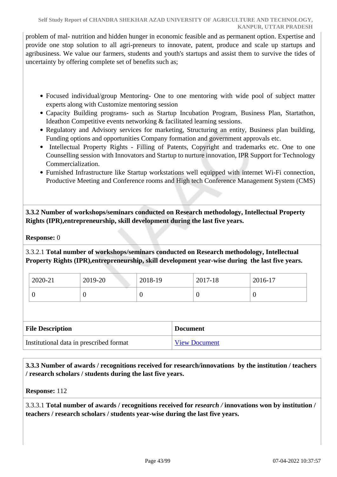problem of mal- nutrition and hidden hunger in economic feasible and as permanent option. Expertise and provide one stop solution to all agri-preneurs to innovate, patent, produce and scale up startups and agribusiness. We value our farmers, students and youth's startups and assist them to survive the tides of uncertainty by offering complete set of benefits such as;

- Focused individual/group Mentoring- One to one mentoring with wide pool of subject matter experts along with Customize mentoring session
- Capacity Building programs- such as Startup Incubation Program, Business Plan, Startathon, Ideathon Competitive events networking & facilitated learning sessions.
- Regulatory and Advisory services for marketing, Structuring an entity, Business plan building, Funding options and opportunities Company formation and government approvals etc.
- Intellectual Property Rights Filling of Patents, Copyright and trademarks etc. One to one Counselling session with Innovators and Startup to nurture innovation, IPR Support for Technology Commercialization.
- Furnished Infrastructure like Startup workstations well equipped with internet Wi-Fi connection, Productive Meeting and Conference rooms and High tech Conference Management System (CMS)

 **3.3.2 Number of workshops/seminars conducted on Research methodology, Intellectual Property Rights (IPR),entrepreneurship, skill development during the last five years.**

**Response:** 0

3.3.2.1 **Total number of workshops/seminars conducted on Research methodology, Intellectual Property Rights (IPR),entrepreneurship, skill development year-wise during the last five years.**

| 2020-21 | 2019-20 | 2018-19 | 2017-18 | 2016-17 |
|---------|---------|---------|---------|---------|
|         | ν       | ີ       | U       | ◡       |

| <b>File Description</b>                 | <b>Document</b>      |
|-----------------------------------------|----------------------|
| Institutional data in prescribed format | <b>View Document</b> |

 **3.3.3 Number of awards / recognitions received for research/innovations by the institution / teachers / research scholars / students during the last five years.**

**Response:** 112

3.3.3.1 **Total number of awards / recognitions received for** *research /* **innovations won by institution / teachers / research scholars / students year-wise during the last five years.**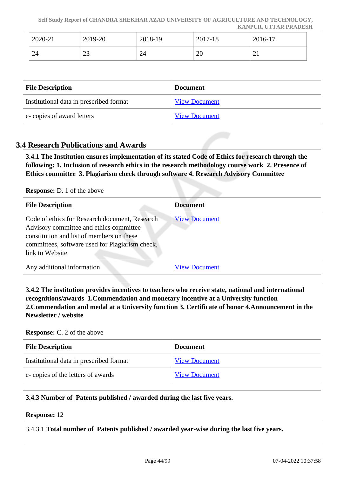**Self Study Report of CHANDRA SHEKHAR AZAD UNIVERSITY OF AGRICULTURE AND TECHNOLOGY, KANPUR, UTTAR PRADESH**

|                                         | 2020-21 | 2019-20                   | 2018-19         |  | 2017-18 | 2016-17 |
|-----------------------------------------|---------|---------------------------|-----------------|--|---------|---------|
|                                         | 24      | 23                        | 24              |  | 20      | 21      |
|                                         |         |                           |                 |  |         |         |
| <b>File Description</b>                 |         |                           | <b>Document</b> |  |         |         |
| Institutional data in prescribed format |         | <b>View Document</b>      |                 |  |         |         |
|                                         |         | e-copies of award letters |                 |  |         |         |

### **3.4 Research Publications and Awards**

 **3.4.1 The Institution ensures implementation of its stated Code of Ethics for research through the following: 1. Inclusion of research ethics in the research methodology course work 2. Presence of Ethics committee 3. Plagiarism check through software 4. Research Advisory Committee**

**Response:** D. 1 of the above

| <b>File Description</b>                                                                                                                                                                                      | <b>Document</b>      |
|--------------------------------------------------------------------------------------------------------------------------------------------------------------------------------------------------------------|----------------------|
| Code of ethics for Research document, Research<br>Advisory committee and ethics committee<br>constitution and list of members on these<br>committees, software used for Plagiarism check,<br>link to Website | <b>View Document</b> |
| Any additional information                                                                                                                                                                                   | <b>View Document</b> |

 **3.4.2 The institution provides incentives to teachers who receive state, national and international recognitions/awards 1.Commendation and monetary incentive at a University function 2.Commendation and medal at a University function 3. Certificate of honor 4.Announcement in the Newsletter / website**

#### **Response:** C. 2 of the above

| <b>File Description</b>                 | <b>Document</b>      |
|-----------------------------------------|----------------------|
| Institutional data in prescribed format | <b>View Document</b> |
| e-copies of the letters of awards       | <b>View Document</b> |

### **3.4.3 Number of Patents published / awarded during the last five years.**

#### **Response:** 12

3.4.3.1 **Total number of Patents published / awarded year-wise during the last five years.**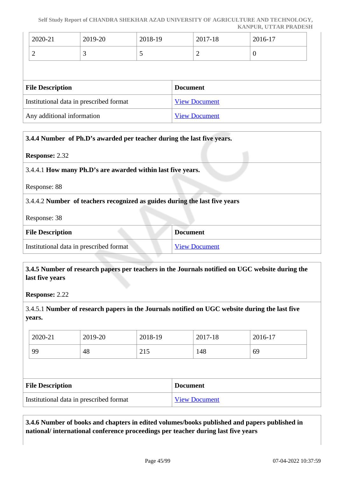#### **Self Study Report of CHANDRA SHEKHAR AZAD UNIVERSITY OF AGRICULTURE AND TECHNOLOGY, KANPUR, UTTAR PRADESH**

| 2020-21                                 | 2019-20 | 2018-19              | 2017-18              | 2016-17  |  |
|-----------------------------------------|---------|----------------------|----------------------|----------|--|
|                                         | 3       | C                    | $\overline{2}$       | $\theta$ |  |
|                                         |         |                      |                      |          |  |
| <b>File Description</b>                 |         |                      | <b>Document</b>      |          |  |
| Institutional data in prescribed format |         |                      | <b>View Document</b> |          |  |
| Any additional information              |         | <b>View Document</b> |                      |          |  |

| 3.4.4 Number of Ph.D's awarded per teacher during the last five years.     |                      |
|----------------------------------------------------------------------------|----------------------|
| <b>Response: 2.32</b>                                                      |                      |
| 3.4.4.1 How many Ph.D's are awarded within last five years.                |                      |
| Response: 88                                                               |                      |
| 3.4.4.2 Number of teachers recognized as guides during the last five years |                      |
| Response: 38                                                               |                      |
| <b>File Description</b>                                                    | <b>Document</b>      |
| Institutional data in prescribed format                                    | <b>View Document</b> |

### **3.4.5 Number of research papers per teachers in the Journals notified on UGC website during the last five years**

**Response:** 2.22

### 3.4.5.1 **Number of research papers in the Journals notified on UGC website during the last five years.**

| 2020-21 | 2019-20 | 2018-19                         | 2017-18 | 2016-17 |
|---------|---------|---------------------------------|---------|---------|
| 99      | 48      | $\bigcap$ 1 $\bigsubset$<br>21J | 148     | 69      |

| <b>File Description</b>                 | <b>Document</b>      |
|-----------------------------------------|----------------------|
| Institutional data in prescribed format | <b>View Document</b> |

### **3.4.6 Number of books and chapters in edited volumes/books published and papers published in national/ international conference proceedings per teacher during last five years**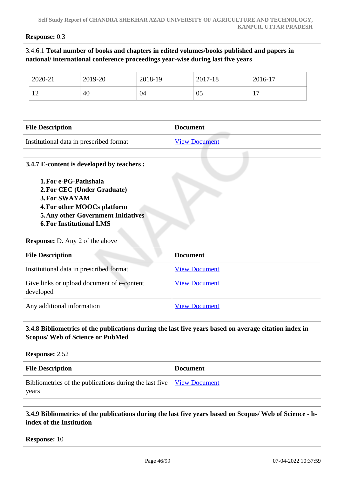#### **Response:** 0.3

| 2020-21                                       | 2019-20                                                                                                                                     | 2018-19 | 2017-18              | 2016-17 |
|-----------------------------------------------|---------------------------------------------------------------------------------------------------------------------------------------------|---------|----------------------|---------|
| 12                                            | 40                                                                                                                                          | 04      | 05                   | 17      |
|                                               |                                                                                                                                             |         |                      |         |
| <b>File Description</b>                       |                                                                                                                                             |         | <b>Document</b>      |         |
|                                               | Institutional data in prescribed format                                                                                                     |         | <b>View Document</b> |         |
|                                               |                                                                                                                                             |         |                      |         |
| 1. For e-PG-Pathshala<br><b>3. For SWAYAM</b> | 2. For CEC (Under Graduate)<br>4. For other MOOCs platform<br><b>5. Any other Government Initiatives</b><br><b>6. For Institutional LMS</b> |         |                      |         |
| <b>File Description</b>                       | <b>Response:</b> D. Any 2 of the above                                                                                                      |         | <b>Document</b>      |         |

# developed Any additional information [View Document](https://assessmentonline.naac.gov.in/storage/app/hei/SSR/110514/3.4.7_1633698423_6746.pdf)

Give links or upload document of e-content

### **3.4.8 Bibliometrics of the publications during the last five years based on average citation index in Scopus/ Web of Science or PubMed**

[View Document](https://assessmentonline.naac.gov.in/storage/app/hei/SSR/110514/3.4.7_1633702009_6746.pdf)

**Response:** 2.52 **File Description Document** Bibliometrics of the publications during the last five years [View Document](https://assessmentonline.naac.gov.in/storage/app/hei/SSR/110514/3.4.8_1633593188_6746.docx)

### **3.4.9 Bibliometrics of the publications during the last five years based on Scopus/ Web of Science - hindex of the Institution**

**Response:** 10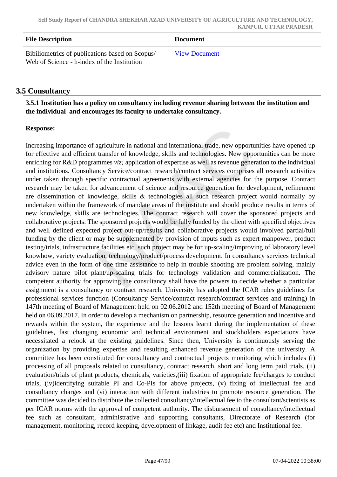| <b>File Description</b>                                                                        | Document             |
|------------------------------------------------------------------------------------------------|----------------------|
| Bibiliometrics of publications based on Scopus/<br>Web of Science - h-index of the Institution | <b>View Document</b> |

### **3.5 Consultancy**

 **3.5.1 Institution has a policy on consultancy including revenue sharing between the institution and the individual and encourages its faculty to undertake consultancy.**

### **Response:**

Increasing importance of agriculture in national and international trade, new opportunities have opened up for effective and efficient transfer of knowledge, skills and technologies. New opportunities can be more enriching for R&D programmes *viz;* application of expertise as well as revenue generation to the individual and institutions. Consultancy Service/contract research/contract services comprises all research activities under taken through specific contractual agreements with external agencies for the purpose. Contract research may be taken for advancement of science and resource generation for development, refinement are dissemination of knowledge, skills & technologies all such research project would normally by undertaken within the framework of mandate areas of the institute and should produce results in terms of new knowledge, skills are technologies. The contract research will cover the sponsored projects and collaborative projects. The sponsored projects would be fully funded by the client with specified objectives and well defined expected project out-up/results and collaborative projects would involved partial/full funding by the client or may be supplemented by provision of inputs such as expert manpower, product testing/trials, infrastructure facilities etc. such project may be for up-scaling/improving of laboratory level knowhow, variety evaluation, technology/product/process development. In consultancy services technical advice even in the form of one time assistance to help in trouble shooting are problem solving, mainly advisory nature pilot plant/up-scaling trials for technology validation and commercialization. The competent authority for approving the consultancy shall have the powers to decide whether a particular assignment is a consultancy or contract research. University has adopted the ICAR rules guidelines for professional services function (Consultancy Service/contract research/contract services and training) in 147th meeting of Board of Management held on 02.06.2012 and 152th meeting of Board of Management held on 06.09.2017. In order to develop a mechanism on partnership, resource generation and incentive and rewards within the system, the experience and the lessons learnt during the implementation of these guidelines, fast changing economic and technical environment and stockholders expectations have necessitated a relook at the existing guidelines. Since then, University is continuously serving the organization by providing expertise and resulting enhanced revenue generation of the university. A committee has been constituted for consultancy and contractual projects monitoring which includes (i) processing of all proposals related to consultancy, contract research, short and long term paid trials, (ii) evaluation/trials of plant products, chemicals, varieties,(iii) fixation of appropriate fee/charges to conduct trials, (iv)identifying suitable PI and Co-PIs for above projects, (v) fixing of intellectual fee and consultancy charges and (vi) interaction with different industries to promote resource generation. The committee was decided to distribute the collected consultancy/intellectual fee to the consultant/scientists as per ICAR norms with the approval of competent authority. The disbursement of consultancy/intellectual fee such as consultant, administrative and supporting consultants, Directorate of Research (for management, monitoring, record keeping, development of linkage, audit fee etc) and Institutional fee.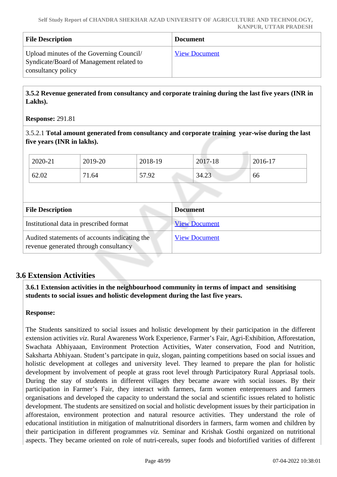| <b>File Description</b>                                                                                    | <b>Document</b>      |
|------------------------------------------------------------------------------------------------------------|----------------------|
| Upload minutes of the Governing Council/<br>Syndicate/Board of Management related to<br>consultancy policy | <b>View Document</b> |

 **3.5.2 Revenue generated from consultancy and corporate training during the last five years (INR in Lakhs).**

#### **Response:** 291.81

3.5.2.1 **Total amount generated from consultancy and corporate training year-wise during the last five years (INR in lakhs).**

| 2020-21 | 2019-20            | 2018-19             | 2017-18 | 2016-17 |
|---------|--------------------|---------------------|---------|---------|
| 62.02   | <b>m</b> 1<br>1.64 | $\epsilon$<br>57.92 | 34.23   | 66      |

| <b>File Description</b>                                                                | <b>Document</b>      |
|----------------------------------------------------------------------------------------|----------------------|
| Institutional data in prescribed format                                                | <b>View Document</b> |
| Audited statements of accounts indicating the<br>revenue generated through consultancy | <b>View Document</b> |

### **3.6 Extension Activities**

 **3.6.1 Extension activities in the neighbourhood community in terms of impact and sensitising students to social issues and holistic development during the last five years.**

### **Response:**

The Students sansitized to social issues and holistic development by their participation in the different extension activities *viz*. Rural Awareness Work Experience, Farmer's Fair, Agri-Exhibition, Afforestation, Swachata Abhiyaaan, Environment Protection Activities, Water conservation, Food and Nutrition, Saksharta Abhiyaan. Student's partcipate in quiz, slogan, painting competitions based on social issues and holistic development at colleges and university level. They learned to prepare the plan for holistic development by involvement of people at grass root level through Participatory Rural Appriasal tools. During the stay of students in different villages they became aware with social issues. By their participation in Farmer's Fair, they interact with farmers, farm women enterprenuers and farmers organisations and developed the capacity to understand the social and scientific issues related to holistic development. The students are sensitized on social and holistic development issues by their participation in afforestaion, environment protection and natural resource activities. They understand the role of educational institiution in mitigation of malnutritional disorders in farmers, farm women and children by their participation in different programmes *viz.* Seminar and Krishak Gosthi organized on nutritional aspects. They became oriented on role of nutri-cereals, super foods and biofortified varities of different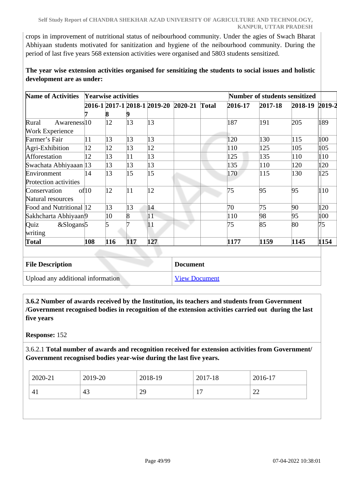crops in improvement of nutritional status of neibourhood community. Under the agies of Swach Bharat Abhiyaan students motivated for sanitization and hygiene of the neibourhood community. During the period of last five years 568 extension activities were organised and 5803 students sensitized.

**The year wise extension activities organised for sensitizing the students to social issues and holistic development are as under:**

| <b>Name of Activities</b>        |       | <b>Yearwise activities</b> |     |                                      |              |         | <b>Number of students sensitized</b> |                |      |
|----------------------------------|-------|----------------------------|-----|--------------------------------------|--------------|---------|--------------------------------------|----------------|------|
|                                  |       |                            |     | 2016-1 2017-1 2018-1 2019-20 2020-21 | <b>Total</b> | 2016-17 | 2017-18                              | 2018-19 2019-2 |      |
|                                  |       | ð                          |     |                                      |              |         |                                      |                |      |
| Awareness <sup>10</sup><br>Rural |       | 12                         | 13  | 13                                   |              | 187     | 191                                  | 205            | 189  |
| <b>Work Experience</b>           |       |                            |     |                                      |              |         |                                      |                |      |
| Farmer's Fair                    | 11    | 13                         | 13  | 13                                   |              | 120     | 130                                  | 115            | 100  |
| Agri-Exhibition                  | 12    | 12                         | 13  | 12                                   |              | 110     | 125                                  | 105            | 105  |
| Afforestation                    | 12    | 13                         | 11  | 13                                   |              | 125     | 135                                  | 110            | 110  |
| Swachata Abhiyaaan 13            |       | 13                         | 13  | 13                                   |              | 135     | 110                                  | 120            | 120  |
| Environment                      | 14    | 13                         | 15  | 15                                   |              | 170     | 115                                  | 130            | 125  |
| Protection activities            |       |                            |     |                                      |              |         |                                      |                |      |
| Conservation                     | of 10 | 12                         | 11  | 12                                   |              | 75      | 95                                   | 95             | 110  |
| Natural resources                |       |                            |     |                                      |              |         |                                      |                |      |
| Food and Nutritional 12          |       | 13                         | 13  | 14                                   |              | 70      | 75                                   | 90             | 120  |
| Sakhcharta Abhiyaan9             |       | 10                         | 8   | 11                                   |              | 110     | 98                                   | 95             | 100  |
| $&$ Slogans <sup>5</sup><br>Quiz |       | 5                          |     | 11                                   |              | 75      | 85                                   | 80             | 75   |
| writing                          |       |                            |     |                                      |              |         |                                      |                |      |
| Total                            | 108   | 116                        | 117 | 127                                  |              | 1177    | 1159                                 | 1145           | 1154 |

| <b>File Description</b>           | <b>Document</b>      |
|-----------------------------------|----------------------|
| Upload any additional information | <b>View Document</b> |

 **3.6.2 Number of awards received by the Institution, its teachers and students from Government /Government recognised bodies in recognition of the extension activities carried out during the last five years**

**Response:** 152

3.6.2.1 **Total number of awards and recognition received for extension activities from Government/ Government recognised bodies year-wise during the last five years.**

| 2019-20<br>$2020 - 21$<br>$2018-19$<br>2017-18 | 2016-17 |
|------------------------------------------------|---------|
| 29<br>43<br>−<br>-41                           | 22      |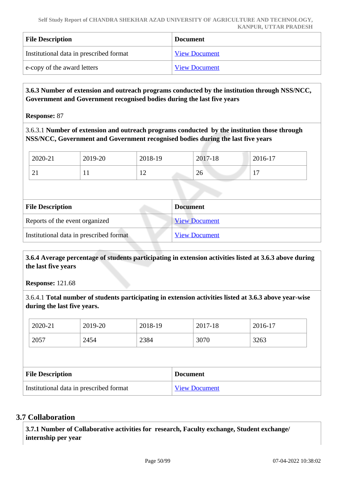| <b>File Description</b>                 | <b>Document</b>      |
|-----------------------------------------|----------------------|
| Institutional data in prescribed format | <b>View Document</b> |
| e-copy of the award letters             | <b>View Document</b> |

### **3.6.3 Number of extension and outreach programs conducted by the institution through NSS/NCC, Government and Government recognised bodies during the last five years**

**Response:** 87

3.6.3.1 **Number of extension and outreach programs conducted by the institution those through NSS/NCC, Government and Government recognised bodies during the last five years**

| 2020-21  | 2019-20 | 2018-19           | 2017-18 | 2016-17 |
|----------|---------|-------------------|---------|---------|
| $\sim$ 1 | . .     | $\sim$<br>$\perp$ | 26      | -       |

| <b>File Description</b><br><b>Document</b> |                      |
|--------------------------------------------|----------------------|
| Reports of the event organized             | <b>View Document</b> |
| Institutional data in prescribed format    | <b>View Document</b> |

 **3.6.4 Average percentage of students participating in extension activities listed at 3.6.3 above during the last five years**

**Response:** 121.68

3.6.4.1 **Total number of students participating in extension activities listed at 3.6.3 above year-wise during the last five years.**

|                                         | 2020-21 | 2019-20         | 2018-19              |  | 2017-18 | 2016-17 |  |
|-----------------------------------------|---------|-----------------|----------------------|--|---------|---------|--|
|                                         | 2057    | 2454            | 2384                 |  | 3070    | 3263    |  |
|                                         |         |                 |                      |  |         |         |  |
| <b>File Description</b>                 |         | <b>Document</b> |                      |  |         |         |  |
| Institutional data in prescribed format |         |                 | <b>View Document</b> |  |         |         |  |

### **3.7 Collaboration**

 **3.7.1 Number of Collaborative activities for research, Faculty exchange, Student exchange/ internship per year**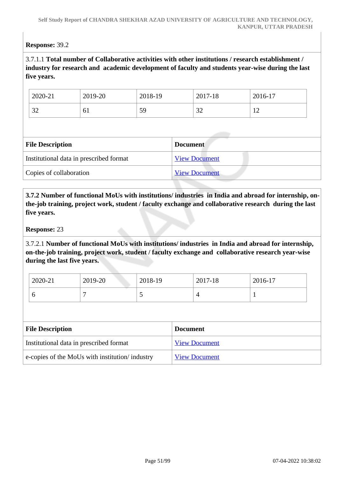### **Response:** 39.2

### 3.7.1.1 **Total number of Collaborative activities with other institutions / research establishment / industry for research and academic development of faculty and students year-wise during the last five years.**

| 2020-21      | 2019-20 | 2018-19 | 2017-18      | 2016-17      |
|--------------|---------|---------|--------------|--------------|
| $\cap$<br>ΟŹ | υı.     | 59      | $\cap$<br>ىر | $\sim$<br>-- |

| <b>File Description</b>                 | <b>Document</b>      |  |
|-----------------------------------------|----------------------|--|
| Institutional data in prescribed format | <b>View Document</b> |  |
| Copies of collaboration                 | <b>View Document</b> |  |

 **3.7.2 Number of functional MoUs with institutions/ industries in India and abroad for internship, onthe-job training, project work, student / faculty exchange and collaborative research during the last five years.**

#### **Response:** 23

3.7.2.1 **Number of functional MoUs with institutions/ industries in India and abroad for internship, on-the-job training, project work, student / faculty exchange and collaborative research year-wise during the last five years.**

| 2020-21 | 2019-20 | 2018-19                  | 2017-18 | 2016-17 |
|---------|---------|--------------------------|---------|---------|
| ິ       |         | $\overline{\phantom{0}}$ |         |         |

| <b>File Description</b>                         | <b>Document</b>      |
|-------------------------------------------------|----------------------|
| Institutional data in prescribed format         | <b>View Document</b> |
| e-copies of the MoUs with institution/ industry | <b>View Document</b> |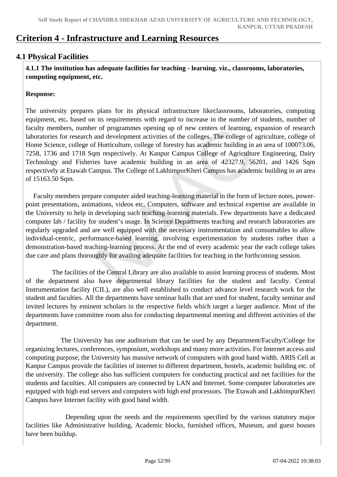# **Criterion 4 - Infrastructure and Learning Resources**

### **4.1 Physical Facilities**

 **4.1.1 The institution has adequate facilities for teaching - learning. viz., classrooms, laboratories, computing equipment, etc.**

### **Response:**

The university prepares plans for its physical infrastructure likeclassrooms, laboratories, computing equipment, etc*.* based on its requirements with regard to increase in the number of students, number of faculty members, number of programmes opening up of new centers of learning, expansion of research laboratories for research and development activities of the colleges. The college of agriculture, college of Home Science, college of Horticulture, college of forestry has academic building in an area of 100073.06, 7258, 1736 and 1718 Sqm respectively. At Kanpur Campus College of Agriculture Engineering, Dairy Technology and Fisheries have academic building in an area of 42327.9, 56201, and 1426 Sqm respectively at Etawah Campus. The College of LakhimpurKheri Campus has academic building in an area of 15163.50 Sqm.

 Faculty members prepare computer aided teaching-learning material in the form of lecture notes, powerpoint presentations, animations, videos etc. Computers, software and technical expertise are available in the University to help in developing such teaching-learning materials. Few departments have a dedicated computer lab / facility for student's usage. In Science Departments teaching and research laboratories are regularly upgraded and are well equipped with the necessary instrumentation and consumables to allow individual-centric, performance-based learning, involving experimentation by students rather than a demonstration-based teaching-learning process. At the end of every academic year the each college takes due care and plans thoroughly for availing adequate facilities for teaching in the forthcoming session.

 The facilities of the Central Library are also available to assist learning process of students. Most of the department also have departmental library facilities for the student and faculty. Central Instrumentation facility (CIL), are also well established to conduct advance level research work for the student and faculties. All the departments have seminar halls that are used for student, faculty seminar and invited lectures by eminent scholars in the respective fields which target a larger audience. Most of the departments have committee room also for conducting departmental meeting and different activities of the department.

 The University has one auditorium that can be used by any Department/Faculty/College for organizing lectures, conferences, symposium, workshops and many more activities. For Internet access and computing purpose, the University has massive network of computers with good band width. ARIS Cell at Kanpur Campus provide the facilities of internet to different department, hostels, academic building etc. of the university. The college also has sufficient computers for conducting practical and net facilities for the students and faculties. All computers are connected by LAN and Internet. Some computer laboratories are equipped with high end servers and computers with high end processors. The Etawah and LakhimpurKheri Campus have Internet facility with good band width.

 Depending upon the needs and the requirements specified by the various statutory major facilities like Administrative building, Academic blocks, furnished offices, Museum, and guest houses have been buildup.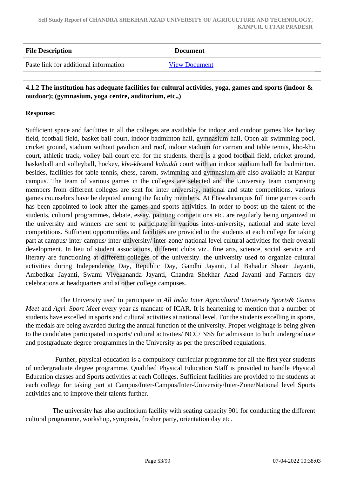| <b>File Description</b>               | <b>Document</b>      |
|---------------------------------------|----------------------|
| Paste link for additional information | <b>View Document</b> |

 **4.1.2 The institution has adequate facilities for cultural activities, yoga, games and sports (indoor & outdoor); (gymnasium, yoga centre, auditorium, etc.,)**

### **Response:**

Sufficient space and facilities in all the colleges are available for indoor and outdoor games like hockey field, football field, basket ball court, indoor badminton hall, gymnasium hall, Open air swimming pool, cricket ground, stadium without pavilion and roof, indoor stadium for carrom and table tennis, kho-kho court, athletic track, volley ball court etc. for the students. there is a good football field, cricket ground, basketball and volleyball, hockey, *kho-kho*and *kabaddi* court with an indoor stadium hall for badminton. besides, facilities for table tennis, chess, carom, swimming and gymnasium are also available at Kanpur campus. The team of various games in the colleges are selected and the University team comprising members from different colleges are sent for inter university, national and state competitions. various games counselors have be deputed among the faculty members. At Etawahcampus full time games coach has been appointed to look after the games and sports activities. In order to boost up the talent of the students, cultural programmes, debate, essay, painting competitions etc. are regularly being organized in the university and winners are sent to participate in various inter-university, national and state level competitions. Sufficient opportunities and facilities are provided to the students at each college for taking part at campus/ inter-campus/ inter-university/ inter-zone/ national level cultural activities for their overall development. In lieu of student associations, different clubs viz., fine arts, science, social service and literary are functioning at different colleges of the university. the university used to organize cultural activities during Independence Day, Republic Day, Gandhi Jayanti, Lal Bahadur Shastri Jayanti, Ambedkar Jayanti, Swami Vivekananda Jayanti, Chandra Shekhar Azad Jayanti and Farmers day celebrations at headquarters and at other college campuses.

 The University used to participate in *All India Inter Agricultural University Sports& Games Meet* and *Agri. Sport Meet* every year as mandate of ICAR. It is heartening to mention that a number of students have excelled in sports and cultural activities at national level. For the students excelling in sports, the medals are being awarded during the annual function of the university. Proper weightage is being given to the candidates participated in sports/ cultural activities/ NCC/ NSS for admission to both undergraduate and postgraduate degree programmes in the University as per the prescribed regulations.

 Further, physical education is a compulsory curricular programme for all the first year students of undergraduate degree programme. Qualified Physical Education Staff is provided to handle Physical Education classes and Sports activities at each Colleges. Sufficient facilities are provided to the students at each college for taking part at Campus/Inter-Campus/Inter-University/Inter-Zone/National level Sports activities and to improve their talents further.

 The university has also auditorium facility with seating capacity 901 for conducting the different cultural programme, workshop, symposia, fresher party, orientation day etc.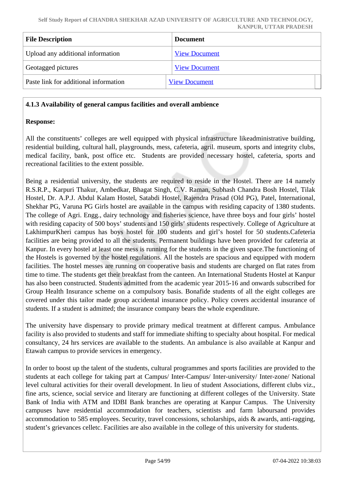| <b>File Description</b>               | <b>Document</b>      |
|---------------------------------------|----------------------|
| Upload any additional information     | <b>View Document</b> |
| Geotagged pictures                    | <b>View Document</b> |
| Paste link for additional information | <b>View Document</b> |

### **4.1.3 Availability of general campus facilities and overall ambience**

### **Response:**

All the constituents' colleges are well equipped with physical infrastructure likeadministrative building, residential building, cultural hall, playgrounds, mess, cafeteria, agril. museum, sports and integrity clubs, medical facility, bank, post office etc. Students are provided necessary hostel, cafeteria, sports and recreational facilities to the extent possible.

Being a residential university, the students are required to reside in the Hostel. There are 14 namely R.S.R.P., Karpuri Thakur, Ambedkar, Bhagat Singh, C.V. Raman, Subhash Chandra Bosh Hostel, Tilak Hostel, Dr. A.P.J. Abdul Kalam Hostel, Satabdi Hostel, Rajendra Prasad (Old PG), Patel, International, Shekhar PG, Varuna PG Girls hostel are available in the campus with residing capacity of 1380 students. The college of Agri. Engg., dairy technology and fisheries science, have three boys and four girls' hostel with residing capacity of 500 boys' students and 150 girls' students respectively. College of Agriculture at LakhimpurKheri campus has boys hostel for 100 students and girl's hostel for 50 students.Cafeteria facilities are being provided to all the students. Permanent buildings have been provided for cafeteria at Kanpur. In every hostel at least one mess is running for the students in the given space.The functioning of the Hostels is governed by the hostel regulations. All the hostels are spacious and equipped with modern facilities. The hostel messes are running on cooperative basis and students are charged on flat rates from time to time. The students get their breakfast from the canteen. An International Students Hostel at Kanpur has also been constructed. Students admitted from the academic year 2015-16 and onwards subscribed for Group Health Insurance scheme on a compulsory basis. Bonafide students of all the eight colleges are covered under this tailor made group accidental insurance policy. Policy covers accidental insurance of students. If a student is admitted; the insurance company bears the whole expenditure.

The university have dispensary to provide primary medical treatment at different campus. Ambulance facility is also provided to students and staff for immediate shifting to specialty about hospital. For medical consultancy, 24 hrs services are available to the students. An ambulance is also available at Kanpur and Etawah campus to provide services in emergency.

In order to boost up the talent of the students, cultural programmes and sports facilities are provided to the students at each college for taking part at Campus/ Inter-Campus/ Inter-university/ Inter-zone/ National level cultural activities for their overall development. In lieu of student Associations, different clubs viz., fine arts, science, social service and literary are functioning at different colleges of the University. State Bank of India with ATM and IDBI Bank branches are operating at Kanpur Campus. The University campuses have residential accommodation for teachers, scientists and farm laboursand provides accommodation to 585 employees. Security, travel concessions, scholarships, aids & awards, anti-ragging, student's grievances celletc. Facilities are also available in the college of this university for students.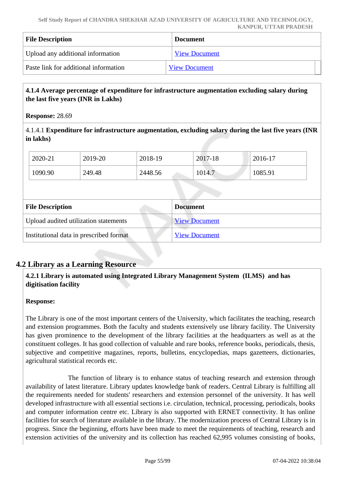| <b>File Description</b>               | <b>Document</b>      |
|---------------------------------------|----------------------|
| Upload any additional information     | <b>View Document</b> |
| Paste link for additional information | <b>View Document</b> |

### **4.1.4 Average percentage of expenditure for infrastructure augmentation excluding salary during the last five years (INR in Lakhs)**

**Response:** 28.69

4.1.4.1 **Expenditure for infrastructure augmentation, excluding salary during the last five years (INR in lakhs)** 

| 2020-21 | 2019-20 | 2018-19 | 2017-18 | 2016-17 |
|---------|---------|---------|---------|---------|
| 1090.90 | 249.48  | 2448.56 | 1014.7  | 1085.91 |

| <b>File Description</b>                 | <b>Document</b>      |  |  |
|-----------------------------------------|----------------------|--|--|
| Upload audited utilization statements   | <b>View Document</b> |  |  |
| Institutional data in prescribed format | <b>View Document</b> |  |  |

### **4.2 Library as a Learning Resource**

### **4.2.1 Library is automated using Integrated Library Management System (ILMS) and has digitisation facility**

### **Response:**

The Library is one of the most important centers of the University, which facilitates the teaching, research and extension programmes. Both the faculty and students extensively use library facility. The University has given prominence to the development of the library facilities at the headquarters as well as at the constituent colleges. It has good collection of valuable and rare books, reference books, periodicals, thesis, subjective and competitive magazines, reports, bulletins, encyclopedias, maps gazetteers, dictionaries, agricultural statistical records etc.

 The function of library is to enhance status of teaching research and extension through availability of latest literature. Library updates knowledge bank of readers. Central Library is fulfilling all the requirements needed for students' researchers and extension personnel of the university. It has well developed infrastructure with all essential sections i.e. circulation, technical, processing, periodicals, books and computer information centre etc. Library is also supported with ERNET connectivity. It has online facilities for search of literature available in the library. The modernization process of Central Library is in progress. Since the beginning, efforts have been made to meet the requirements of teaching, research and extension activities of the university and its collection has reached 62,995 volumes consisting of books,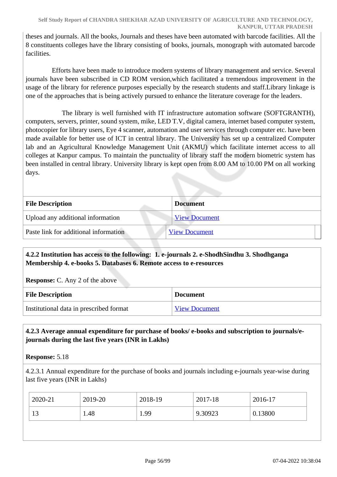theses and journals. All the books, Journals and theses have been automated with barcode facilities. All the 8 constituents colleges have the library consisting of books, journals, monograph with automated barcode facilities.

 Efforts have been made to introduce modern systems of library management and service. Several journals have been subscribed in CD ROM version,which facilitated a tremendous improvement in the usage of the library for reference purposes especially by the research students and staff.Library linkage is one of the approaches that is being actively pursued to enhance the literature coverage for the leaders.

 The library is well furnished with IT infrastructure automation software (SOFTGRANTH), computers, servers, printer, sound system, mike, LED T.V, digital camera, internet based computer system, photocopier for library users, Eye 4 scanner, automation and user services through computer etc. have been made available for better use of ICT in central library. The University has set up a centralized Computer lab and an Agricultural Knowledge Management Unit (AKMU) which facilitate internet access to all colleges at Kanpur campus. To maintain the punctuality of library staff the modern biometric system has been installed in central library. University library is kept open from 8.00 AM to 10.00 PM on all working days.

| <b>File Description</b><br><b>Document</b>                    |  |
|---------------------------------------------------------------|--|
|                                                               |  |
| Upload any additional information<br><b>View Document</b>     |  |
| Paste link for additional information<br><b>View Document</b> |  |

### **4.2.2 Institution has access to the following: 1. e-journals 2. e-ShodhSindhu 3. Shodhganga Membership 4. e-books 5. Databases 6. Remote access to e-resources**

**Response:** C. Any 2 of the above

| <b>File Description</b>                 | <b>Document</b>      |
|-----------------------------------------|----------------------|
| Institutional data in prescribed format | <b>View Document</b> |

### **4.2.3 Average annual expenditure for purchase of books/ e-books and subscription to journals/ejournals during the last five years (INR in Lakhs)**

**Response:** 5.18

4.2.3.1 Annual expenditure for the purchase of books and journals including e-journals year-wise during last five years (INR in Lakhs)

| 2020-21 | 2019-20 | 2018-19 | 2017-18 | $2016-17$ |
|---------|---------|---------|---------|-----------|
| 13      | .48     | 1.99    | 9.30923 | 0.13800   |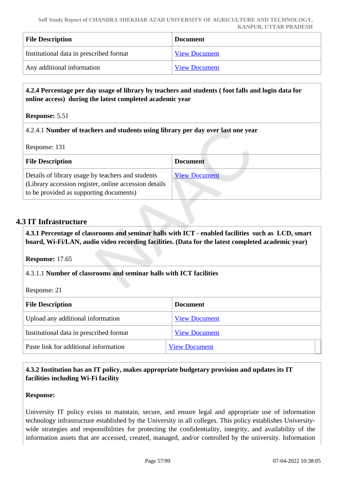| <b>File Description</b>                 | <b>Document</b>      |
|-----------------------------------------|----------------------|
| Institutional data in prescribed format | <b>View Document</b> |
| Any additional information              | <b>View Document</b> |

### **4.2.4 Percentage per day usage of library by teachers and students ( foot falls and login data for online access) during the latest completed academic year**

**Response:** 5.51

### 4.2.4.1 **Number of teachers and students using library per day over last one year**

Response: 131

| <b>File Description</b>                                                                                                                                | <b>Document</b>      |
|--------------------------------------------------------------------------------------------------------------------------------------------------------|----------------------|
| Details of library usage by teachers and students<br>(Library accession register, online accession details)<br>to be provided as supporting documents) | <b>View Document</b> |

### **4.3 IT Infrastructure**

 **4.3.1 Percentage of classrooms and seminar halls with ICT - enabled facilities such as LCD, smart board, Wi-Fi/LAN, audio video recording facilities. (Data for the latest completed academic year)**

**Response:** 17.65

4.3.1.1 **Number of classrooms and seminar halls with ICT facilities**

Response: 21

| <b>File Description</b>                 | <b>Document</b>      |  |
|-----------------------------------------|----------------------|--|
| Upload any additional information       | <b>View Document</b> |  |
| Institutional data in prescribed format | <b>View Document</b> |  |
| Paste link for additional information   | <b>View Document</b> |  |

### **4.3.2 Institution has an IT policy, makes appropriate budgetary provision and updates its IT facilities including Wi-Fi facility**

### **Response:**

University IT policy exists to maintain, secure, and ensure legal and appropriate use of information technology infrastructure established by the University in all colleges. This policy establishes Universitywide strategies and responsibilities for protecting the confidentiality, integrity, and availability of the information assets that are accessed, created, managed, and/or controlled by the university. Information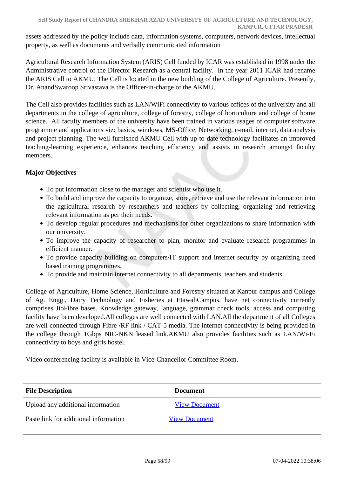assets addressed by the policy include data, information systems, computers, network devices, intellectual property, as well as documents and verbally communicated information

Agricultural Research Information System (ARIS) Cell funded by ICAR was established in 1998 under the Administrative control of the Director Research as a central facility. In the year 2011 ICAR had rename the ARIS Cell to AKMU. The Cell is located in the new building of the College of Agriculture. Presently, Dr. AnandSwaroop Srivastava is the Officer-in-charge of the AKMU.

The Cell also provides facilities such as LAN/WiFi connectivity to various offices of the university and all departments in the college of agriculture, college of forestry, college of horticulture and college of home science. All faculty members of the university have been trained in various usages of computer software programme and applications viz: basics, windows, MS-Office, Networking, e-mail, internet, data analysis and project planning. The well-furnished AKMU Cell with up-to-date technology facilitates an improved teaching-learning experience, enhances teaching efficiency and assists in research amongst faculty members.

### **Major Objectives**

- To put information close to the manager and scientist who use it.
- To build and improve the capacity to organize, store, retrieve and use the relevant information into the agricultural research by researchers and teachers by collecting, organizing and retrieving relevant information as per their needs.
- To develop regular procedures and mechanisms for other organizations to share information with our university.
- To improve the capacity of researcher to plan, monitor and evaluate research programmes in efficient manner.
- To provide capacity building on computers/IT support and internet security by organizing need based training programmes.
- To provide and maintain internet connectivity to all departments, teachers and students.

College of Agriculture, Home Science, Horticulture and Forestry situated at Kanpur campus and College of Ag. Engg., Dairy Technology and Fisheries at EtawahCampus, have net connectivity currently comprises JioFibre bases. Knowledge gateway, language, grammar check tools, access and computing facility have been developed.All colleges are well connected with LAN.All the department of all Colleges are well connected through Fibre /RF link / CAT-5 media. The internet connectivity is being provided in the college through 1Gbps NIC-NKN leased link.AKMU also provides facilities such as LAN/Wi-Fi connectivity to boys and girls hostel.

Video conferencing facility is available in Vice-Chancellor Committee Room.

| <b>File Description</b>               | <b>Document</b>      |
|---------------------------------------|----------------------|
| Upload any additional information     | <b>View Document</b> |
| Paste link for additional information | <b>View Document</b> |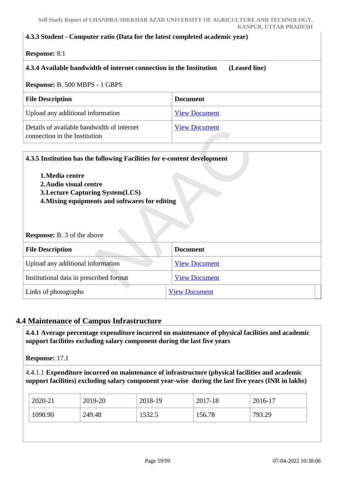#### **4.3.3 Student - Computer ratio (Data for the latest completed academic year)**

**Response:** 8:1

### **4.3.4 Available bandwidth of internet connection in the Institution (Leased line)**

#### **Response:** B. 500 MBPS - 1 GBPS

| <b>File Description</b>                                                     | <b>Document</b>      |
|-----------------------------------------------------------------------------|----------------------|
| Upload any additional information                                           | <b>View Document</b> |
| Details of available bandwidth of internet<br>connection in the Institution | <b>View Document</b> |

| 4.3.5 Institution has the following Facilities for e-content development |                      |  |  |
|--------------------------------------------------------------------------|----------------------|--|--|
| 1. Media centre<br>2. Audio visual centre                                |                      |  |  |
| <b>3. Lecture Capturing System (LCS)</b>                                 |                      |  |  |
| 4. Mixing equipments and softwares for editing                           |                      |  |  |
|                                                                          |                      |  |  |
| <b>Response:</b> B. 3 of the above<br><b>File Description</b>            | <b>Document</b>      |  |  |
| Upload any additional information                                        | <b>View Document</b> |  |  |
| Institutional data in prescribed format                                  | <b>View Document</b> |  |  |

### **4.4 Maintenance of Campus Infrastructure**

 **4.4.1 Average percentage expenditure incurred on maintenance of physical facilities and academic support facilities excluding salary component during the last five years**

**Response:** 17.1

4.4.1.1 **Expenditure incurred on maintenance of infrastructure (physical facilities and academic support facilities) excluding salary component year-wise during the last five years (INR in lakhs)**

| 2020-21 | 2019-20 | 2018-19 | 2017-18 | 2016-17 |
|---------|---------|---------|---------|---------|
| 1090.90 | 249.48  | 1532.5  | 156.78  | 793.29  |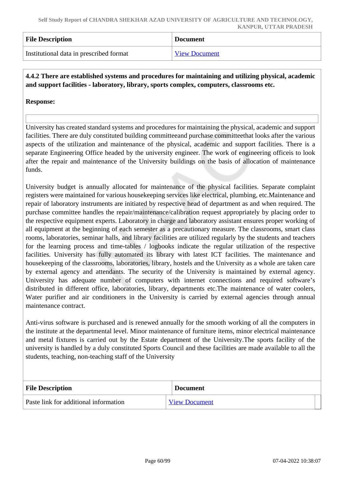| <b>File Description</b>                 | <b>Document</b>      |
|-----------------------------------------|----------------------|
| Institutional data in prescribed format | <b>View Document</b> |

### **4.4.2 There are established systems and procedures for maintaining and utilizing physical, academic and support facilities - laboratory, library, sports complex, computers, classrooms etc.**

### **Response:**

University has created standard systems and procedures for maintaining the physical, academic and support facilities. There are duly constituted building committeeand purchase committeethat looks after the various aspects of the utilization and maintenance of the physical, academic and support facilities. There is a separate Engineering Office headed by the university engineer. The work of engineering officeis to look after the repair and maintenance of the University buildings on the basis of allocation of maintenance funds.

University budget is annually allocated for maintenance of the physical facilities. Separate complaint registers were maintained for various housekeeping services like electrical, plumbing, etc.Maintenance and repair of laboratory instruments are initiated by respective head of department as and when required. The purchase committee handles the repair/maintenance/calibration request appropriately by placing order to the respective equipment experts. Laboratory in charge and laboratory assistant ensures proper working of all equipment at the beginning of each semester as a precautionary measure. The classrooms, smart class rooms, laboratories, seminar halls, and library facilities are utilized regularly by the students and teachers for the learning process and time-tables / logbooks indicate the regular utilization of the respective facilities. University has fully automated its library with latest ICT facilities. The maintenance and housekeeping of the classrooms, laboratories, library, hostels and the University as a whole are taken care by external agency and attendants. The security of the University is maintained by external agency. University has adequate number of computers with internet connections and required software's distributed in different office, laboratories, library, departments etc.The maintenance of water coolers, Water purifier and air conditioners in the University is carried by external agencies through annual maintenance contract.

Anti-virus software is purchased and is renewed annually for the smooth working of all the computers in the institute at the departmental level. Minor maintenance of furniture items, minor electrical maintenance and metal fixtures is carried out by the Estate department of the University.The sports facility of the university is handled by a duly constituted Sports Council and these facilities are made available to all the students, teaching, non-teaching staff of the University

| <b>File Description</b>               | <b>Document</b>      |
|---------------------------------------|----------------------|
| Paste link for additional information | <b>View Document</b> |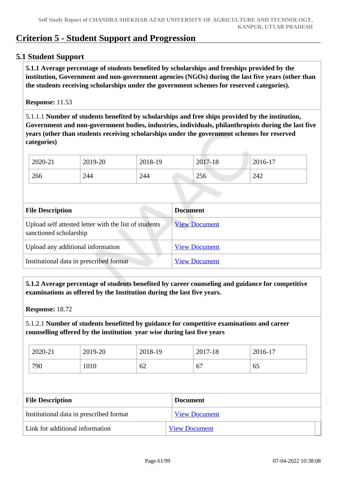# **Criterion 5 - Student Support and Progression**

### **5.1 Student Support**

 **5.1.1 Average percentage of students benefited by scholarships and freeships provided by the institution, Government and non-government agencies (NGOs) during the last five years (other than the students receiving scholarships under the government schemes for reserved categories).**

#### **Response:** 11.53

5.1.1.1 **Number of students benefited by scholarships and free ships provided by the institution, Government and non-government bodies, industries, individuals, philanthropists during the last five years (other than students receiving scholarships under the government schemes for reserved categories)** 

| 2020-21 | 2019-20 | 2018-19 | 2017-18 | 2016-17 |
|---------|---------|---------|---------|---------|
| 266     | 244     | 244     | 256     | 242     |

| <b>File Description</b>                                                         | <b>Document</b>      |
|---------------------------------------------------------------------------------|----------------------|
| Upload self attested letter with the list of students<br>sanctioned scholarship | <b>View Document</b> |
| Upload any additional information                                               | <b>View Document</b> |
| Institutional data in prescribed format                                         | <b>View Document</b> |

 **5.1.2 Average percentage of students benefited by career counseling and guidance for competitive examinations as offered by the Institution during the last five years.**

**Response:** 18.72

5.1.2.1 **Number of students benefitted by guidance for competitive examinations and career counselling offered by the institution year wise during last five years**

| 2020-21 | 2019-20 | 2018-19 | 2017<br>7-18 | 2016-17 |
|---------|---------|---------|--------------|---------|
| 790     | 1010    | 62      | 67           | 65      |

| <b>File Description</b>                 | <b>Document</b>      |
|-----------------------------------------|----------------------|
| Institutional data in prescribed format | <b>View Document</b> |
| Link for additional information         | <b>View Document</b> |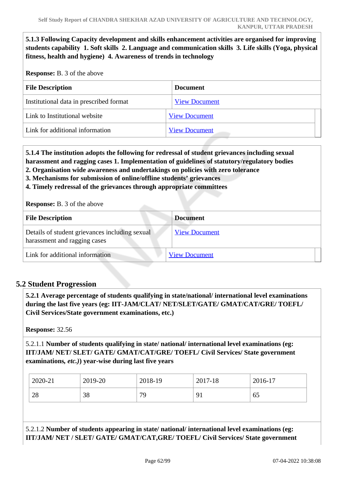**5.1.3 Following Capacity development and skills enhancement activities are organised for improving students capability 1. Soft skills 2. Language and communication skills 3. Life skills (Yoga, physical fitness, health and hygiene) 4. Awareness of trends in technology**

**Response:** B. 3 of the above

| <b>Document</b>      |
|----------------------|
| <b>View Document</b> |
| <b>View Document</b> |
| <b>View Document</b> |
|                      |

 **5.1.4 The institution adopts the following for redressal of student grievances including sexual harassment and ragging cases 1. Implementation of guidelines of statutory/regulatory bodies**

- **2. Organisation wide awareness and undertakings on policies with zero tolerance**
- **3. Mechanisms for submission of online/offline students' grievances**
- **4. Timely redressal of the grievances through appropriate committees**

**Response:** B. 3 of the above

| <b>File Description</b>                                                        | <b>Document</b>      |
|--------------------------------------------------------------------------------|----------------------|
| Details of student grievances including sexual<br>harassment and ragging cases | <b>View Document</b> |
| Link for additional information                                                | <b>View Document</b> |

### **5.2 Student Progression**

 **5.2.1 Average percentage of students qualifying in state/national/ international level examinations during the last five years (eg: IIT-JAM/CLAT/ NET/SLET/GATE/ GMAT/CAT/GRE/ TOEFL/ Civil Services/State government examinations, etc.)**

**Response:** 32.56

5.2.1.1 **Number of students qualifying in state/ national/ international level examinations (eg: IIT/JAM/ NET/ SLET/ GATE/ GMAT/CAT/GRE/ TOEFL/ Civil Services/ State government examinations***, etc.)***) year-wise during last five years**

| 2020-21 | 2019-20 | 2018-19 | 2017-18                   | 2016-17 |
|---------|---------|---------|---------------------------|---------|
| 28      | 38      | 70      | $\mathbf{Q}^{\star}$<br>╯ | 65      |

5.2.1.2 **Number of students appearing in state/ national/ international level examinations (eg: IIT/JAM/ NET / SLET/ GATE/ GMAT/CAT,GRE/ TOEFL/ Civil Services/ State government**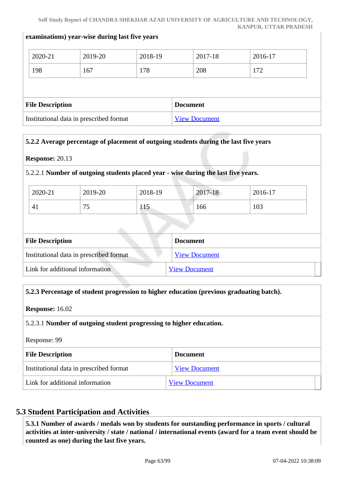#### **examinations) year-wise during last five years**

|                                         | 2020-21 | 2019-20 | 2018-19              |  | 2017-18 | 2016-17 |  |
|-----------------------------------------|---------|---------|----------------------|--|---------|---------|--|
|                                         | 198     | 167     | 178                  |  | 208     | 172     |  |
|                                         |         |         |                      |  |         |         |  |
| <b>File Description</b>                 |         |         | <b>Document</b>      |  |         |         |  |
| Institutional data in prescribed format |         |         | <b>View Document</b> |  |         |         |  |

### **5.2.2 Average percentage of placement of outgoing students during the last five years**

#### **Response:** 20.13

#### 5.2.2.1 **Number of outgoing students placed year - wise during the last five years.**

| 2020-21 | 2019-20                         | 2018-19 | 2017-18 | 2016-17 |
|---------|---------------------------------|---------|---------|---------|
| $4_{1}$ | $\overline{\phantom{a}}$<br>ر ، | 115     | 166     | 103     |

| <b>File Description</b>                 | <b>Document</b>      |
|-----------------------------------------|----------------------|
| Institutional data in prescribed format | <b>View Document</b> |
| Link for additional information         | <b>View Document</b> |

### **5.2.3 Percentage of student progression to higher education (previous graduating batch).**

**Response:** 16.02

### 5.2.3.1 **Number of outgoing student progressing to higher education.**

Response: 99

| <b>File Description</b>                 | <b>Document</b>      |
|-----------------------------------------|----------------------|
| Institutional data in prescribed format | <b>View Document</b> |
| Link for additional information         | <b>View Document</b> |

### **5.3 Student Participation and Activities**

 **5.3.1 Number of awards / medals won by students for outstanding performance in sports / cultural activities at inter-university / state / national / international events (award for a team event should be counted as one) during the last five years.**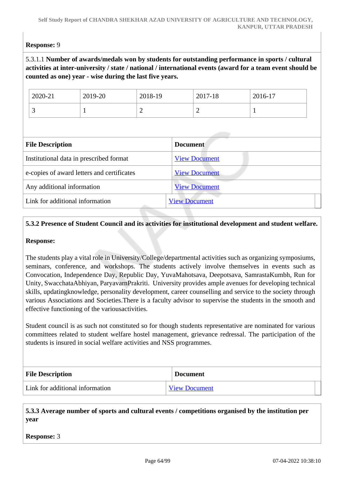### **Response:** 9

### 5.3.1.1 **Number of awards/medals won by students for outstanding performance in sports / cultural activities at inter-university / state / national / international events (award for a team event should be counted as one) year - wise during the last five years.**

| 2020-21 | 2019-20 | 2018-19 | 2017-18 | 2016-17 |
|---------|---------|---------|---------|---------|
| ັ       |         | ∽       | -       |         |

| <b>File Description</b>                    | <b>Document</b>      |
|--------------------------------------------|----------------------|
| Institutional data in prescribed format    | <b>View Document</b> |
| e-copies of award letters and certificates | <b>View Document</b> |
| Any additional information                 | <b>View Document</b> |
| Link for additional information            | <b>View Document</b> |
|                                            |                      |

### **5.3.2 Presence of Student Council and its activities for institutional development and student welfare.**

#### **Response:**

The students play a vital role in University/College/departmental activities such as organizing symposiums, seminars, conference, and workshops. The students actively involve themselves in events such as Convocation, Independence Day, Republic Day, YuvaMahotsava, Deepotsava, SamrastaKumbh, Run for Unity, SwacchataAbhiyan, ParyavarnPrakriti. University provides ample avenues for developing technical skills, updatingknowledge, personality development, career counselling and service to the society through various Associations and Societies.There is a faculty advisor to supervise the students in the smooth and effective functioning of the variousactivities.

Student council is as such not constituted so for though students representative are nominated for various committees related to student welfare hostel management, grievance redressal. The participation of the students is insured in social welfare activities and NSS programmes.

| <b>File Description</b>         | <b>Document</b>      |
|---------------------------------|----------------------|
| Link for additional information | <b>View Document</b> |

 **5.3.3 Average number of sports and cultural events / competitions organised by the institution per year**

**Response:** 3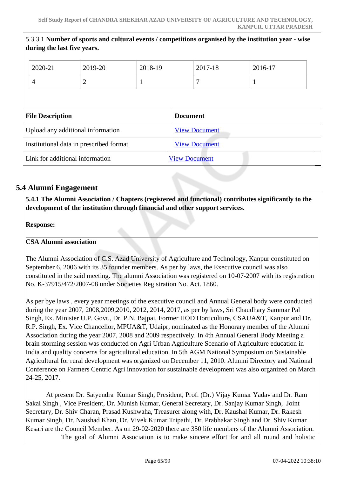5.3.3.1 **Number of sports and cultural events / competitions organised by the institution year - wise**

|                                            | during the last five years.     |                |                      |                      |         | 3.3.3.1 inumber of sports and cultural events / competitions organised by the institution year - wise |  |
|--------------------------------------------|---------------------------------|----------------|----------------------|----------------------|---------|-------------------------------------------------------------------------------------------------------|--|
|                                            | 2020-21                         | 2019-20        | 2018-19              |                      | 2017-18 | 2016-17                                                                                               |  |
|                                            | 4                               | $\overline{2}$ |                      |                      | 7       |                                                                                                       |  |
|                                            |                                 |                |                      |                      |         |                                                                                                       |  |
| <b>File Description</b><br><b>Document</b> |                                 |                |                      |                      |         |                                                                                                       |  |
| Upload any additional information          |                                 |                | <b>View Document</b> |                      |         |                                                                                                       |  |
| Institutional data in prescribed format    |                                 |                | <b>View Document</b> |                      |         |                                                                                                       |  |
|                                            | Link for additional information |                |                      | <b>View Document</b> |         |                                                                                                       |  |
|                                            |                                 |                |                      |                      |         |                                                                                                       |  |

### **5.4 Alumni Engagement**

 **5.4.1 The Alumni Association / Chapters (registered and functional) contributes significantly to the development of the institution through financial and other support services.**

**Response:** 

#### **CSA Alumni association**

The Alumni Association of C.S. Azad University of Agriculture and Technology, Kanpur constituted on September 6, 2006 with its 35 founder members. As per by laws, the Executive council was also constituted in the said meeting. The alumni Association was registered on 10-07-2007 with its registration No. K-37915/472/2007-08 under Societies Registration No. Act. 1860.

As per bye laws , every year meetings of the executive council and Annual General body were conducted during the year 2007, 2008,2009,2010, 2012, 2014, 2017, as per by laws, Sri Chaudhary Sammar Pal Singh, Ex. Minister U.P. Govt., Dr. P.N. Bajpai, Former HOD Horticulture, CSAUA&T, Kanpur and Dr. R.P. Singh, Ex. Vice Chancellor, MPUA&T, Udaipr, nominated as the Honorary member of the Alumni Association during the year 2007, 2008 and 2009 respectively. In 4th Annual General Body Meeting a brain storming session was conducted on Agri Urban Agriculture Scenario of Agriculture education in India and quality concerns for agricultural education. In 5th AGM National Symposium on Sustainable Agricultural for rural development was organized on December 11, 2010. Alumni Directory and National Conference on Farmers Centric Agri innovation for sustainable development was also organized on March 24-25, 2017.

 At present Dr. Satyendra Kumar Singh, President, Prof. (Dr.) Vijay Kumar Yadav and Dr. Ram Sakal Singh , Vice President, Dr. Munish Kumar, General Secretary, Dr. Sanjay Kumar Singh, Joint Secretary, Dr. Shiv Charan, Prasad Kushwaha, Treasurer along with, Dr. Kaushal Kumar, Dr. Rakesh Kumar Singh, Dr. Naushad Khan, Dr. Vivek Kumar Tripathi, Dr. Prabhakar Singh and Dr. Shiv Kumar Kesari are the Council Member. As on 29-02-2020 there are 350 life members of the Alumni Association.

The goal of Alumni Association is to make sincere effort for and all round and holistic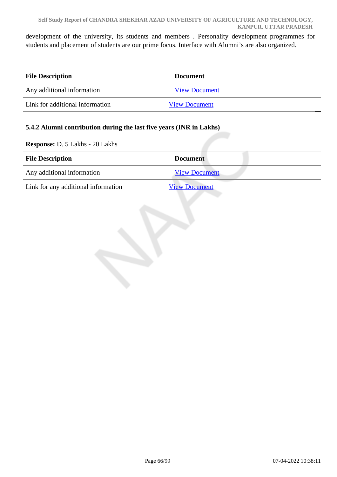development of the university, its students and members . Personality development programmes for students and placement of students are our prime focus. Interface with Alumni's are also organized.

| <b>File Description</b>         | <b>Document</b>      |  |
|---------------------------------|----------------------|--|
| Any additional information      | <b>View Document</b> |  |
| Link for additional information | <b>View Document</b> |  |

### **5.4.2 Alumni contribution during the last five years (INR in Lakhs)**

**Response:** D. 5 Lakhs - 20 Lakhs

| <b>File Description</b>             | <b>Document</b>      |
|-------------------------------------|----------------------|
| Any additional information          | <b>View Document</b> |
| Link for any additional information | <b>View Document</b> |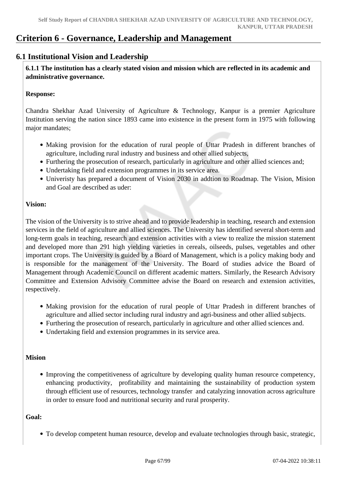# **Criterion 6 - Governance, Leadership and Management**

### **6.1 Institutional Vision and Leadership**

 **6.1.1 The institution has a clearly stated vision and mission which are reflected in its academic and administrative governance.**

#### **Response:**

Chandra Shekhar Azad University of Agriculture & Technology, Kanpur is a premier Agriculture Institution serving the nation since 1893 came into existence in the present form in 1975 with following major mandates;

- Making provision for the education of rural people of Uttar Pradesh in different branches of agriculture, including rural industry and business and other allied subjects,
- Furthering the prosecution of research, particularly in agriculture and other allied sciences and;
- Undertaking field and extension programmes in its service area.
- Univeristy has prepared a document of Vision 2030 in addtion to Roadmap. The Vision, Mision and Goal are described as uder:

### **Vision:**

The vision of the University is to strive ahead and to provide leadership in teaching, research and extension services in the field of agriculture and allied sciences. The University has identified several short-term and long-term goals in teaching, research and extension activities with a view to realize the mission statement and developed more than 291 high yielding varieties in cereals, oilseeds, pulses, vegetables and other important crops. The University is guided by a Board of Management, which is a policy making body and is responsible for the management of the University. The Board of studies advice the Board of Management through Academic Council on different academic matters. Similarly, the Research Advisory Committee and Extension Advisory Committee advise the Board on research and extension activities, respectively.

- Making provision for the education of rural people of Uttar Pradesh in different branches of agriculture and allied sector including rural industry and agri-business and other allied subjects.
- Furthering the prosecution of research, particularly in agriculture and other allied sciences and.
- Undertaking field and extension programmes in its service area.

### **Mision**

• Improving the competitiveness of agriculture by developing quality human resource competency, enhancing productivity, profitability and maintaining the sustainability of production system through efficient use of resources, technology transfer and catalyzing innovation across agriculture in order to ensure food and nutritional security and rural prosperity.

### **Goal:**

To develop competent human resource, develop and evaluate technologies through basic, strategic,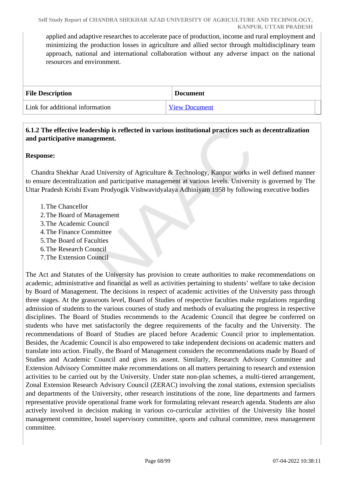applied and adaptive researches to accelerate pace of production, income and rural employment and minimizing the production losses in agriculture and allied sector through multidisciplinary team approach, national and international collaboration without any adverse impact on the national resources and environment.

| <b>File Description</b>         | <b>Document</b>      |
|---------------------------------|----------------------|
| Link for additional information | <b>View Document</b> |

### **6.1.2 The effective leadership is reflected in various institutional practices such as decentralization and participative management.**

### **Response:**

 Chandra Shekhar Azad University of Agriculture & Technology, Kanpur works in well defined manner to ensure decentralization and participative management at various levels. University is governed by The Uttar Pradesh Krishi Evam Prodyogik Vishwavidyalaya Adhiniyam 1958 by following executive bodies

- 1.The Chancellor
- 2.The Board of Management
- 3.The Academic Council
- 4.The Finance Committee
- 5.The Board of Faculties
- 6.The Research Council
- 7.The Extension Council

The Act and Statutes of the University has provision to create authorities to make recommendations on academic, administrative and financial as well as activities pertaining to students' welfare to take decision by Board of Management. The decisions in respect of academic activities of the University pass through three stages. At the grassroots level, Board of Studies of respective faculties make regulations regarding admission of students to the various courses of study and methods of evaluating the progress in respective disciplines. The Board of Studies recommends to the Academic Council that degree be conferred on students who have met satisfactorily the degree requirements of the faculty and the University. The recommendations of Board of Studies are placed before Academic Council prior to implementation. Besides, the Academic Council is also empowered to take independent decisions on academic matters and translate into action. Finally, the Board of Management considers the recommendations made by Board of Studies and Academic Council and gives its assent. Similarly, Research Advisory Committee and Extension Advisory Committee make recommendations on all matters pertaining to research and extension activities to be carried out by the University. Under state non-plan schemes, a multi-tiered arrangement, Zonal Extension Research Advisory Council (ZERAC) involving the zonal stations, extension specialists and departments of the University, other research institutions of the zone, line departments and farmers representative provide operational frame work for formulating relevant research agenda. Students are also actively involved in decision making in various co-curricular activities of the University like hostel management committee, hostel supervisory committee, sports and cultural committee, mess management committee.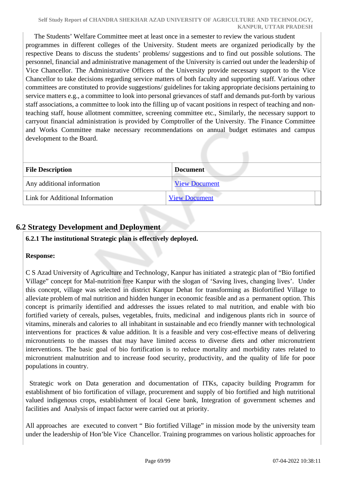The Students' Welfare Committee meet at least once in a semester to review the various student programmes in different colleges of the University. Student meets are organized periodically by the respective Deans to discuss the students' problems/ suggestions and to find out possible solutions. The personnel, financial and administrative management of the University is carried out under the leadership of Vice Chancellor. The Administrative Officers of the University provide necessary support to the Vice Chancellor to take decisions regarding service matters of both faculty and supporting staff. Various other committees are constituted to provide suggestions/ guidelines for taking appropriate decisions pertaining to service matters e.g., a committee to look into personal grievances of staff and demands put-forth by various staff associations, a committee to look into the filling up of vacant positions in respect of teaching and nonteaching staff, house allotment committee, screening committee etc., Similarly, the necessary support to carryout financial administration is provided by Comptroller of the University. The Finance Committee and Works Committee make necessary recommendations on annual budget estimates and campus development to the Board.

| <b>File Description</b>         | <b>Document</b>      |  |
|---------------------------------|----------------------|--|
| Any additional information      | <b>View Document</b> |  |
| Link for Additional Information | <b>View Document</b> |  |

### **6.2 Strategy Development and Deployment**

### **6.2.1 The institutional Strategic plan is effectively deployed.**

### **Response:**

C S Azad University of Agriculture and Technology, Kanpur has initiated a strategic plan of "Bio fortified Village" concept for Mal-nutrition free Kanpur with the slogan of 'Saving lives, changing lives'. Under this concept, village was selected in district Kanpur Dehat for transforming as Biofortified Village to alleviate problem of mal nutrition and hidden hunger in economic feasible and as a permanent option. This concept is primarily identified and addresses the issues related to mal nutrition, and enable with bio fortified variety of cereals, pulses, vegetables, fruits, medicinal and indigenous plants rich in source of vitamins, minerals and calories to all inhabitant in sustainable and eco friendly manner with technological interventions for practices & value addition. It is a feasible and very cost-effective means of delivering micronutrients to the masses that may have limited access to diverse diets and other micronutrient interventions. The basic goal of bio fortification is to reduce mortality and morbidity rates related to micronutrient malnutrition and to increase food security, productivity, and the quality of life for poor populations in country.

 Strategic work on Data generation and documentation of ITKs, capacity building Programm for establishment of bio fortification of village, procurement and supply of bio fortified and high nutritional valued indigenous crops, establishment of local Gene bank, Integration of government schemes and facilities and Analysis of impact factor were carried out at priority.

All approaches are executed to convert " Bio fortified Village" in mission mode by the university team under the leadership of Hon'ble Vice Chancellor. Training programmes on various holistic approaches for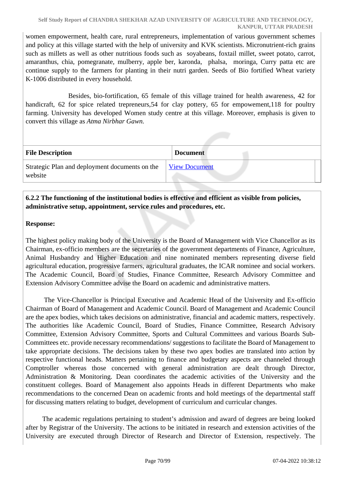women empowerment, health care, rural entrepreneurs, implementation of various government schemes and policy at this village started with the help of university and KVK scientists. Micronutrient-rich grains such as millets as well as other nutritious foods such as soyabeans, foxtail millet, sweet potato, carrot, amaranthus, chia, pomegranate, mulberry, apple ber, karonda, phalsa, moringa, Curry patta etc are continue supply to the farmers for planting in their nutri garden. Seeds of Bio fortified Wheat variety K-1006 distributed in every household.

 Besides, bio-fortification, 65 female of this village trained for health awareness, 42 for handicraft, 62 for spice related trepreneurs, 54 for clay pottery, 65 for empowement, 118 for poultry farming. University has developed Women study centre at this village. Moreover, emphasis is given to convert this village as *Atma Nirbhar Gawn.*

| <b>File Description</b>                                   | <b>Document</b>      |
|-----------------------------------------------------------|----------------------|
| Strategic Plan and deployment documents on the<br>website | <b>View Document</b> |

### **6.2.2 The functioning of the institutional bodies is effective and efficient as visible from policies, administrative setup, appointment, service rules and procedures, etc.**

### **Response:**

The highest policy making body of the University is the Board of Management with Vice Chancellor as its Chairman, ex-officio members are the secretaries of the government departments of Finance, Agriculture, Animal Husbandry and Higher Education and nine nominated members representing diverse field agricultural education, progressive farmers, agricultural graduates, the ICAR nominee and social workers. The Academic Council, Board of Studies, Finance Committee, Research Advisory Committee and Extension Advisory Committee advise the Board on academic and administrative matters.

 The Vice-Chancellor is Principal Executive and Academic Head of the University and Ex-officio Chairman of Board of Management and Academic Council. Board of Management and Academic Council are the apex bodies, which takes decisions on administrative, financial and academic matters, respectively. The authorities like Academic Council, Board of Studies, Finance Committee, Research Advisory Committee, Extension Advisory Committee, Sports and Cultural Committees and various Boards Sub-Committees etc. provide necessary recommendations/ suggestions to facilitate the Board of Management to take appropriate decisions. The decisions taken by these two apex bodies are translated into action by respective functional heads. Matters pertaining to finance and budgetary aspects are channeled through Comptroller whereas those concerned with general administration are dealt through Director, Administration & Monitoring. Dean coordinates the academic activities of the University and the constituent colleges. Board of Management also appoints Heads in different Departments who make recommendations to the concerned Dean on academic fronts and hold meetings of the departmental staff for discussing matters relating to budget, development of curriculum and curricular changes.

 The academic regulations pertaining to student's admission and award of degrees are being looked after by Registrar of the University. The actions to be initiated in research and extension activities of the University are executed through Director of Research and Director of Extension, respectively. The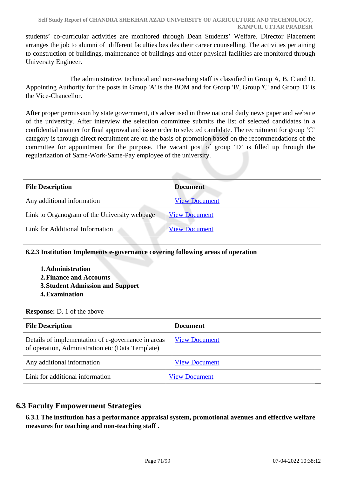students' co-curricular activities are monitored through Dean Students' Welfare. Director Placement arranges the job to alumni of different faculties besides their career counselling. The activities pertaining to construction of buildings, maintenance of buildings and other physical facilities are monitored through University Engineer.

 The administrative, technical and non-teaching staff is classified in Group A, B, C and D. Appointing Authority for the posts in Group 'A' is the BOM and for Group 'B', Group 'C' and Group 'D' is the Vice-Chancellor.

After proper permission by state government, it's advertised in three national daily news paper and website of the university. After interview the selection committee submits the list of selected candidates in a confidential manner for final approval and issue order to selected candidate. The recruitment for group 'C' category is through direct recruitment are on the basis of promotion based on the recommendations of the committee for appointment for the purpose. The vacant post of group 'D' is filled up through the regularization of Same-Work-Same-Pay employee of the university.

| <b>File Description</b>                      | <b>Document</b>      |  |
|----------------------------------------------|----------------------|--|
| Any additional information                   | <b>View Document</b> |  |
| Link to Organogram of the University webpage | <b>View Document</b> |  |
| Link for Additional Information              | <b>View Document</b> |  |

### **6.2.3 Institution Implements e-governance covering following areas of operation**

#### **1.Administration**

- **2.Finance and Accounts**
- **3.Student Admission and Support**
- **4.Examination**

### **Response:** D. 1 of the above

| <b>File Description</b>                                                                                | <b>Document</b>      |
|--------------------------------------------------------------------------------------------------------|----------------------|
| Details of implementation of e-governance in areas<br>of operation, Administration etc (Data Template) | <b>View Document</b> |
| Any additional information                                                                             | <b>View Document</b> |
| Link for additional information                                                                        | <b>View Document</b> |

### **6.3 Faculty Empowerment Strategies**

 **6.3.1 The institution has a performance appraisal system, promotional avenues and effective welfare measures for teaching and non-teaching staff .**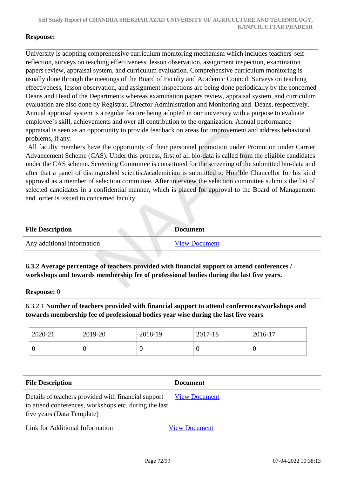#### **Response:**

University is adopting comprehensive curriculum monitoring mechanism which includes teachers' selfreflection, surveys on teaching effectiveness, lesson observation, assignment inspection, examination papers review, appraisal system, and curriculum evaluation. Comprehensive curriculum monitoring is usually done through the meetings of the Board of Faculty and Academic Council. Surveys on teaching effectiveness, lesson observation, and assignment inspections are being done periodically by the concerned Deans and Head of the Departments whereas examination papers review, appraisal system, and curriculum evaluation are also done by Registrar, Director Administration and Monitoring and Deans, respectively. Annual appraisal system is a regular feature being adopted in our university with a purpose to evaluate employee's skill, achievements and over all contribution to the organization. Annual performance appraisal is seen as an opportunity to provide feedback on areas for improvement and address behavioral problems, if any.

 All faculty members have the opportunity of their personnel promotion under Promotion under Carrier Advancement Scheme (CAS). Under this process, first of all bio-data is called from the eligible candidates under the CAS scheme. Screening Committee is constituted for the screening of the submitted bio-data and after that a panel of distinguished scientist**/**academician is submitted to Hon'ble Chancellor for his kind approval as a member of selection committee. After interview the selection committee submits the list of selected candidates in a confidential manner, which is placed for approval to the Board of Management and order is issued to concerned faculty.

| <b>File Description</b>    | <b>Document</b>      |
|----------------------------|----------------------|
| Any additional information | <b>View Document</b> |

 **6.3.2 Average percentage of teachers provided with financial support to attend conferences / workshops and towards membership fee of professional bodies during the last five years.**

**Response:** 0

6.3.2.1 **Number of teachers provided with financial support to attend conferences/workshops and towards membership fee of professional bodies year wise during the last five years**

| 2020-21 | 2019-20 | 2018-19          | 2017-18 | 2016-17 |
|---------|---------|------------------|---------|---------|
| ິ       |         | $\boldsymbol{0}$ | U       | ν       |

| <b>File Description</b>                                                                                                                    | <b>Document</b>      |
|--------------------------------------------------------------------------------------------------------------------------------------------|----------------------|
| Details of teachers provided with financial support<br>to attend conferences, workshops etc. during the last<br>five years (Data Template) | <b>View Document</b> |
| Link for Additional Information                                                                                                            | <b>View Document</b> |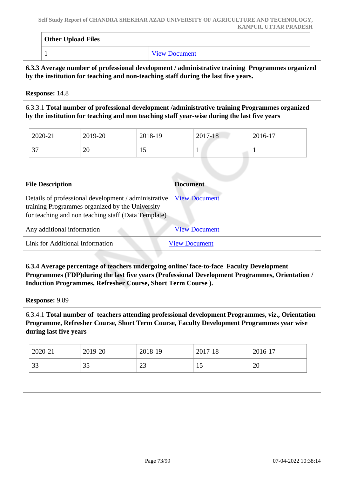| <b>Other Upload Files</b> |                      |  |  |
|---------------------------|----------------------|--|--|
| -                         | <b>View Document</b> |  |  |

#### **6.3.3 Average number of professional development / administrative training Programmes organized by the institution for teaching and non-teaching staff during the last five years.**

**Response:** 14.8

6.3.3.1 **Total number of professional development /administrative training Programmes organized by the institution for teaching and non teaching staff year-wise during the last five years**

| 2020-21       | 2019-20 | 2018-19 | 2017-18 | 2016-17 |
|---------------|---------|---------|---------|---------|
| $\sim$<br>J 1 | 20      | ⊥◡      |         |         |

| <b>File Description</b>                                                                                                                                        | <b>Document</b>      |
|----------------------------------------------------------------------------------------------------------------------------------------------------------------|----------------------|
| Details of professional development / administrative<br>training Programmes organized by the University<br>for teaching and non teaching staff (Data Template) | <b>View Document</b> |
| Any additional information                                                                                                                                     | <b>View Document</b> |
| Link for Additional Information                                                                                                                                | <b>View Document</b> |

 **6.3.4 Average percentage of teachers undergoing online/ face-to-face Faculty Development Programmes (FDP)during the last five years (Professional Development Programmes, Orientation / Induction Programmes, Refresher Course, Short Term Course ).**

**Response:** 9.89

6.3.4.1 **Total number of teachers attending professional development Programmes, viz., Orientation Programme, Refresher Course, Short Term Course, Faculty Development Programmes year wise during last five years**

| $\frac{12020-21}{ }$ | 2019-20 | 2018-19 | 2017-18 | 2016-17 |
|----------------------|---------|---------|---------|---------|
| 33                   | 35      | 23      | 10      | 20      |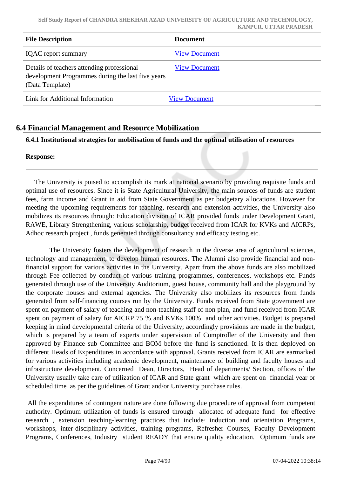| <b>File Description</b>                                                                                            | <b>Document</b>      |
|--------------------------------------------------------------------------------------------------------------------|----------------------|
| <b>IQAC</b> report summary                                                                                         | <b>View Document</b> |
| Details of teachers attending professional<br>development Programmes during the last five years<br>(Data Template) | <b>View Document</b> |
| Link for Additional Information                                                                                    | <b>View Document</b> |

## **6.4 Financial Management and Resource Mobilization**

**6.4.1 Institutional strategies for mobilisation of funds and the optimal utilisation of resources**

#### **Response:**

 The University is poised to accomplish its mark at national scenario by providing requisite funds and optimal use of resources. Since it is State Agricultural University, the main sources of funds are student fees, farm income and Grant in aid from State Government as per budgetary allocations. However for meeting the upcoming requirements for teaching, research and extension activities, the University also mobilizes its resources through: Education division of ICAR provided funds under Development Grant, RAWE, Library Strengthening, various scholarship, budget received from ICAR for KVKs and AICRPs, Adhoc research project , funds generated through consultancy and efficacy testing etc.

 The University fosters the development of research in the diverse area of agricultural sciences, technology and management, to develop human resources. The Alumni also provide financial and nonfinancial support for various activities in the University. Apart from the above funds are also mobilized through Fee collected by conduct of various training programmes, conferences, workshops etc. Funds generated through use of the University Auditorium, guest house, community hall and the playground by the corporate houses and external agencies. The University also mobilizes its resources from funds generated from self-financing courses run by the University. Funds received from State government are spent on payment of salary of teaching and non-teaching staff of non plan, and fund received from ICAR spent on payment of salary for AICRP 75 % and KVKs 100% and other activities. Budget is prepared keeping in mind developmental criteria of the University; accordingly provisions are made in the budget, which is prepared by a team of experts under supervision of Comptroller of the University and then approved by Finance sub Committee and BOM before the fund is sanctioned. It is then deployed on different Heads of Expenditures in accordance with approval. Grants received from ICAR are earmarked for various activities including academic development, maintenance of building and faculty houses and infrastructure development. Concerned Dean, Directors, Head of departments/ Section, offices of the University usually take care of utilization of ICAR and State grant which are spent on financial year or scheduled time as per the guidelines of Grant and/or University purchase rules.

 All the expenditures of contingent nature are done following due procedure of approval from competent authority. Optimum utilization of funds is ensured through allocated of adequate fund for effective research, extension teaching-learning practices that include induction and orientation Programs, workshops, inter-disciplinary activities, training programs, Refresher Courses, Faculty Development Programs, Conferences, Industry student READY that ensure quality education. Optimum funds are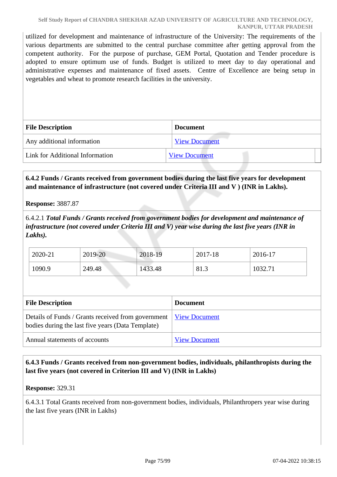utilized for development and maintenance of infrastructure of the University: The requirements of the various departments are submitted to the central purchase committee after getting approval from the competent authority. For the purpose of purchase, GEM Portal, Quotation and Tender procedure is adopted to ensure optimum use of funds. Budget is utilized to meet day to day operational and administrative expenses and maintenance of fixed assets. Centre of Excellence are being setup in vegetables and wheat to promote research facilities in the university.

| <b>File Description</b>         | <b>Document</b>      |
|---------------------------------|----------------------|
| Any additional information      | <b>View Document</b> |
| Link for Additional Information | <b>View Document</b> |

## **6.4.2 Funds / Grants received from government bodies during the last five years for development and maintenance of infrastructure (not covered under Criteria III and V ) (INR in Lakhs).**

#### **Response:** 3887.87

6.4.2.1 *Total Funds / Grants received from government bodies for development and maintenance of infrastructure (not covered under Criteria III and V) year wise during the last five years (INR in Lakhs).*

| 2020-21 | 2019-20 | 2018-19 | 2017-18 | 2016-17 |
|---------|---------|---------|---------|---------|
| 1090.9  | 249.48  | 1433.48 | 81.3    | 1032.71 |

| <b>File Description</b>                                                                                                        | <b>Document</b>      |
|--------------------------------------------------------------------------------------------------------------------------------|----------------------|
| Details of Funds / Grants received from government   <u>View Document</u><br>bodies during the last five years (Data Template) |                      |
| Annual statements of accounts                                                                                                  | <b>View Document</b> |

 **6.4.3 Funds / Grants received from non-government bodies, individuals, philanthropists during the last five years (not covered in Criterion III and V) (INR in Lakhs)**

#### **Response:** 329.31

6.4.3.1 Total Grants received from non-government bodies, individuals, Philanthropers year wise during the last five years (INR in Lakhs)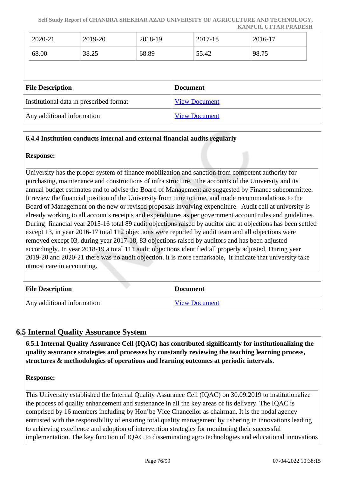**Self Study Report of CHANDRA SHEKHAR AZAD UNIVERSITY OF AGRICULTURE AND TECHNOLOGY, KANPUR, UTTAR PRADESH**

|                         | 2020-21                                 | 2019-20 | 2018-19 |                 | 2017-18              | 2016-17 |
|-------------------------|-----------------------------------------|---------|---------|-----------------|----------------------|---------|
|                         | 68.00                                   | 38.25   | 68.89   |                 | 55.42                | 98.75   |
|                         |                                         |         |         |                 |                      |         |
| <b>File Description</b> |                                         |         |         |                 |                      |         |
|                         |                                         |         |         | <b>Document</b> |                      |         |
|                         | Institutional data in prescribed format |         |         |                 | <b>View Document</b> |         |

### **6.4.4 Institution conducts internal and external financial audits regularly**

#### **Response:**

University has the proper system of finance mobilization and sanction from competent authority for purchasing, maintenance and constructions of infra structure. The accounts of the University and its annual budget estimates and to advise the Board of Management are suggested by Finance subcommittee. It review the financial position of the University from time to time, and made recommendations to the Board of Management on the new or revised proposals involving expenditure. Audit cell at university is already working to all accounts receipts and expenditures as per government account rules and guidelines. During financial year 2015-16 total 89 audit objections raised by auditor and at objections has been settled except 13, in year 2016-17 total 112 objections were reported by audit team and all objections were removed except 03, during year 2017-18, 83 objections raised by auditors and has been adjusted accordingly. In year 2018-19 a total 111 audit objections identified all properly adjusted, During year 2019-20 and 2020-21 there was no audit objection. it is more remarkable, it indicate that university take utmost care in accounting.

| <b>File Description</b>    | <b>Document</b>      |
|----------------------------|----------------------|
| Any additional information | <b>View Document</b> |

## **6.5 Internal Quality Assurance System**

 **6.5.1 Internal Quality Assurance Cell (IQAC) has contributed significantly for institutionalizing the quality assurance strategies and processes by constantly reviewing the teaching learning process, structures & methodologies of operations and learning outcomes at periodic intervals.**

**Response:** 

This University established the Internal Quality Assurance Cell (IQAC) on 30.09.2019 to institutionalize the process of quality enhancement and sustenance in all the key areas of its delivery. The IQAC is comprised by 16 members including by Hon'be Vice Chancellor as chairman. It is the nodal agency entrusted with the responsibility of ensuring total quality management by ushering in innovations leading to achieving excellence and adoption of intervention strategies for monitoring their successful implementation. The key function of IQAC to disseminating agro technologies and educational innovations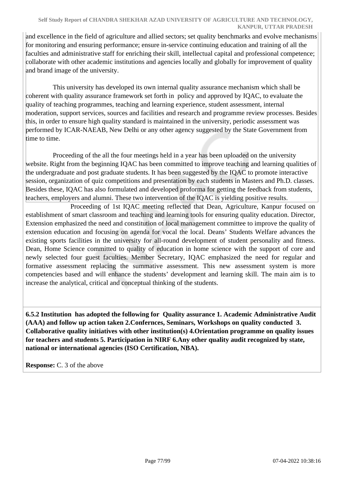#### **Self Study Report of CHANDRA SHEKHAR AZAD UNIVERSITY OF AGRICULTURE AND TECHNOLOGY, KANPUR, UTTAR PRADESH**

and excellence in the field of agriculture and allied sectors; set quality benchmarks and evolve mechanisms for monitoring and ensuring performance; ensure in-service continuing education and training of all the faculties and administrative staff for enriching their skill, intellectual capital and professional competence; collaborate with other academic institutions and agencies locally and globally for improvement of quality and brand image of the university.

 This university has developed its own internal quality assurance mechanism which shall be coherent with quality assurance framework set forth in policy and approved by IQAC, to evaluate the quality of teaching programmes, teaching and learning experience, student assessment, internal moderation, support services, sources and facilities and research and programme review processes. Besides this, in order to ensure high quality standard is maintained in the university, periodic assessment was performed by ICAR-NAEAB, New Delhi or any other agency suggested by the State Government from time to time.

 Proceeding of the all the four meetings held in a year has been uploaded on the university website. Right from the beginning IQAC has been committed to improve teaching and learning qualities of the undergraduate and post graduate students. It has been suggested by the IQAC to promote interactive session, organization of quiz competitions and presentation by each students in Masters and Ph.D. classes. Besides these, IQAC has also formulated and developed proforma for getting the feedback from students, teachers, employers and alumni. These two intervention of the IQAC is yielding positive results.

 Proceeding of 1st IQAC meeting reflected that Dean, Agriculture, Kanpur focused on establishment of smart classroom and teaching and learning tools for ensuring quality education. Director, Extension emphasized the need and constitution of local management committee to improve the quality of extension education and focusing on agenda for vocal the local. Deans' Students Welfare advances the existing sports facilities in the university for all-round development of student personality and fitness. Dean, Home Science committed to quality of education in home science with the support of core and newly selected four guest faculties. Member Secretary, IQAC emphasized the need for regular and formative assessment replacing the summative assessment. This new assessment system is more competencies based and will enhance the students' development and learning skill. The main aim is to increase the analytical, critical and conceptual thinking of the students.

 **6.5.2 Institution has adopted the following for Quality assurance 1. Academic Administrative Audit (AAA) and follow up action taken 2.Confernces, Seminars, Workshops on quality conducted 3. Collaborative quality initiatives with other institution(s) 4.Orientation programme on quality issues for teachers and students 5. Participation in NIRF 6.Any other quality audit recognized by state, national or international agencies (ISO Certification, NBA).**

**Response:** C. 3 of the above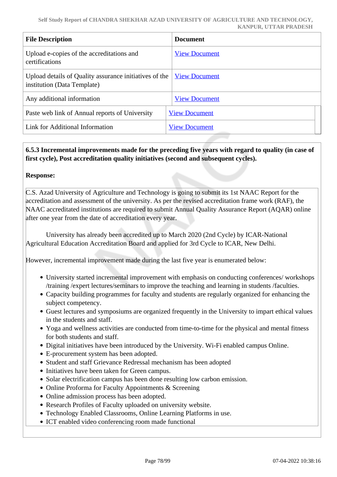| <b>File Description</b>                                                               | <b>Document</b>      |
|---------------------------------------------------------------------------------------|----------------------|
| Upload e-copies of the accreditations and<br>certifications                           | <b>View Document</b> |
| Upload details of Quality assurance initiatives of the<br>institution (Data Template) | <b>View Document</b> |
| Any additional information                                                            | <b>View Document</b> |
| Paste web link of Annual reports of University                                        | <b>View Document</b> |
| Link for Additional Information                                                       | <b>View Document</b> |

## **6.5.3 Incremental improvements made for the preceding five years with regard to quality (in case of first cycle), Post accreditation quality initiatives (second and subsequent cycles).**

#### **Response:**

C.S. Azad University of Agriculture and Technology is going to submit its 1st NAAC Report for the accreditation and assessment of the university. As per the revised accreditation frame work (RAF), the NAAC accreditated institutions are required to submit Annual Quality Assurance Report (AQAR) online after one year from the date of accreditation every year.

 University has already been accredited up to March 2020 (2nd Cycle) by ICAR-National Agricultural Education Accreditation Board and applied for 3rd Cycle to ICAR, New Delhi.

However, incremental improvement made during the last five year is enumerated below:

- University started incremental improvement with emphasis on conducting conferences/ workshops /training /expert lectures/seminars to improve the teaching and learning in students /faculties.
- Capacity building programmes for faculty and students are regularly organized for enhancing the subject competency.
- Guest lectures and symposiums are organized frequently in the University to impart ethical values in the students and staff.
- Yoga and wellness activities are conducted from time-to-time for the physical and mental fitness for both students and staff.
- Digital initiatives have been introduced by the University. Wi-Fi enabled campus Online.
- E-procurement system has been adopted.
- Student and staff Grievance Redressal mechanism has been adopted
- Initiatives have been taken for Green campus.
- Solar electrification campus has been done resulting low carbon emission.
- Online Proforma for Faculty Appointments & Screening
- Online admission process has been adopted.
- Research Profiles of Faculty uploaded on university website.
- Technology Enabled Classrooms, Online Learning Platforms in use.
- ICT enabled video conferencing room made functional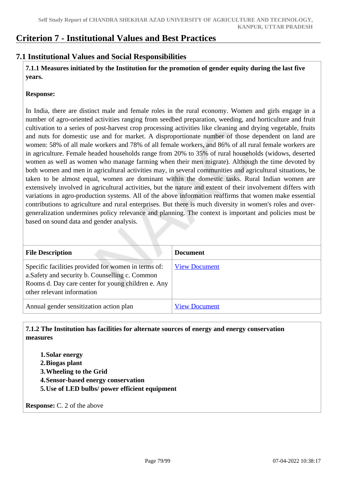## **Criterion 7 - Institutional Values and Best Practices**

## **7.1 Institutional Values and Social Responsibilities**

 **7.1.1 Measures initiated by the Institution for the promotion of gender equity during the last five years.**

#### **Response:**

In India, there are distinct male and female roles in the rural economy. Women and girls engage in a number of agro-oriented activities ranging from seedbed preparation, weeding, and horticulture and fruit cultivation to a series of post-harvest crop processing activities like cleaning and drying vegetable, fruits and nuts for domestic use and for market. A disproportionate number of those dependent on land are women: 58% of all male workers and 78% of all female workers, and 86% of all rural female workers are in agriculture. Female headed households range from 20% to 35% of rural households (widows, deserted women as well as women who manage farming when their men migrate). Although the time devoted by both women and men in agricultural activities may, in several communities and agricultural situations, be taken to be almost equal, women are dominant within the domestic tasks. Rural Indian women are extensively involved in agricultural activities, but the nature and extent of their involvement differs with variations in agro-production systems. All of the above information reaffirms that women make essential contributions to agriculture and rural enterprises. But there is much diversity in women's roles and overgeneralization undermines policy relevance and planning. The context is important and policies must be based on sound data and gender analysis.

| <b>File Description</b>                                                                                                                                                                    | <b>Document</b>      |
|--------------------------------------------------------------------------------------------------------------------------------------------------------------------------------------------|----------------------|
| Specific facilities provided for women in terms of:<br>a. Safety and security b. Counselling c. Common<br>Rooms d. Day care center for young children e. Any<br>other relevant information | <b>View Document</b> |
| Annual gender sensitization action plan                                                                                                                                                    | <b>View Document</b> |

 **7.1.2 The Institution has facilities for alternate sources of energy and energy conservation measures** 

**1.Solar energy 2.Biogas plant 3.Wheeling to the Grid 4.Sensor-based energy conservation 5.Use of LED bulbs/ power efficient equipment** 

**Response:** C. 2 of the above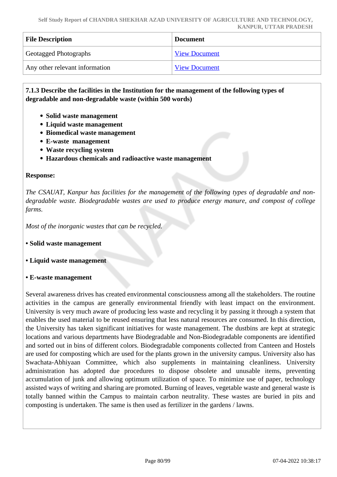| <b>File Description</b>        | <b>Document</b>      |
|--------------------------------|----------------------|
| <b>Geotagged Photographs</b>   | <b>View Document</b> |
| Any other relevant information | <b>View Document</b> |

 **7.1.3 Describe the facilities in the Institution for the management of the following types of degradable and non-degradable waste (within 500 words)**

- Solid waste management
- **Liquid waste management**
- **Biomedical waste management**
- **E-waste management**
- **Waste recycling system**
- **Hazardous chemicals and radioactive waste management**

#### **Response:**

*The CSAUAT, Kanpur has facilities for the management of the following types of degradable and nondegradable waste. Biodegradable wastes are used to produce energy manure, and compost of college farms.*

*Most of the inorganic wastes that can be recycled.* 

- **Solid waste management**
- **Liquid waste management**

#### **• E-waste management**

Several awareness drives has created environmental consciousness among all the stakeholders. The routine activities in the campus are generally environmental friendly with least impact on the environment. University is very much aware of producing less waste and recycling it by passing it through a system that enables the used material to be reused ensuring that less natural resources are consumed. In this direction, the University has taken significant initiatives for waste management. The dustbins are kept at strategic locations and various departments have Biodegradable and Non-Biodegradable components are identified and sorted out in bins of different colors. Biodegradable components collected from Canteen and Hostels are used for composting which are used for the plants grown in the university campus. University also has Swachata-Abhiyaan Committee, which also supplements in maintaining cleanliness. University administration has adopted due procedures to dispose obsolete and unusable items, preventing accumulation of junk and allowing optimum utilization of space. To minimize use of paper, technology assisted ways of writing and sharing are promoted. Burning of leaves, vegetable waste and general waste is totally banned within the Campus to maintain carbon neutrality. These wastes are buried in pits and composting is undertaken. The same is then used as fertilizer in the gardens / lawns.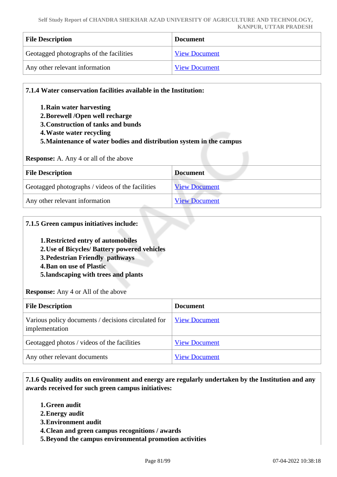| <b>File Description</b>                 | <b>Document</b>      |
|-----------------------------------------|----------------------|
| Geotagged photographs of the facilities | <b>View Document</b> |
| Any other relevant information          | <b>View Document</b> |

| 1. Rain water harvesting<br>2. Borewell / Open well recharge<br>3. Construction of tanks and bunds<br>4. Waste water recycling<br>5. Maintenance of water bodies and distribution system in the campus |                      |
|--------------------------------------------------------------------------------------------------------------------------------------------------------------------------------------------------------|----------------------|
|                                                                                                                                                                                                        |                      |
| <b>Response:</b> A. Any 4 or all of the above                                                                                                                                                          |                      |
| <b>File Description</b>                                                                                                                                                                                | <b>Document</b>      |
| Geotagged photographs / videos of the facilities                                                                                                                                                       | <b>View Document</b> |

#### **7.1.5 Green campus initiatives include:**

**1.Restricted entry of automobiles** 

- **2.Use of Bicycles/ Battery powered vehicles**
- **3.Pedestrian Friendly pathways**
- **4.Ban on use of Plastic**
- **5.landscaping with trees and plants**

**Response:** Any 4 or All of the above

| <b>File Description</b>                                               | <b>Document</b>      |
|-----------------------------------------------------------------------|----------------------|
| Various policy documents / decisions circulated for<br>implementation | <b>View Document</b> |
| Geotagged photos / videos of the facilities                           | <b>View Document</b> |
| Any other relevant documents                                          | <b>View Document</b> |

 **7.1.6 Quality audits on environment and energy are regularly undertaken by the Institution and any awards received for such green campus initiatives:**

- **1.Green audit**
- **2.Energy audit**
- **3.Environment audit**
- **4.Clean and green campus recognitions / awards**
- **5.Beyond the campus environmental promotion activities**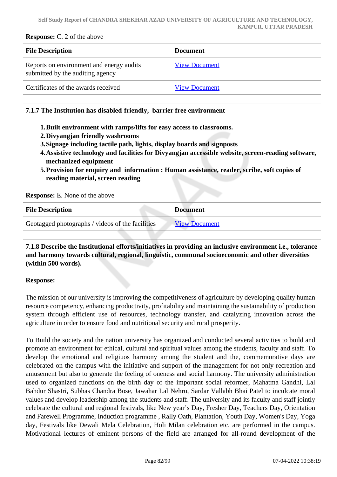#### **Response:** C. 2 of the above

| <b>File Description</b>                                                      | <b>Document</b>      |
|------------------------------------------------------------------------------|----------------------|
| Reports on environment and energy audits<br>submitted by the auditing agency | <b>View Document</b> |
| Certificates of the awards received                                          | <b>View Document</b> |

#### **7.1.7 The Institution has disabled-friendly, barrier free environment**

- **1.Built environment with ramps/lifts for easy access to classrooms.**
- **2.Divyangjan friendly washrooms**
- **3.Signage including tactile path, lights, display boards and signposts**
- **4.Assistive technology and facilities for Divyangjan accessible website, screen-reading software, mechanized equipment**
- **5.Provision for enquiry and information : Human assistance, reader, scribe, soft copies of reading material, screen reading**

**Response:** E. None of the above

| <b>File Description</b>                          | <b>Document</b>      |
|--------------------------------------------------|----------------------|
| Geotagged photographs / videos of the facilities | <b>View Document</b> |

## **7.1.8 Describe the Institutional efforts/initiatives in providing an inclusive environment i.e., tolerance and harmony towards cultural, regional, linguistic, communal socioeconomic and other diversities (within 500 words).**

#### **Response:**

The mission of our university is improving the competitiveness of agriculture by developing quality human resource competency, enhancing productivity, profitability and maintaining the sustainability of production system through efficient use of resources, technology transfer, and catalyzing innovation across the agriculture in order to ensure food and nutritional security and rural prosperity.

To Build the society and the nation university has organized and conducted several activities to build and promote an environment for ethical, cultural and spiritual values among the students, faculty and staff. To develop the emotional and religiuos harmony among the student and the, commemorative days are celebrated on the campus with the initiative and support of the management for not only recreation and amusement but also to generate the feeling of oneness and social harmony. The university administration used to organized functions on the birth day of the important social reformer, Mahatma Gandhi, Lal Bahdur Shastri, Subhas Chandra Bose, Jawahar Lal Nehru, Sardar Vallabh Bhai Patel to inculcate moral values and develop leadership among the students and staff. The university and its faculty and staff jointly celebrate the cultural and regional festivals, like New year's Day, Fresher Day, Teachers Day, Orientation and Farewell Programme, Induction programme , Rally Oath, Plantation, Youth Day, Women's Day, Yoga day, Festivals like Dewali Mela Celebration, Holi Milan celebration etc. are performed in the campus. Motivational lectures of eminent persons of the field are arranged for all-round development of the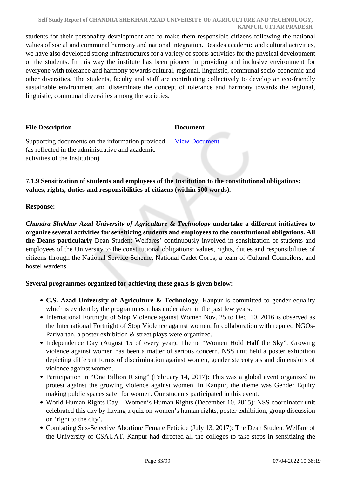students for their personality development and to make them responsible citizens following the national values of social and communal harmony and national integration. Besides academic and cultural activities, we have also developed strong infrastructures for a variety of sports activities for the physical development of the students. In this way the institute has been pioneer in providing and inclusive environment for everyone with tolerance and harmony towards cultural, regional, linguistic, communal socio-economic and other diversities. The students, faculty and staff are contributing collectively to develop an eco-friendly sustainable environment and disseminate the concept of tolerance and harmony towards the regional, linguistic, communal diversities among the societies.

| <b>File Description</b>                                                                                                                | <b>Document</b>      |
|----------------------------------------------------------------------------------------------------------------------------------------|----------------------|
| Supporting documents on the information provided<br>(as reflected in the administrative and academic<br>activities of the Institution) | <b>View Document</b> |

 **7.1.9 Sensitization of students and employees of the Institution to the constitutional obligations: values, rights, duties and responsibilities of citizens (within 500 words).**

## **Response:**

*Chandra Shekhar Azad University of Agriculture & Technology* **undertake a different initiatives to organize several activities for sensitizing students and employees to the constitutional obligations. All the Deans particularly** Dean Student Welfares' continuously involved in sensitization of students and employees of the University to the constitutional obligations: values, rights, duties and responsibilities of citizens through the National Service Scheme, National Cadet Corps, a team of Cultural Councilors, and hostel wardens

## **Several programmes organized for achieving these goals is given below:**

- **C.S. Azad University of Agriculture & Technology**, Kanpur is committed to gender equality which is evident by the programmes it has undertaken in the past few years.
- International Fortnight of Stop Violence against Women Nov. 25 to Dec. 10, 2016 is observed as the International Fortnight of Stop Violence against women. In collaboration with reputed NGOs-Parivartan, a poster exhibition & street plays were organized.
- Independence Day (August 15 of every year): Theme "Women Hold Half the Sky". Growing violence against women has been a matter of serious concern. NSS unit held a poster exhibition depicting different forms of discrimination against women, gender stereotypes and dimensions of violence against women.
- Participation in "One Billion Rising" (February 14, 2017): This was a global event organized to protest against the growing violence against women. In Kanpur, the theme was Gender Equity making public spaces safer for women. Our students participated in this event.
- World Human Rights Day Women's Human Rights (December 10, 2015): NSS coordinator unit celebrated this day by having a quiz on women's human rights, poster exhibition, group discussion on 'right to the city'.
- Combating Sex-Selective Abortion/ Female Feticide (July 13, 2017): The Dean Student Welfare of the University of CSAUAT, Kanpur had directed all the colleges to take steps in sensitizing the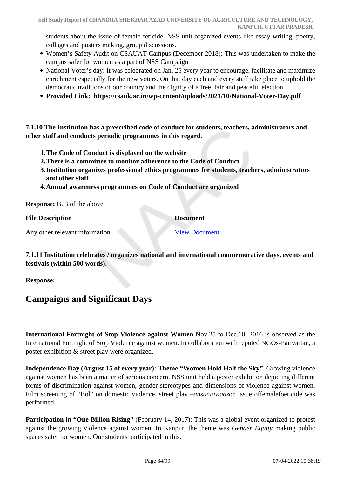students about the issue of female feticide. NSS unit organized events like essay writing, poetry, collages and posters making, group discussions.

- Women's Safety Audit on CSAUAT Campus (December 2018): This was undertaken to make the campus safer for women as a part of NSS Campaign
- National Voter's day: It was celebrated on Jan. 25 every year to encourage, facilitate and maximize enrichment especially for the new voters. On that day each and every staff take place to uphold the democratic traditions of our country and the dignity of a free, fair and peaceful election.
- **Provided Link: https://csauk.ac.in/wp-content/uploads/2021/10/National-Voter-Day.pdf**

 **7.1.10 The Institution has a prescribed code of conduct for students, teachers, administrators and other staff and conducts periodic programmes in this regard.** 

- **1.The Code of Conduct is displayed on the website**
- **2.There is a committee to monitor adherence to the Code of Conduct**
- **3.Institution organizes professional ethics programmes for students, teachers, administrators and other staff**
- **4.Annual awareness programmes on Code of Conduct are organized**

**Response:** B. 3 of the above

| <b>File Description</b>        | <b>Document</b>      |
|--------------------------------|----------------------|
| Any other relevant information | <b>View Document</b> |

 **7.1.11 Institution celebrates / organizes national and international commemorative days, events and festivals (within 500 words).**

**Response:** 

## **Campaigns and Significant Days**

**International Fortnight of Stop Violence against Women** Nov.25 to Dec.10, 2016 is observed as the International Fortnight of Stop Violence against women. In collaboration with reputed NGOs-Parivartan, a poster exhibition & street play were organized.

**Independence Day (August 15 of every year): Theme "Women Hold Half the Sky"**. Growing violence against women has been a matter of serious concern. NSS unit held a poster exhibition depicting different forms of discrimination against women, gender stereotypes and dimensions of violence against women. Film screening of "Bol" on domestic violence, street play –*ansuniawaaz*on issue offemalefoeticide was performed.

**Participation in "One Billion Rising"** (February 14, 2017): This was a global event organized to protest against the growing violence against women. In Kanpur, the theme was *Gender Equity* making public spaces safer for women. Our students participated in this.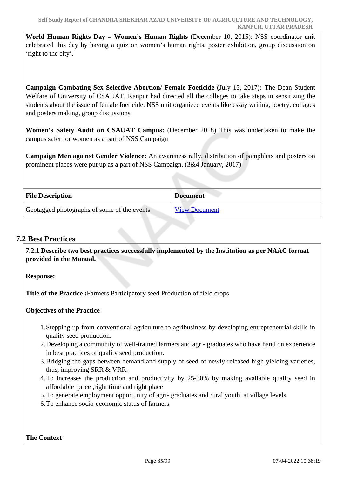**World Human Rights Day – Women's Human Rights (**December 10, 2015): NSS coordinator unit celebrated this day by having a quiz on women's human rights, poster exhibition, group discussion on 'right to the city'.

**Campaign Combating Sex Selective Abortion/ Female Foeticide (**July 13, 2017**):** The Dean Student Welfare of University of CSAUAT, Kanpur had directed all the colleges to take steps in sensitizing the students about the issue of female foeticide. NSS unit organized events like essay writing, poetry, collages and posters making, group discussions.

**Women's Safety Audit on CSAUAT Campus:** (December 2018) This was undertaken to make the campus safer for women as a part of NSS Campaign

**Campaign Men against Gender Violence:** An awareness rally, distribution of pamphlets and posters on prominent places were put up as a part of NSS Campaign. (3&4 January, 2017)

| <b>File Description</b>                     | <b>Document</b>      |
|---------------------------------------------|----------------------|
| Geotagged photographs of some of the events | <b>View Document</b> |

## **7.2 Best Practices**

 **7.2.1 Describe two best practices successfully implemented by the Institution as per NAAC format provided in the Manual.**

**Response:** 

**Title of the Practice :**Farmers Participatory seed Production of field crops

## **Objectives of the Practice**

- 1.Stepping up from conventional agriculture to agribusiness by developing entrepreneurial skills in quality seed production.
- 2.Developing a community of well-trained farmers and agri- graduates who have hand on experience in best practices of quality seed production.
- 3.Bridging the gaps between demand and supply of seed of newly released high yielding varieties, thus, improving SRR & VRR.
- 4.To increases the production and productivity by 25-30% by making available quality seed in affordable price ,right time and right place
- 5.To generate employment opportunity of agri- graduates and rural youth at village levels
- 6.To enhance socio-economic status of farmers

**The Context**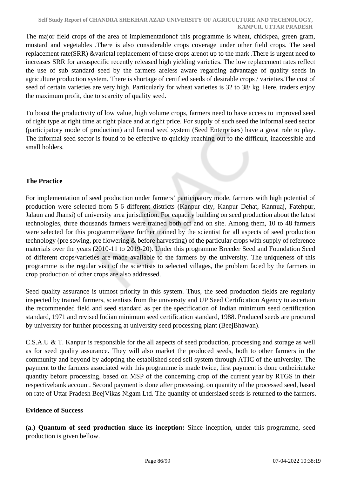The major field crops of the area of implementationof this programme is wheat, chickpea, green gram, mustard and vegetables .There is also considerable crops coverage under other field crops. The seed replacement rate(SRR) &varietal replacement of these crops arenot up to the mark .There is urgent need to increases SRR for areaspecific recently released high yielding varieties. The low replacement rates reflect the use of sub standard seed by the farmers areless aware regarding advantage of quality seeds in agriculture production system. There is shortage of certified seeds of desirable crops / varieties.The cost of seed of certain varieties are very high. Particularly for wheat varieties is 32 to 38/ kg. Here, traders enjoy the maximum profit, due to scarcity of quality seed.

To boost the productivity of low value, high volume crops, farmers need to have access to improved seed of right type at right time at right place and at right price. For supply of such seed the informal seed sector (participatory mode of production) and formal seed system (Seed Enterprises) have a great role to play. The informal seed sector is found to be effective to quickly reaching out to the difficult, inaccessible and small holders.

## **The Practice**

For implementation of seed production under farmers' participatory mode, farmers with high potential of production were selected from 5-6 different districts (Kanpur city, Kanpur Dehat, Kannuaj, Fatehpur, Jalaun and Jhansi) of university area jurisdiction. For capacity building on seed production about the latest technologies, three thousands farmers were trained both off and on site. Among them, 10 to 48 farmers were selected for this programme were further trained by the scientist for all aspects of seed production technology (pre sowing, pre flowering & before harvesting) of the particular crops with supply of reference materials over the years (2010-11 to 2019-20). Under this programme Breeder Seed and Foundation Seed of different crops/varieties are made available to the farmers by the university. The uniqueness of this programme is the regular visit of the scientists to selected villages, the problem faced by the farmers in crop production of other crops are also addressed.

Seed quality assurance is utmost priority in this system. Thus, the seed production fields are regularly inspected by trained farmers, scientists from the university and UP Seed Certification Agency to ascertain the recommended field and seed standard as per the specification of Indian minimum seed certification standard, 1971 and revised Indian minimum seed certification standard, 1988. Produced seeds are procured by university for further processing at university seed processing plant (BeejBhawan).

C.S.A.U & T. Kanpur is responsible for the all aspects of seed production, processing and storage as well as for seed quality assurance. They will also market the produced seeds, both to other farmers in the community and beyond by adopting the established seed sell system through ATIC of the university. The payment to the farmers associated with this programme is made twice, first payment is done ontheirintake quantity before processing, based on MSP of the concerning crop of the current year by RTGS in their respectivebank account. Second payment is done after processing, on quantity of the processed seed, based on rate of Uttar Pradesh BeejVikas Nigam Ltd. The quantity of undersized seeds is returned to the farmers.

## **Evidence of Success**

**(a.) Quantum of seed production since its inception:** Since inception, under this programme, seed production is given bellow.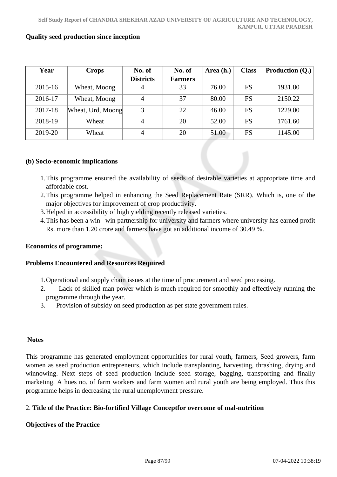#### **Quality seed production since inception**

| Year    | <b>Crops</b>      | No. of           | No. of         | Area (h.) | <b>Class</b> | Production (Q.) |
|---------|-------------------|------------------|----------------|-----------|--------------|-----------------|
|         |                   | <b>Districts</b> | <b>Farmers</b> |           |              |                 |
| 2015-16 | Wheat, Moong      | 4                | 33             | 76.00     | <b>FS</b>    | 1931.80         |
| 2016-17 | Wheat, Moong      | $\overline{4}$   | 37             | 80.00     | <b>FS</b>    | 2150.22         |
| 2017-18 | Wheat, Urd, Moong | 3                | 22             | 46.00     | <b>FS</b>    | 1229.00         |
| 2018-19 | Wheat             | $\overline{4}$   | 20             | 52.00     | <b>FS</b>    | 1761.60         |
| 2019-20 | Wheat             | $\overline{4}$   | 20             | 51.00     | FS           | 1145.00         |

#### **(b) Socio-economic implications**

- 1.This programme ensured the availability of seeds of desirable varieties at appropriate time and affordable cost.
- 2.This programme helped in enhancing the Seed Replacement Rate (SRR). Which is, one of the major objectives for improvement of crop productivity.
- 3.Helped in accessibility of high yielding recently released varieties.
- 4.This has been a win –win partnership for university and farmers where university has earned profit Rs. more than 1.20 crore and farmers have got an additional income of 30.49 %.

#### **Economics of programme:**

#### **Problems Encountered and Resources Required**

- 1.Operational and supply chain issues at the time of procurement and seed processing.
- 2. Lack of skilled man power which is much required for smoothly and effectively running the programme through the year.
- 3. Provision of subsidy on seed production as per state government rules.

#### **Notes**

This programme has generated employment opportunities for rural youth, farmers, Seed growers, farm women as seed production entrepreneurs, which include transplanting, harvesting, thrashing, drying and winnowing. Next steps of seed production include seed storage, bagging, transporting and finally marketing. A hues no. of farm workers and farm women and rural youth are being employed. Thus this programme helps in decreasing the rural unemployment pressure.

#### 2. **Title of the Practice: Bio-fortified Village Conceptfor overcome of mal-nutrition**

#### **Objectives of the Practice**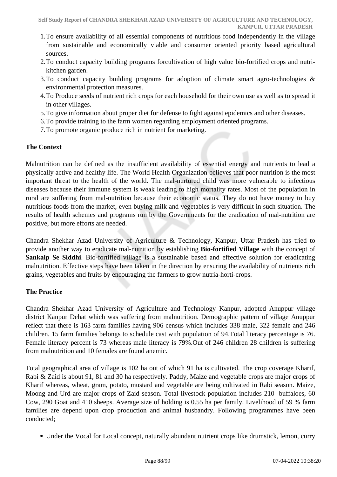- 1.To ensure availability of all essential components of nutritious food independently in the village from sustainable and economically viable and consumer oriented priority based agricultural sources.
- 2.To conduct capacity building programs forcultivation of high value bio-fortified crops and nutrikitchen garden.
- 3.To conduct capacity building programs for adoption of climate smart agro-technologies & environmental protection measures.
- 4.To Produce seeds of nutrient rich crops for each household for their own use as well as to spread it in other villages.
- 5.To give information about proper diet for defense to fight against epidemics and other diseases.
- 6.To provide training to the farm women regarding employment oriented programs.
- 7.To promote organic produce rich in nutrient for marketing.

### **The Context**

Malnutrition can be defined as the insufficient availability of essential energy and nutrients to lead a physically active and healthy life. The World Health Organization believes that poor nutrition is the most important threat to the health of the world. The mal-nurtured child was more vulnerable to infectious diseases because their immune system is weak leading to high mortality rates. Most of the population in rural are suffering from mal-nutrition because their economic status. They do not have money to buy nutritious foods from the market, even buying milk and vegetables is very difficult in such situation. The results of health schemes and programs run by the Governments for the eradication of mal-nutrition are positive, but more efforts are needed.

Chandra Shekhar Azad University of Agriculture & Technology, Kanpur, Uttar Pradesh has tried to provide another way to eradicate mal-nutrition by establishing **Bio-fortified Village** with the concept of **Sankalp Se Siddhi**. Bio-fortified village is a sustainable based and effective solution for eradicating malnutrition. Effective steps have been taken in the direction by ensuring the availability of nutrients rich grains, vegetables and fruits by encouraging the farmers to grow nutria-horti-crops.

#### **The Practice**

Chandra Shekhar Azad University of Agriculture and Technology Kanpur, adopted Anuppur village district Kanpur Dehat which was suffering from malnutrition. Demographic pattern of village Anuppur reflect that there is 163 farm families having 906 census which includes 338 male, 322 female and 246 children. 15 farm families belongs to schedule cast with population of 94.Total literacy percentage is 76. Female literacy percent is 73 whereas male literacy is 79%.Out of 246 children 28 children is suffering from malnutrition and 10 females are found anemic.

Total geographical area of village is 102 ha out of which 91 ha is cultivated. The crop coverage Kharif, Rabi & Zaid is about 91, 81 and 30 ha respectively. Paddy, Maize and vegetable crops are major crops of Kharif whereas, wheat, gram, potato, mustard and vegetable are being cultivated in Rabi season. Maize, Moong and Urd are major crops of Zaid season. Total livestock population includes 210- buffaloes, 60 Cow, 290 Goat and 410 sheeps. Average size of holding is 0.55 ha per family. Livelihood of 59 % farm families are depend upon crop production and animal husbandry. Following programmes have been conducted;

Under the Vocal for Local concept, naturally abundant nutrient crops like drumstick, lemon, curry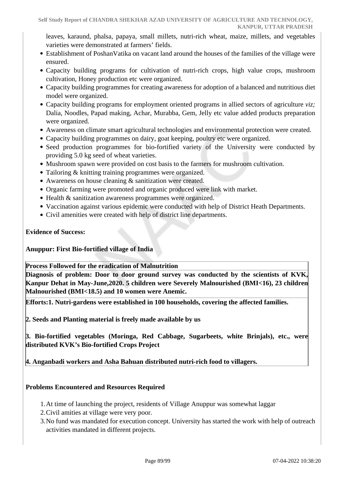leaves, karaund, phalsa, papaya, small millets, nutri-rich wheat, maize, millets, and vegetables varieties were demonstrated at farmers' fields.

- Establishment of PoshanVatika on vacant land around the houses of the families of the village were ensured.
- Capacity building programs for cultivation of nutri-rich crops, high value crops, mushroom cultivation, Honey production etc were organized.
- Capacity building programmes for creating awareness for adoption of a balanced and nutritious diet model were organized.
- Capacity building programs for employment oriented programs in allied sectors of agriculture *viz;* Dalia, Noodles, Papad making, Achar, Murabba, Gem, Jelly etc value added products preparation were organized.
- Awareness on climate smart agricultural technologies and environmental protection were created.
- Capacity building programmes on dairy, goat keeping, poultry etc were organized.
- Seed production programmes for bio-fortified variety of the University were conducted by providing 5.0 kg seed of wheat varieties.
- Mushroom spawn were provided on cost basis to the farmers for mushroom cultivation.
- Tailoring & knitting training programmes were organized.
- Awareness on house cleaning & sanitization were created.
- Organic farming were promoted and organic produced were link with market.
- Health & sanitization awareness programmes were organized.
- Vaccination against various epidemic were conducted with help of District Heath Departments.
- Civil amenities were created with help of district line departments.

#### **Evidence of Success:**

#### **Anuppur: First Bio-fortified village of India**

**Process Followed for the eradication of Malnutrition**

**Diagnosis of problem: Door to door ground survey was conducted by the scientists of KVK, Kanpur Dehat in May-June,2020. 5 children were Severely Malnourished (BMI<16), 23 children Malnourished (BMI<18.5) and 10 women were Anemic.**

**Efforts:1. Nutri-gardens were established in 100 households, covering the affected families.**

**2. Seeds and Planting material is freely made available by us**

**3. Bio-fortified vegetables (Moringa, Red Cabbage, Sugarbeets, white Brinjals), etc., were distributed KVK's Bio-fortified Crops Project**

**4. Anganbadi workers and Asha Bahuan distributed nutri-rich food to villagers.**

#### **Problems Encountered and Resources Required**

- 1.At time of launching the project, residents of Village Anuppur was somewhat laggar
- 2.Civil amities at village were very poor.
- 3.No fund was mandated for execution concept. University has started the work with help of outreach activities mandated in different projects.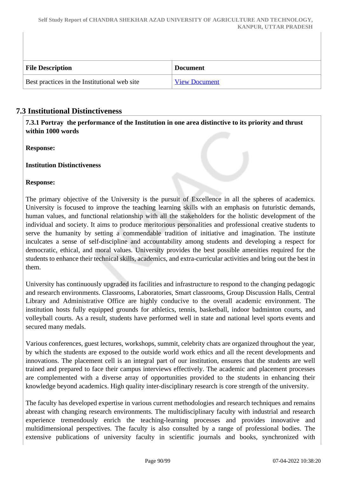| <b>File Description</b>                      | <b>Document</b>      |
|----------------------------------------------|----------------------|
| Best practices in the Institutional web site | <b>View Document</b> |

## **7.3 Institutional Distinctiveness**

 **7.3.1 Portray the performance of the Institution in one area distinctive to its priority and thrust within 1000 words**

**Response:** 

**Institution Distinctiveness** 

#### **Response:**

The primary objective of the University is the pursuit of Excellence in all the spheres of academics. University is focused to improve the teaching learning skills with an emphasis on futuristic demands, human values, and functional relationship with all the stakeholders for the holistic development of the individual and society. It aims to produce meritorious personalities and professional creative students to serve the humanity by setting a commendable tradition of initiative and imagination. The institute inculcates a sense of self-discipline and accountability among students and developing a respect for democratic, ethical, and moral values. University provides the best possible amenities required for the students to enhance their technical skills, academics, and extra-curricular activities and bring out the best in them.

University has continuously upgraded its facilities and infrastructure to respond to the changing pedagogic and research environments. Classrooms, Laboratories, Smart classrooms, Group Discussion Halls, Central Library and Administrative Office are highly conducive to the overall academic environment. The institution hosts fully equipped grounds for athletics, tennis, basketball, indoor badminton courts, and volleyball courts. As a result, students have performed well in state and national level sports events and secured many medals.

Various conferences, guest lectures, workshops, summit, celebrity chats are organized throughout the year, by which the students are exposed to the outside world work ethics and all the recent developments and innovations. The placement cell is an integral part of our institution, ensures that the students are well trained and prepared to face their campus interviews effectively. The academic and placement processes are complemented with a diverse array of opportunities provided to the students in enhancing their knowledge beyond academics. High quality inter-disciplinary research is core strength of the university.

The faculty has developed expertise in various current methodologies and research techniques and remains abreast with changing research environments. The multidisciplinary faculty with industrial and research experience tremendously enrich the teaching-learning processes and provides innovative and multidimensional perspectives. The faculty is also consulted by a range of professional bodies. The extensive publications of university faculty in scientific journals and books, synchronized with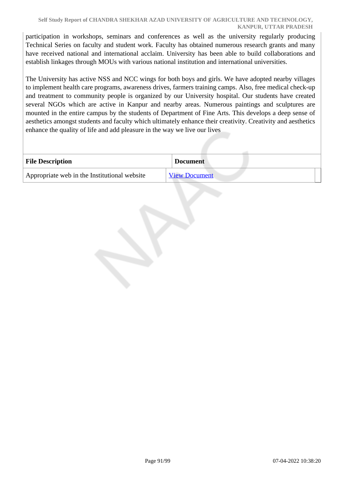participation in workshops, seminars and conferences as well as the university regularly producing Technical Series on faculty and student work. Faculty has obtained numerous research grants and many have received national and international acclaim. University has been able to build collaborations and establish linkages through MOUs with various national institution and international universities.

The University has active NSS and NCC wings for both boys and girls. We have adopted nearby villages to implement health care programs, awareness drives, farmers training camps. Also, free medical check-up and treatment to community people is organized by our University hospital. Our students have created several NGOs which are active in Kanpur and nearby areas. Numerous paintings and sculptures are mounted in the entire campus by the students of Department of Fine Arts. This develops a deep sense of aesthetics amongst students and faculty which ultimately enhance their creativity. Creativity and aesthetics enhance the quality of life and add pleasure in the way we live our lives

| <b>File Description</b>                      | <b>Document</b>      |
|----------------------------------------------|----------------------|
| Appropriate web in the Institutional website | <b>View Document</b> |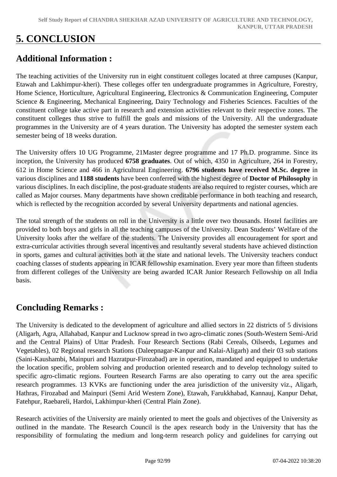# **5. CONCLUSION**

## **Additional Information :**

The teaching activities of the University run in eight constituent colleges located at three campuses (Kanpur, Etawah and Lakhimpur-kheri). These colleges offer ten undergraduate programmes in Agriculture, Forestry, Home Science, Horticulture, Agricultural Engineering, Electronics & Communication Engineering, Computer Science & Engineering, Mechanical Engineering, Dairy Technology and Fisheries Sciences. Faculties of the constituent college take active part in research and extension activities relevant to their respective zones. The constituent colleges thus strive to fulfill the goals and missions of the University. All the undergraduate programmes in the University are of 4 years duration. The University has adopted the semester system each semester being of 18 weeks duration.

The University offers 10 UG Programme, 21Master degree programme and 17 Ph.D. programme. Since its inception, the University has produced **6758 graduates**. Out of which, 4350 in Agriculture, 264 in Forestry, 612 in Home Science and 466 in Agricultural Engineering. **6796 students have received M.Sc. degree** in various disciplines and **1188 students** have been conferred with the highest degree of **Doctor of Philosophy** in various disciplines. In each discipline, the post-graduate students are also required to register courses, which are called as Major courses. Many departments have shown creditable performance in both teaching and research, which is reflected by the recognition accorded by several University departments and national agencies.

The total strength of the students on roll in the University is a little over two thousands. Hostel facilities are provided to both boys and girls in all the teaching campuses of the University. Dean Students' Welfare of the University looks after the welfare of the students. The University provides all encouragement for sport and extra-curricular activities through several incentives and resultantly several students have achieved distinction in sports, games and cultural activities both at the state and national levels. The University teachers conduct coaching classes of students appearing in ICAR fellowship examination. Every year more than fifteen students from different colleges of the University are being awarded ICAR Junior Research Fellowship on all India basis.

## **Concluding Remarks :**

The University is dedicated to the development of agriculture and allied sectors in 22 districts of 5 divisions (Aligarh, Agra, Allahabad, Kanpur and Lucknow spread in two agro-climatic zones (South-Western Semi-Arid and the Central Plains) of Uttar Pradesh. Four Research Sections (Rabi Cereals, Oilseeds, Legumes and Vegetables), 02 Regional research Stations (Daleepnagar-Kanpur and Kalai-Aligarh) and their 03 sub stations (Saini-Kaushambi, Mainpuri and Hazratpur-Firozabad) are in operation, mandated and equipped to undertake the location specific, problem solving and production oriented research and to develop technology suited to specific agro-climatic regions. Fourteen Research Farms are also operating to carry out the area specific research programmes. 13 KVKs are functioning under the area jurisdiction of the university viz., Aligarh, Hathras, Firozabad and Mainpuri (Semi Arid Western Zone), Etawah, Farukkhabad, Kannauj, Kanpur Dehat, Fatehpur, Raebareli, Hardoi, Lakhimpur-kheri (Central Plain Zone).

Research activities of the University are mainly oriented to meet the goals and objectives of the University as outlined in the mandate. The Research Council is the apex research body in the University that has the responsibility of formulating the medium and long-term research policy and guidelines for carrying out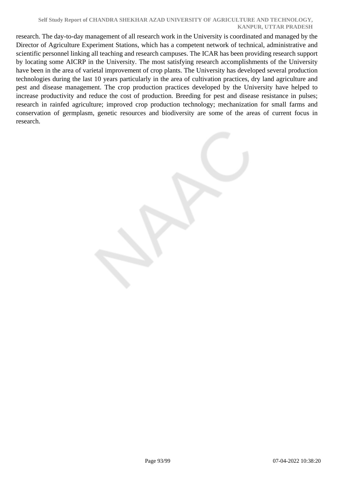#### **Self Study Report of CHANDRA SHEKHAR AZAD UNIVERSITY OF AGRICULTURE AND TECHNOLOGY, KANPUR, UTTAR PRADESH**

research. The day-to-day management of all research work in the University is coordinated and managed by the Director of Agriculture Experiment Stations, which has a competent network of technical, administrative and scientific personnel linking all teaching and research campuses. The ICAR has been providing research support by locating some AICRP in the University. The most satisfying research accomplishments of the University have been in the area of varietal improvement of crop plants. The University has developed several production technologies during the last 10 years particularly in the area of cultivation practices, dry land agriculture and pest and disease management. The crop production practices developed by the University have helped to increase productivity and reduce the cost of production. Breeding for pest and disease resistance in pulses; research in rainfed agriculture; improved crop production technology; mechanization for small farms and conservation of germplasm, genetic resources and biodiversity are some of the areas of current focus in research.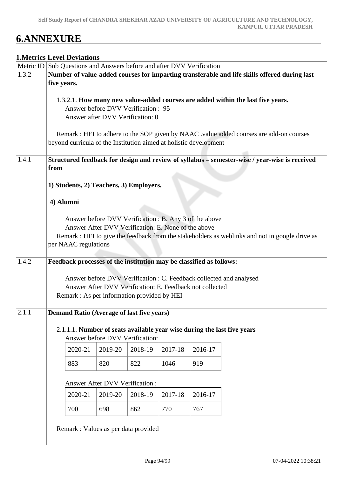# **6.ANNEXURE**

## **1.Metrics Level Deviations**

|       | Metric ID Sub Questions and Answers before and after DVV Verification<br>Number of value-added courses for imparting transferable and life skills offered during last |                                       |         |                                                                     |         |         |                                                                                                |  |  |
|-------|-----------------------------------------------------------------------------------------------------------------------------------------------------------------------|---------------------------------------|---------|---------------------------------------------------------------------|---------|---------|------------------------------------------------------------------------------------------------|--|--|
| 1.3.2 |                                                                                                                                                                       |                                       |         |                                                                     |         |         |                                                                                                |  |  |
|       | five years.                                                                                                                                                           |                                       |         |                                                                     |         |         |                                                                                                |  |  |
|       |                                                                                                                                                                       |                                       |         |                                                                     |         |         |                                                                                                |  |  |
|       |                                                                                                                                                                       |                                       |         |                                                                     |         |         | 1.3.2.1. How many new value-added courses are added within the last five years.                |  |  |
|       |                                                                                                                                                                       |                                       |         | Answer before DVV Verification: 95                                  |         |         |                                                                                                |  |  |
|       |                                                                                                                                                                       |                                       |         | Answer after DVV Verification: 0                                    |         |         |                                                                                                |  |  |
|       |                                                                                                                                                                       |                                       |         |                                                                     |         |         |                                                                                                |  |  |
|       |                                                                                                                                                                       |                                       |         |                                                                     |         |         | Remark : HEI to adhere to the SOP given by NAAC .value added courses are add-on courses        |  |  |
|       |                                                                                                                                                                       |                                       |         | beyond curricula of the Institution aimed at holistic development   |         |         |                                                                                                |  |  |
|       |                                                                                                                                                                       |                                       |         |                                                                     |         |         |                                                                                                |  |  |
| 1.4.1 |                                                                                                                                                                       |                                       |         |                                                                     |         |         | Structured feedback for design and review of syllabus - semester-wise / year-wise is received  |  |  |
|       | from                                                                                                                                                                  |                                       |         |                                                                     |         |         |                                                                                                |  |  |
|       |                                                                                                                                                                       |                                       |         |                                                                     |         |         |                                                                                                |  |  |
|       | 1) Students, 2) Teachers, 3) Employers,                                                                                                                               |                                       |         |                                                                     |         |         |                                                                                                |  |  |
|       |                                                                                                                                                                       |                                       |         |                                                                     |         |         |                                                                                                |  |  |
|       |                                                                                                                                                                       |                                       |         |                                                                     |         |         |                                                                                                |  |  |
|       | 4) Alumni                                                                                                                                                             |                                       |         |                                                                     |         |         |                                                                                                |  |  |
|       |                                                                                                                                                                       |                                       |         |                                                                     |         |         |                                                                                                |  |  |
|       |                                                                                                                                                                       |                                       |         | Answer before DVV Verification : B. Any 3 of the above              |         |         |                                                                                                |  |  |
|       |                                                                                                                                                                       |                                       |         | Answer After DVV Verification: E. None of the above                 |         |         |                                                                                                |  |  |
|       |                                                                                                                                                                       |                                       |         |                                                                     |         |         | Remark : HEI to give the feedback from the stakeholders as weblinks and not in google drive as |  |  |
|       |                                                                                                                                                                       | per NAAC regulations                  |         |                                                                     |         |         |                                                                                                |  |  |
|       |                                                                                                                                                                       |                                       |         |                                                                     |         |         |                                                                                                |  |  |
| 1.4.2 |                                                                                                                                                                       |                                       |         | Feedback processes of the institution may be classified as follows: |         |         |                                                                                                |  |  |
|       |                                                                                                                                                                       |                                       |         |                                                                     |         |         |                                                                                                |  |  |
|       |                                                                                                                                                                       |                                       |         |                                                                     |         |         | Answer before DVV Verification : C. Feedback collected and analysed                            |  |  |
|       |                                                                                                                                                                       |                                       |         | Answer After DVV Verification: E. Feedback not collected            |         |         |                                                                                                |  |  |
|       |                                                                                                                                                                       |                                       |         | Remark : As per information provided by HEI                         |         |         |                                                                                                |  |  |
|       |                                                                                                                                                                       |                                       |         |                                                                     |         |         |                                                                                                |  |  |
| 2.1.1 |                                                                                                                                                                       |                                       |         | <b>Demand Ratio (Average of last five years)</b>                    |         |         |                                                                                                |  |  |
|       |                                                                                                                                                                       |                                       |         |                                                                     |         |         |                                                                                                |  |  |
|       |                                                                                                                                                                       |                                       |         |                                                                     |         |         | 2.1.1.1. Number of seats available year wise during the last five years                        |  |  |
|       |                                                                                                                                                                       |                                       |         | Answer before DVV Verification:                                     |         |         |                                                                                                |  |  |
|       |                                                                                                                                                                       |                                       |         |                                                                     |         |         |                                                                                                |  |  |
|       |                                                                                                                                                                       | 2020-21                               | 2019-20 | 2018-19                                                             | 2017-18 | 2016-17 |                                                                                                |  |  |
|       |                                                                                                                                                                       |                                       |         |                                                                     |         |         |                                                                                                |  |  |
|       |                                                                                                                                                                       | 883                                   | 820     | 822                                                                 | 1046    | 919     |                                                                                                |  |  |
|       |                                                                                                                                                                       |                                       |         |                                                                     |         |         |                                                                                                |  |  |
|       |                                                                                                                                                                       | <b>Answer After DVV Verification:</b> |         |                                                                     |         |         |                                                                                                |  |  |
|       |                                                                                                                                                                       |                                       |         |                                                                     |         |         |                                                                                                |  |  |
|       |                                                                                                                                                                       | 2020-21                               | 2019-20 | 2018-19                                                             | 2017-18 | 2016-17 |                                                                                                |  |  |
|       |                                                                                                                                                                       | 700                                   | 698     | 862                                                                 | 770     | 767     |                                                                                                |  |  |
|       |                                                                                                                                                                       |                                       |         |                                                                     |         |         |                                                                                                |  |  |
|       |                                                                                                                                                                       |                                       |         |                                                                     |         |         |                                                                                                |  |  |
|       |                                                                                                                                                                       |                                       |         | Remark : Values as per data provided                                |         |         |                                                                                                |  |  |
|       |                                                                                                                                                                       |                                       |         |                                                                     |         |         |                                                                                                |  |  |
|       |                                                                                                                                                                       |                                       |         |                                                                     |         |         |                                                                                                |  |  |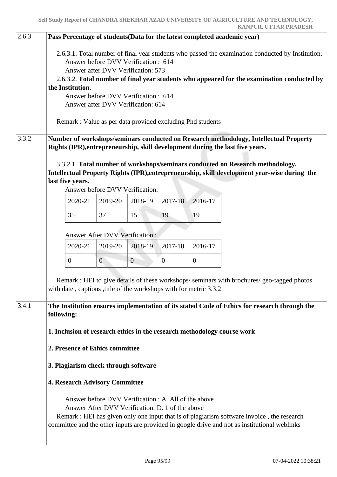| 2.6.3 |                                                                                                                                                                                                                                                                              |              |                                                                                                          |              |              | Pass Percentage of students(Data for the latest completed academic year)                                                                                                                    |  |  |  |  |  |  |  |  |
|-------|------------------------------------------------------------------------------------------------------------------------------------------------------------------------------------------------------------------------------------------------------------------------------|--------------|----------------------------------------------------------------------------------------------------------|--------------|--------------|---------------------------------------------------------------------------------------------------------------------------------------------------------------------------------------------|--|--|--|--|--|--|--|--|
|       | 2.6.3.1. Total number of final year students who passed the examination conducted by Institution.<br>Answer before DVV Verification: 614<br>Answer after DVV Verification: 573<br>2.6.3.2. Total number of final year students who appeared for the examination conducted by |              |                                                                                                          |              |              |                                                                                                                                                                                             |  |  |  |  |  |  |  |  |
|       | the Institution.                                                                                                                                                                                                                                                             |              |                                                                                                          |              |              |                                                                                                                                                                                             |  |  |  |  |  |  |  |  |
|       | Answer before DVV Verification : 614                                                                                                                                                                                                                                         |              |                                                                                                          |              |              |                                                                                                                                                                                             |  |  |  |  |  |  |  |  |
|       |                                                                                                                                                                                                                                                                              |              | Answer after DVV Verification: 614                                                                       |              |              |                                                                                                                                                                                             |  |  |  |  |  |  |  |  |
|       | Remark : Value as per data provided excluding Phd students                                                                                                                                                                                                                   |              |                                                                                                          |              |              |                                                                                                                                                                                             |  |  |  |  |  |  |  |  |
| 3.3.2 | Number of workshops/seminars conducted on Research methodology, Intellectual Property<br>Rights (IPR), entrepreneurship, skill development during the last five years.                                                                                                       |              |                                                                                                          |              |              |                                                                                                                                                                                             |  |  |  |  |  |  |  |  |
|       | last five years.                                                                                                                                                                                                                                                             |              | Answer before DVV Verification:                                                                          |              |              | 3.3.2.1. Total number of workshops/seminars conducted on Research methodology,<br>Intellectual Property Rights (IPR), entrepreneurship, skill development year-wise during the              |  |  |  |  |  |  |  |  |
|       | 2020-21                                                                                                                                                                                                                                                                      | 2019-20      | 2018-19                                                                                                  | 2017-18      | 2016-17      |                                                                                                                                                                                             |  |  |  |  |  |  |  |  |
|       | 35                                                                                                                                                                                                                                                                           | 37           | 15                                                                                                       | 19           | 19           |                                                                                                                                                                                             |  |  |  |  |  |  |  |  |
|       | <b>Answer After DVV Verification:</b>                                                                                                                                                                                                                                        |              |                                                                                                          |              |              |                                                                                                                                                                                             |  |  |  |  |  |  |  |  |
|       | 2020-21                                                                                                                                                                                                                                                                      | 2019-20      | 2018-19                                                                                                  | 2017-18      | 2016-17      |                                                                                                                                                                                             |  |  |  |  |  |  |  |  |
|       | $\boldsymbol{0}$                                                                                                                                                                                                                                                             | $\mathbf{0}$ | $\overline{0}$                                                                                           | $\mathbf{0}$ | $\mathbf{0}$ |                                                                                                                                                                                             |  |  |  |  |  |  |  |  |
|       | Remark : HEI to give details of these workshops/seminars with brochures/geo-tagged photos<br>with date, captions, title of the workshops with for metric 3.3.2                                                                                                               |              |                                                                                                          |              |              |                                                                                                                                                                                             |  |  |  |  |  |  |  |  |
| 3.4.1 | The Institution ensures implementation of its stated Code of Ethics for research through the<br>following:                                                                                                                                                                   |              |                                                                                                          |              |              |                                                                                                                                                                                             |  |  |  |  |  |  |  |  |
|       | 1. Inclusion of research ethics in the research methodology course work                                                                                                                                                                                                      |              |                                                                                                          |              |              |                                                                                                                                                                                             |  |  |  |  |  |  |  |  |
|       | 2. Presence of Ethics committee                                                                                                                                                                                                                                              |              |                                                                                                          |              |              |                                                                                                                                                                                             |  |  |  |  |  |  |  |  |
|       | 3. Plagiarism check through software                                                                                                                                                                                                                                         |              |                                                                                                          |              |              |                                                                                                                                                                                             |  |  |  |  |  |  |  |  |
|       | <b>4. Research Advisory Committee</b>                                                                                                                                                                                                                                        |              |                                                                                                          |              |              |                                                                                                                                                                                             |  |  |  |  |  |  |  |  |
|       |                                                                                                                                                                                                                                                                              |              | Answer before DVV Verification : A. All of the above<br>Answer After DVV Verification: D. 1 of the above |              |              | Remark : HEI has given only one input that is of plagiarism software invoice, the research<br>committee and the other inputs are provided in google drive and not as institutional weblinks |  |  |  |  |  |  |  |  |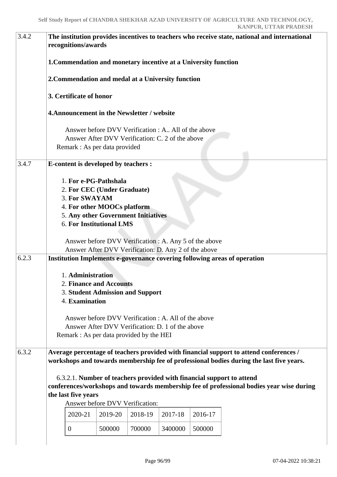| 3.4.2 | The institution provides incentives to teachers who receive state, national and international<br>recognitions/awards                                                                                                                                                                                                                                                                                                                                                                                                                 |                                                                                                                |  |  |  |  |  |  |
|-------|--------------------------------------------------------------------------------------------------------------------------------------------------------------------------------------------------------------------------------------------------------------------------------------------------------------------------------------------------------------------------------------------------------------------------------------------------------------------------------------------------------------------------------------|----------------------------------------------------------------------------------------------------------------|--|--|--|--|--|--|
|       | 1. Commendation and monetary incentive at a University function                                                                                                                                                                                                                                                                                                                                                                                                                                                                      |                                                                                                                |  |  |  |  |  |  |
|       | 2. Commendation and medal at a University function                                                                                                                                                                                                                                                                                                                                                                                                                                                                                   |                                                                                                                |  |  |  |  |  |  |
|       | 3. Certificate of honor                                                                                                                                                                                                                                                                                                                                                                                                                                                                                                              |                                                                                                                |  |  |  |  |  |  |
|       | <b>4. Announcement in the Newsletter / website</b>                                                                                                                                                                                                                                                                                                                                                                                                                                                                                   |                                                                                                                |  |  |  |  |  |  |
|       | Remark : As per data provided                                                                                                                                                                                                                                                                                                                                                                                                                                                                                                        | Answer before DVV Verification : A., All of the above<br>Answer After DVV Verification: C. 2 of the above      |  |  |  |  |  |  |
| 3.4.7 | <b>E-content is developed by teachers :</b>                                                                                                                                                                                                                                                                                                                                                                                                                                                                                          |                                                                                                                |  |  |  |  |  |  |
|       | 1. For e-PG-Pathshala<br>2. For CEC (Under Graduate)<br>3. For SWAYAM<br>4. For other MOOCs platform<br>5. Any other Government Initiatives<br><b>6. For Institutional LMS</b>                                                                                                                                                                                                                                                                                                                                                       | Answer before DVV Verification : A. Any 5 of the above<br>Answer After DVV Verification: D. Any 2 of the above |  |  |  |  |  |  |
| 6.2.3 | Institution Implements e-governance covering following areas of operation<br>1. Administration<br><b>2. Finance and Accounts</b><br><b>3. Student Admission and Support</b><br>4. Examination<br>Remark : As per data provided by the HEI                                                                                                                                                                                                                                                                                            | Answer before DVV Verification : A. All of the above<br>Answer After DVV Verification: D. 1 of the above       |  |  |  |  |  |  |
| 6.3.2 | Average percentage of teachers provided with financial support to attend conferences /<br>workshops and towards membership fee of professional bodies during the last five years.<br>6.3.2.1. Number of teachers provided with financial support to attend<br>conferences/workshops and towards membership fee of professional bodies year wise during<br>the last five years<br>Answer before DVV Verification:<br>2019-20<br>2018-19<br>2017-18<br>2016-17<br>2020-21<br>500000<br>700000<br>500000<br>3400000<br>$\boldsymbol{0}$ |                                                                                                                |  |  |  |  |  |  |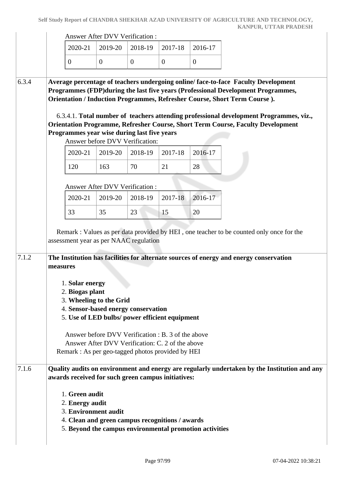|       |          |                                                           | <b>Answer After DVV Verification:</b>                                                                                                                                                                                                                                                                                     |                |                |                                                         |                                                                                                                                                                                                                                                                                                                                                                                                                                  |
|-------|----------|-----------------------------------------------------------|---------------------------------------------------------------------------------------------------------------------------------------------------------------------------------------------------------------------------------------------------------------------------------------------------------------------------|----------------|----------------|---------------------------------------------------------|----------------------------------------------------------------------------------------------------------------------------------------------------------------------------------------------------------------------------------------------------------------------------------------------------------------------------------------------------------------------------------------------------------------------------------|
|       |          | 2020-21                                                   | 2019-20                                                                                                                                                                                                                                                                                                                   | 2018-19        | 2017-18        | 2016-17                                                 |                                                                                                                                                                                                                                                                                                                                                                                                                                  |
|       |          | $\overline{0}$                                            | $\overline{0}$                                                                                                                                                                                                                                                                                                            | $\overline{0}$ | $\overline{0}$ | $\mathbf{0}$                                            |                                                                                                                                                                                                                                                                                                                                                                                                                                  |
| 6.3.4 |          |                                                           | Programmes year wise during last five years                                                                                                                                                                                                                                                                               |                |                |                                                         | Average percentage of teachers undergoing online/face-to-face Faculty Development<br>Programmes (FDP) during the last five years (Professional Development Programmes,<br>Orientation / Induction Programmes, Refresher Course, Short Term Course).<br>6.3.4.1. Total number of teachers attending professional development Programmes, viz.,<br>Orientation Programme, Refresher Course, Short Term Course, Faculty Development |
|       |          | 2020-21                                                   | Answer before DVV Verification:<br>2019-20                                                                                                                                                                                                                                                                                | 2018-19        | 2017-18        | 2016-17                                                 |                                                                                                                                                                                                                                                                                                                                                                                                                                  |
|       |          | 120                                                       | 163                                                                                                                                                                                                                                                                                                                       | 70             | 21             | 28                                                      |                                                                                                                                                                                                                                                                                                                                                                                                                                  |
|       |          |                                                           | <b>Answer After DVV Verification:</b>                                                                                                                                                                                                                                                                                     |                |                |                                                         |                                                                                                                                                                                                                                                                                                                                                                                                                                  |
|       |          | 2020-21                                                   | 2019-20                                                                                                                                                                                                                                                                                                                   | 2018-19        | 2017-18        | 2016-17                                                 |                                                                                                                                                                                                                                                                                                                                                                                                                                  |
|       |          | 33                                                        | 35                                                                                                                                                                                                                                                                                                                        | 23             | 15             | 20                                                      |                                                                                                                                                                                                                                                                                                                                                                                                                                  |
| 7.1.2 | measures | 1. Solar energy<br>2. Biogas plant                        | assessment year as per NAAC regulation<br>3. Wheeling to the Grid<br>4. Sensor-based energy conservation<br>5. Use of LED bulbs/ power efficient equipment<br>Answer before DVV Verification : B. 3 of the above<br>Answer After DVV Verification: C. 2 of the above<br>Remark : As per geo-tagged photos provided by HEI |                |                |                                                         | The Institution has facilities for alternate sources of energy and energy conservation                                                                                                                                                                                                                                                                                                                                           |
| 7.1.6 |          | 1. Green audit<br>2. Energy audit<br>3. Environment audit | awards received for such green campus initiatives:<br>4. Clean and green campus recognitions / awards                                                                                                                                                                                                                     |                |                | 5. Beyond the campus environmental promotion activities | Quality audits on environment and energy are regularly undertaken by the Institution and any                                                                                                                                                                                                                                                                                                                                     |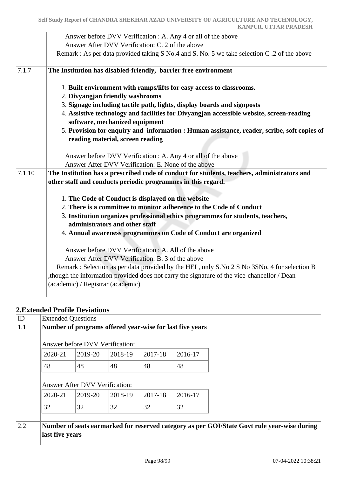|        | Answer before DVV Verification : A. Any 4 or all of the above<br>Answer After DVV Verification: C. 2 of the above<br>Remark : As per data provided taking S No.4 and S. No. 5 we take selection C .2 of the above                                                                                                                            |
|--------|----------------------------------------------------------------------------------------------------------------------------------------------------------------------------------------------------------------------------------------------------------------------------------------------------------------------------------------------|
| 7.1.7  | The Institution has disabled-friendly, barrier free environment                                                                                                                                                                                                                                                                              |
|        | 1. Built environment with ramps/lifts for easy access to classrooms.<br>2. Divyangjan friendly washrooms                                                                                                                                                                                                                                     |
|        | 3. Signage including tactile path, lights, display boards and signposts                                                                                                                                                                                                                                                                      |
|        | 4. Assistive technology and facilities for Divyangjan accessible website, screen-reading<br>software, mechanized equipment                                                                                                                                                                                                                   |
|        | 5. Provision for enquiry and information : Human assistance, reader, scribe, soft copies of<br>reading material, screen reading                                                                                                                                                                                                              |
|        | Answer before DVV Verification : A. Any 4 or all of the above                                                                                                                                                                                                                                                                                |
|        | Answer After DVV Verification: E. None of the above                                                                                                                                                                                                                                                                                          |
| 7.1.10 | The Institution has a prescribed code of conduct for students, teachers, administrators and<br>other staff and conducts periodic programmes in this regard.                                                                                                                                                                                  |
|        | 1. The Code of Conduct is displayed on the website                                                                                                                                                                                                                                                                                           |
|        | 2. There is a committee to monitor adherence to the Code of Conduct                                                                                                                                                                                                                                                                          |
|        | 3. Institution organizes professional ethics programmes for students, teachers,                                                                                                                                                                                                                                                              |
|        | administrators and other staff                                                                                                                                                                                                                                                                                                               |
|        | 4. Annual awareness programmes on Code of Conduct are organized                                                                                                                                                                                                                                                                              |
|        | Answer before DVV Verification : A. All of the above<br>Answer After DVV Verification: B. 3 of the above<br>Remark : Selection as per data provided by the HEI, only S.No 2 S No 3SNo. 4 for selection B<br>though the information provided does not carry the signature of the vice-chancellor / Dean,<br>(academic) / Registrar (academic) |

## **2.Extended Profile Deviations**

| 2020-21 | Answer before DVV Verification:<br>2019-20 | 2018-19 | 2017-18 | 2016-17 |  |
|---------|--------------------------------------------|---------|---------|---------|--|
| 48      | 48                                         | 48      | 48      | 48      |  |
|         | Answer After DVV Verification:<br>2019-20  | 2018-19 | 2017-18 | 2016-17 |  |
| 2020-21 |                                            |         |         |         |  |